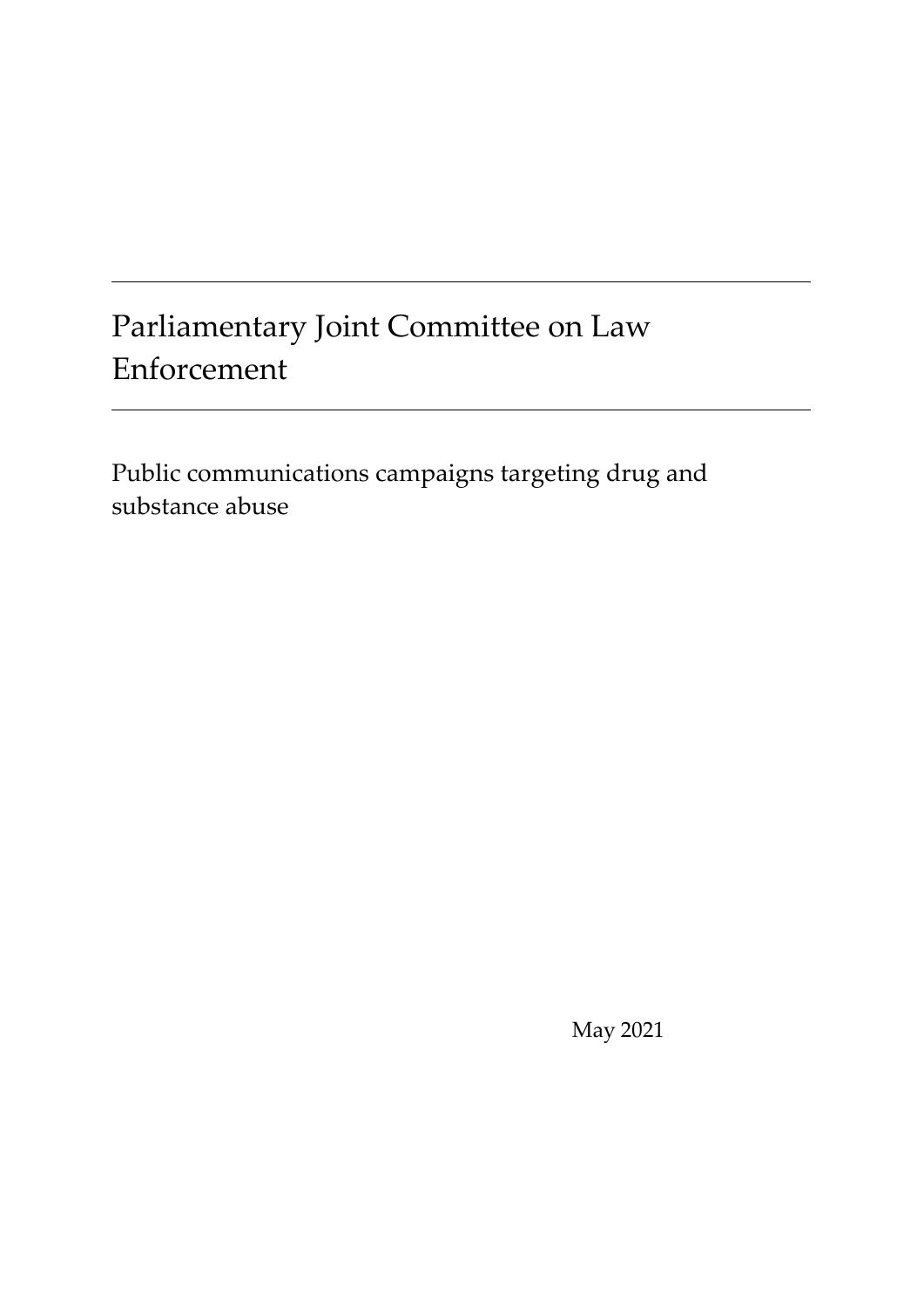# Parliamentary Joint Committee on Law Enforcement

Public communications campaigns targeting drug and substance abuse

May 2021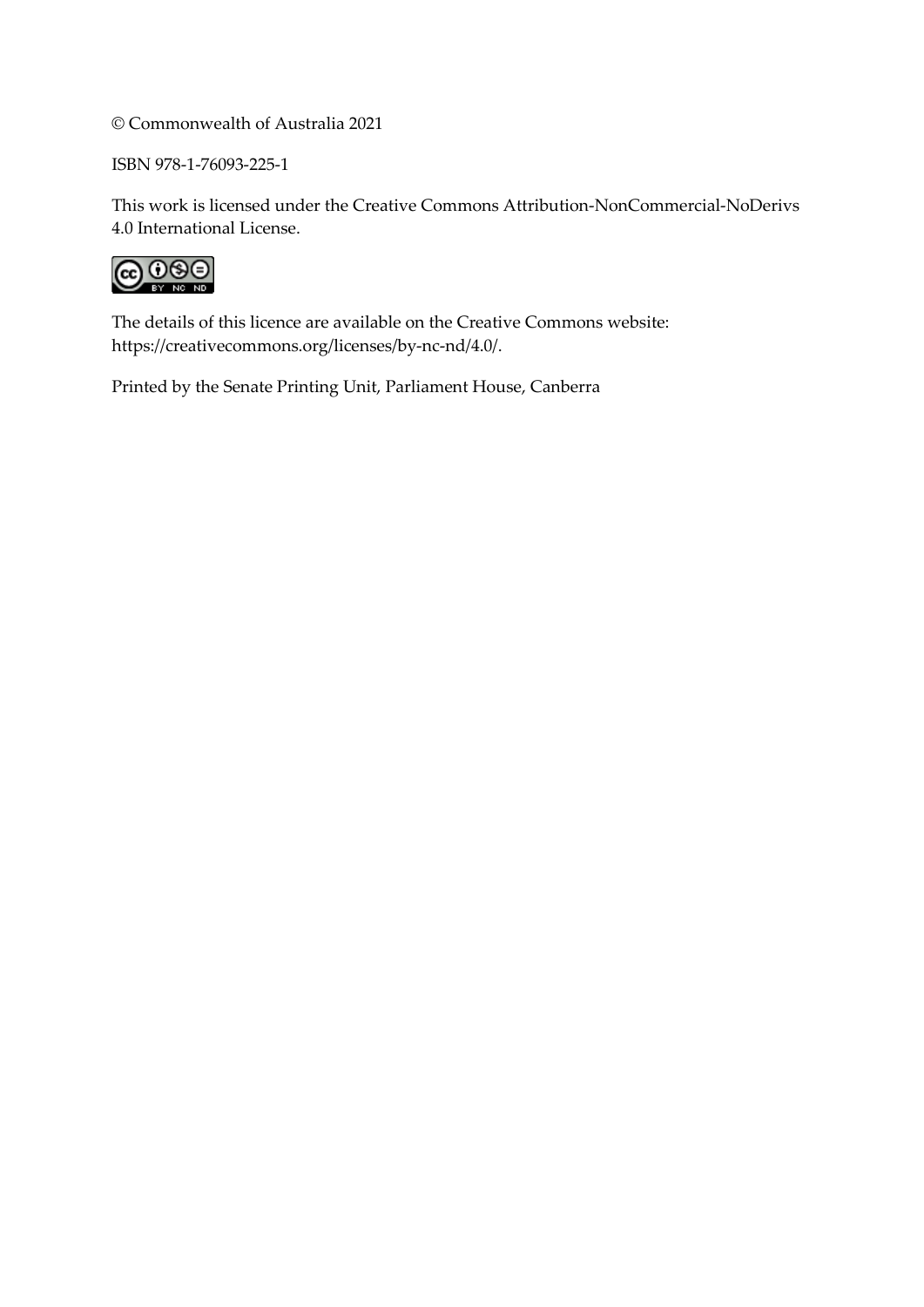© Commonwealth of Australia 2021

ISBN 978-1-76093-225-1

This work is licensed under the Creative Commons Attribution-NonCommercial-NoDerivs 4.0 International License.



The details of this licence are available on the Creative Commons website: [https://creativecommons.org/licenses/by-nc-nd/4.0/.](https://creativecommons.org/licenses/by-nc-nd/4.0/)

Printed by the Senate Printing Unit, Parliament House, Canberra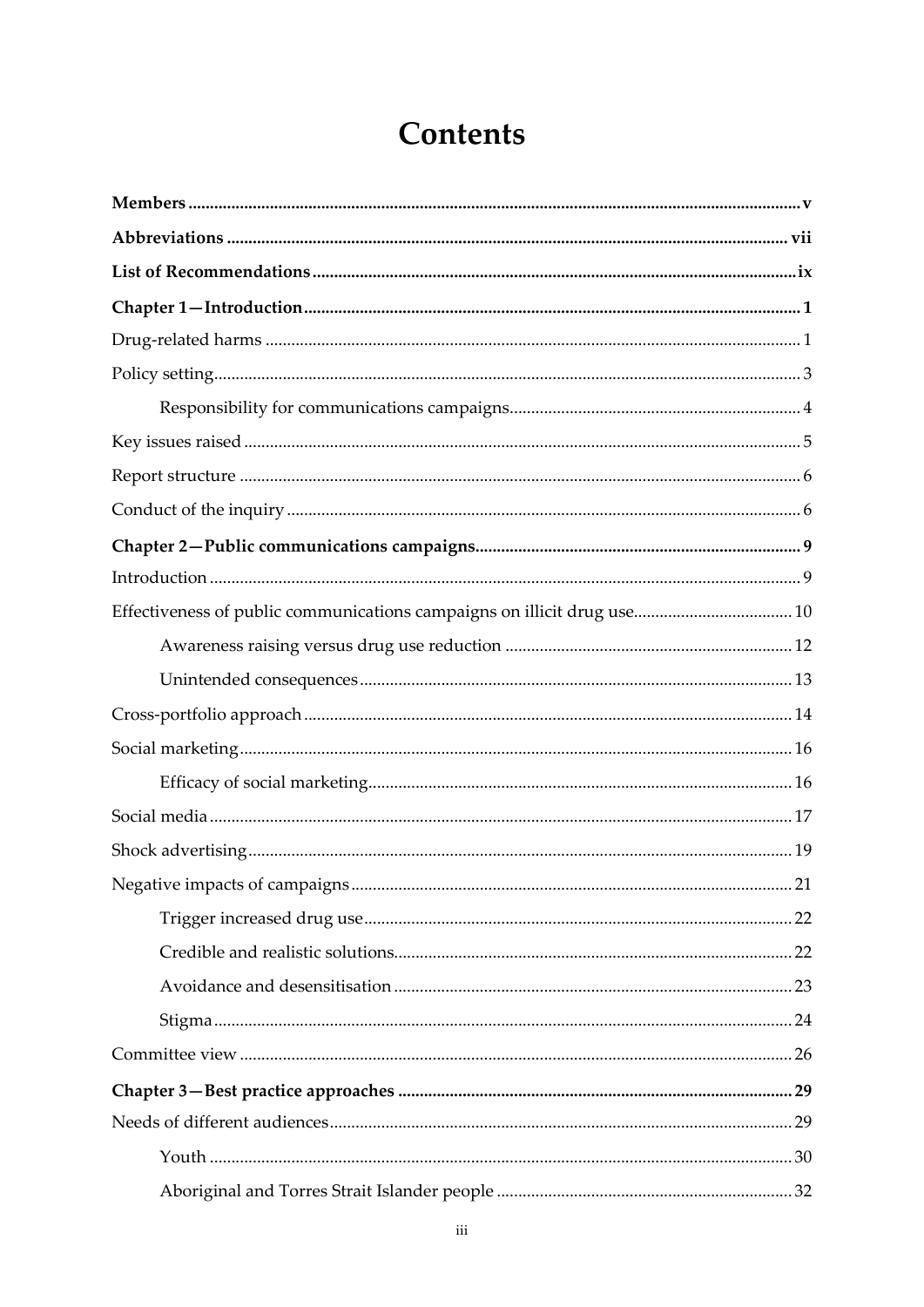# **Contents**

| Effectiveness of public communications campaigns on illicit drug use 10 |  |
|-------------------------------------------------------------------------|--|
|                                                                         |  |
|                                                                         |  |
|                                                                         |  |
|                                                                         |  |
|                                                                         |  |
|                                                                         |  |
|                                                                         |  |
|                                                                         |  |
|                                                                         |  |
|                                                                         |  |
|                                                                         |  |
|                                                                         |  |
|                                                                         |  |
|                                                                         |  |
|                                                                         |  |
|                                                                         |  |
|                                                                         |  |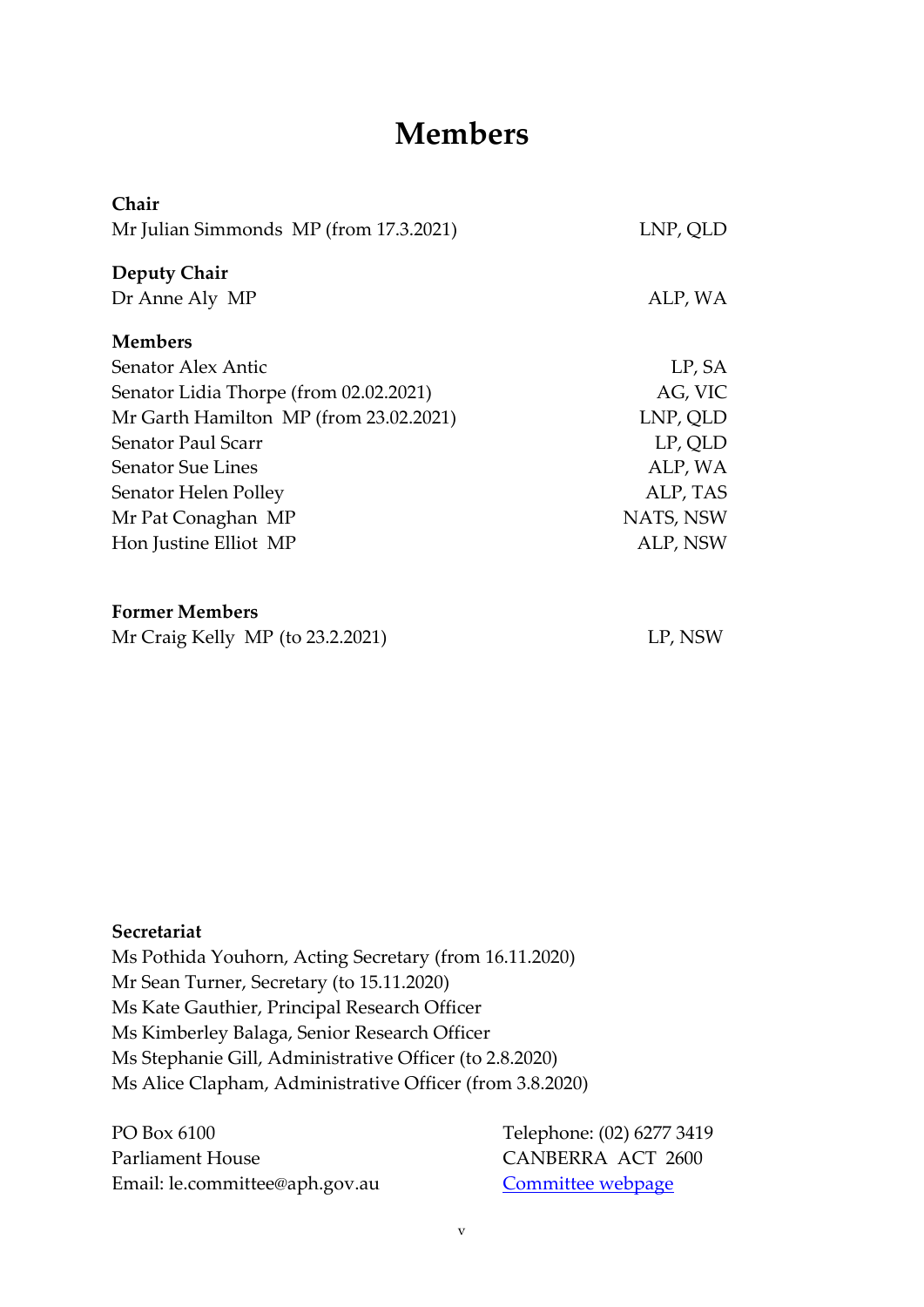# **Members**

<span id="page-4-0"></span>

| Chair                                  |           |
|----------------------------------------|-----------|
| Mr Julian Simmonds MP (from 17.3.2021) | LNP, QLD  |
| <b>Deputy Chair</b>                    |           |
| Dr Anne Aly MP                         | ALP, WA   |
| <b>Members</b>                         |           |
| Senator Alex Antic                     | LP, SA    |
| Senator Lidia Thorpe (from 02.02.2021) | AG, VIC   |
| Mr Garth Hamilton MP (from 23.02.2021) | LNP, QLD  |
| <b>Senator Paul Scarr</b>              | LP, QLD   |
| <b>Senator Sue Lines</b>               | ALP, WA   |
| Senator Helen Polley                   | ALP, TAS  |
| Mr Pat Conaghan MP                     | NATS, NSW |
| Hon Justine Elliot MP                  | ALP, NSW  |
|                                        |           |
| <b>Former Members</b>                  |           |
| Mr Craig Kelly $MP$ (to 23.2.2021)     | LP, NSW   |

#### **Secretariat**

Ms Pothida Youhorn, Acting Secretary (from 16.11.2020) Mr Sean Turner, Secretary (to 15.11.2020) Ms Kate Gauthier, Principal Research Officer Ms Kimberley Balaga, Senior Research Officer Ms Stephanie Gill, Administrative Officer (to 2.8.2020) Ms Alice Clapham, Administrative Officer (from 3.8.2020)

PO Box 6100 Telephone: (02) 6277 3419 Parliament House CANBERRA ACT 2600 Email: le.committee@aph.gov.au [Committee webpage](https://www.aph.gov.au/Parliamentary_Business/Committees/Joint/Law_Enforcement)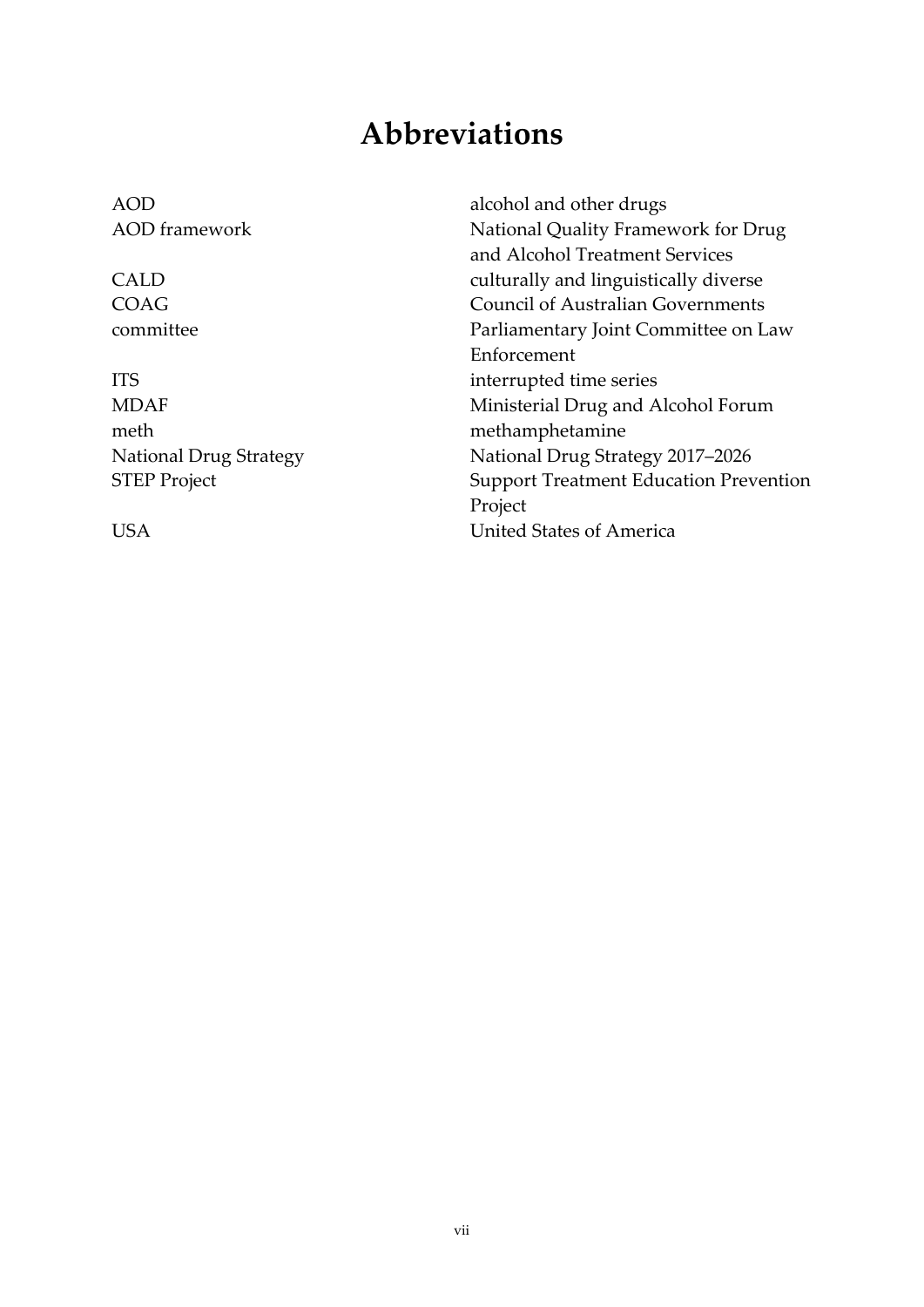# **Abbreviations**

<span id="page-6-0"></span>AOD alcohol and other drugs AOD framework National Quality Framework for Drug and Alcohol Treatment Services CALD culturally and linguistically diverse COAG Council of Australian Governments committee Parliamentary Joint Committee on Law Enforcement ITS interrupted time series MDAF Ministerial Drug and Alcohol Forum meth methamphetamine National Drug Strategy STEP Project National Drug Strategy 2017–2026 Support Treatment Education Prevention Project USA United States of America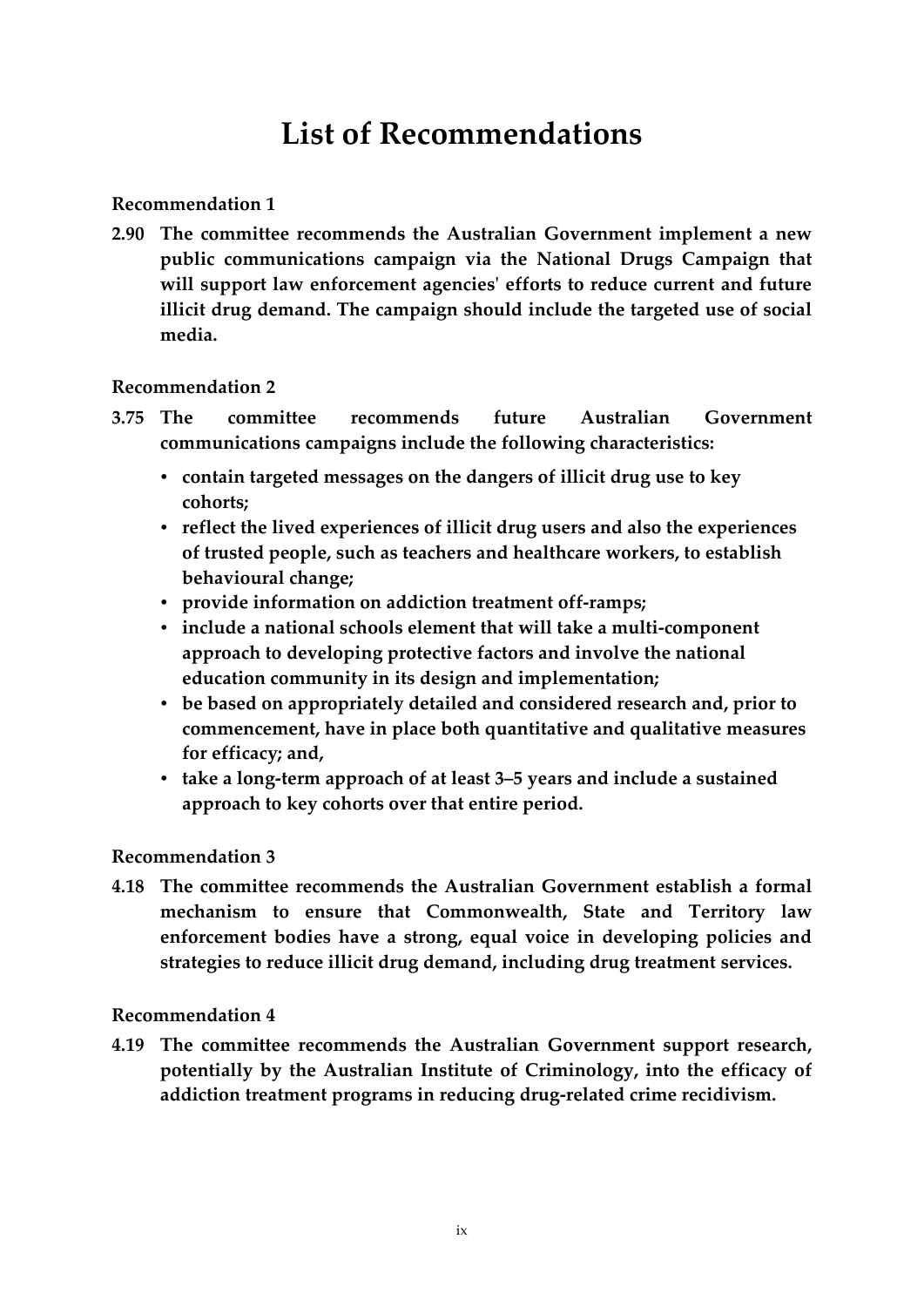# **List of Recommendations**

### <span id="page-8-0"></span>**[Recommendation 1](#page-35-1)**

**2.90 The committee recommends the Australian Government implement a new public communications campaign via the National Drugs Campaign that will support law enforcement agencies' efforts to reduce current and future illicit drug demand. The campaign should include the targeted use of social media.**

#### **[Recommendation 2](#page-54-0)**

- **3.75 The committee recommends future Australian Government communications campaigns include the following characteristics:**
	- **contain targeted messages on the dangers of illicit drug use to key cohorts;**
	- **reflect the lived experiences of illicit drug users and also the experiences of trusted people, such as teachers and healthcare workers, to establish behavioural change;**
	- **provide information on addiction treatment off-ramps;**
	- **include a national schools element that will take a multi-component approach to developing protective factors and involve the national education community in its design and implementation;**
	- **be based on appropriately detailed and considered research and, prior to commencement, have in place both quantitative and qualitative measures for efficacy; and,**
	- **take a long-term approach of at least 3–5 years and include a sustained approach to key cohorts over that entire period.**

### **[Recommendation 3](#page-60-0)**

**4.18 The committee recommends the Australian Government establish a formal mechanism to ensure that Commonwealth, State and Territory law enforcement bodies have a strong, equal voice in developing policies and strategies to reduce illicit drug demand, including drug treatment services.**

#### **[Recommendation 4](#page-60-1)**

**4.19 The committee recommends the Australian Government support research, potentially by the Australian Institute of Criminology, into the efficacy of addiction treatment programs in reducing drug-related crime recidivism.**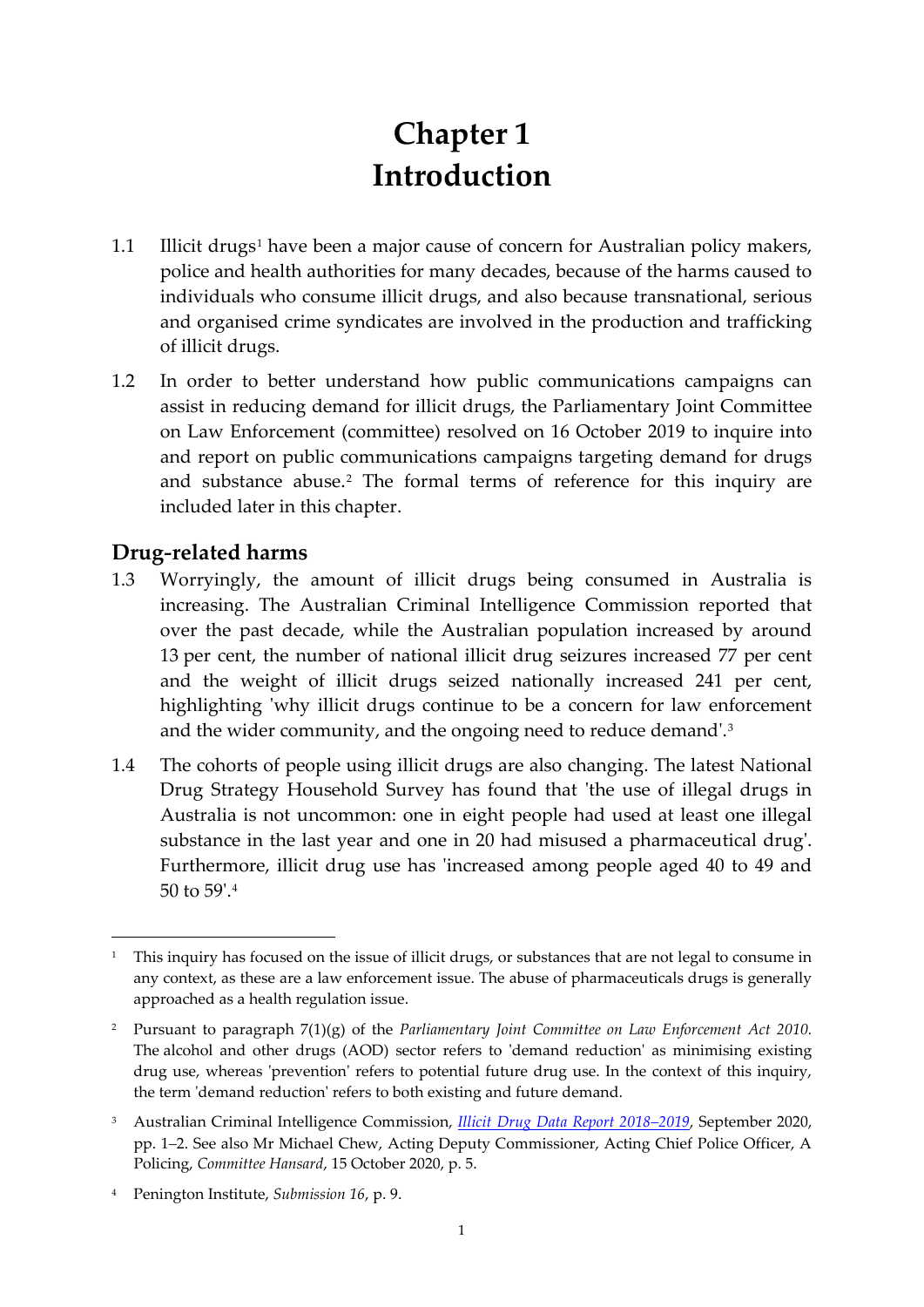# **Chapter 1 Introduction**

- <span id="page-10-0"></span>[1](#page-10-2).1 Illicit drugs<sup>1</sup> have been a major cause of concern for Australian policy makers, police and health authorities for many decades, because of the harms caused to individuals who consume illicit drugs, and also because transnational, serious and organised crime syndicates are involved in the production and trafficking of illicit drugs.
- 1.2 In order to better understand how public communications campaigns can assist in reducing demand for illicit drugs, the Parliamentary Joint Committee on Law Enforcement (committee) resolved on 16 October 2019 to inquire into and report on public communications campaigns targeting demand for drugs and substance abuse.<sup>[2](#page-10-3)</sup> The formal terms of reference for this inquiry are included later in this chapter.

# <span id="page-10-1"></span>**Drug***-***related harms**

- 1.3 Worryingly, the amount of illicit drugs being consumed in Australia is increasing. The Australian Criminal Intelligence Commission reported that over the past decade, while the Australian population increased by around 13 per cent, the number of national illicit drug seizures increased 77 per cent and the weight of illicit drugs seized nationally increased 241 per cent, highlighting 'why illicit drugs continue to be a concern for law enforcement and the wider community, and the ongoing need to reduce demand'.[3](#page-10-4)
- 1.4 The cohorts of people using illicit drugs are also changing. The latest National Drug Strategy Household Survey has found that 'the use of illegal drugs in Australia is not uncommon: one in eight people had used at least one illegal substance in the last year and one in 20 had misused a pharmaceutical drug'. Furthermore, illicit drug use has 'increased among people aged 40 to 49 and 50 to 59'.[4](#page-10-5)

<span id="page-10-2"></span><sup>&</sup>lt;sup>1</sup> This inquiry has focused on the issue of illicit drugs, or substances that are not legal to consume in any context, as these are a law enforcement issue. The abuse of pharmaceuticals drugs is generally approached as a health regulation issue.

<span id="page-10-3"></span><sup>2</sup> Pursuant to paragraph 7(1)(g) of the *Parliamentary Joint Committee on Law Enforcement Act 2010.* The alcohol and other drugs (AOD) sector refers to 'demand reduction' as minimising existing drug use, whereas 'prevention' refers to potential future drug use. In the context of this inquiry, the term 'demand reduction' refers to both existing and future demand.

<span id="page-10-4"></span><sup>3</sup> Australian Criminal Intelligence Commission, *[Illicit Drug Data Report 2018–2019](https://www.acic.gov.au/sites/default/files/2020-09/illicit_drug_data_report_2018-19_internals_v10_full.pdf)*, September 2020, pp. 1*–*2. See also Mr Michael Chew, Acting Deputy Commissioner, Acting Chief Police Officer, A Policing, *Committee Hansard*, 15 October 2020, p. 5.

<span id="page-10-5"></span><sup>4</sup> Penington Institute, *Submission 16*, p. 9.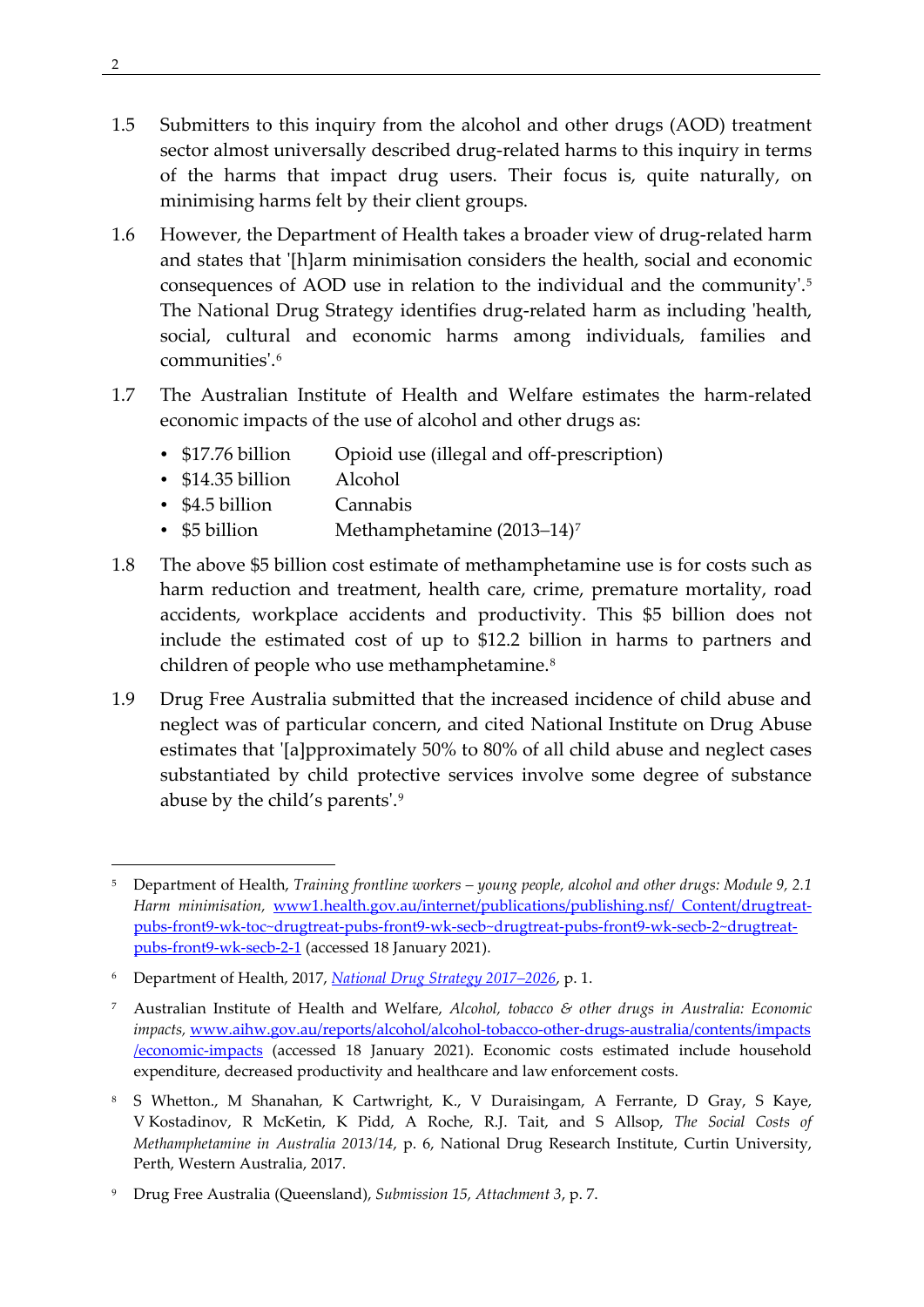- 1.5 Submitters to this inquiry from the alcohol and other drugs (AOD) treatment sector almost universally described drug-related harms to this inquiry in terms of the harms that impact drug users. Their focus is, quite naturally, on minimising harms felt by their client groups.
- 1.6 However, the Department of Health takes a broader view of drug-related harm and states that '[h]arm minimisation considers the health, social and economic consequences of AOD use in relation to the individual and the community'.[5](#page-11-0) The National Drug Strategy identifies drug-related harm as including 'health, social, cultural and economic harms among individuals, families and communities'.[6](#page-11-1)
- 1.7 The Australian Institute of Health and Welfare estimates the harm-related economic impacts of the use of alcohol and other drugs as:
	- \$17.76 billion Opioid use (illegal and off-prescription)
	- \$14.35 billion Alcohol
	- \$4.5 billion Cannabis
	- \$5 billion Methamphetamine (2013*–*14)[7](#page-11-2)
- 1.8 The above \$5 billion cost estimate of methamphetamine use is for costs such as harm reduction and treatment, health care, crime, premature mortality, road accidents, workplace accidents and productivity. This \$5 billion does not include the estimated cost of up to \$12.2 billion in harms to partners and children of people who use methamphetamine.<sup>8</sup>
- 1.9 Drug Free Australia submitted that the increased incidence of child abuse and neglect was of particular concern, and cited National Institute on Drug Abuse estimates that '[a]pproximately 50% to 80% of all child abuse and neglect cases substantiated by child protective services involve some degree of substance abuse by the child's parents'.[9](#page-11-4)

<span id="page-11-0"></span><sup>5</sup> Department of Health, *Training frontline workers – young people, alcohol and other drugs: Module 9, 2.1 Harm minimisation,* [www1.health.gov.au/internet/publications/publishing.nsf/ Content/drugtreat](https://www1.health.gov.au/internet/publications/publishing.nsf/Content/drugtreat-pubs-front9-wk-toc%7Edrugtreat-pubs-front9-wk-secb%7Edrugtreat-pubs-front9-wk-secb-2%7Edrugtreat-pubs-front9-wk-secb-2-1)[pubs-front9-wk-toc~drugtreat-pubs-front9-wk-secb~drugtreat-pubs-front9-wk-secb-2~drugtreat](https://www1.health.gov.au/internet/publications/publishing.nsf/Content/drugtreat-pubs-front9-wk-toc%7Edrugtreat-pubs-front9-wk-secb%7Edrugtreat-pubs-front9-wk-secb-2%7Edrugtreat-pubs-front9-wk-secb-2-1)[pubs-front9-wk-secb-2-1](https://www1.health.gov.au/internet/publications/publishing.nsf/Content/drugtreat-pubs-front9-wk-toc%7Edrugtreat-pubs-front9-wk-secb%7Edrugtreat-pubs-front9-wk-secb-2%7Edrugtreat-pubs-front9-wk-secb-2-1) (accessed 18 January 2021).

<span id="page-11-1"></span><sup>6</sup> Department of Health, 2017, *[National Drug Strategy 2017–2026](https://www.health.gov.au/sites/default/files/national-drug-strategy-2017-2026_1.pdf)*, p. 1.

<span id="page-11-2"></span><sup>7</sup> Australian Institute of Health and Welfare, *Alcohol, tobacco & other drugs in Australia: Economic impacts,* [www.aihw.gov.au/reports/alcohol/alcohol-tobacco-other-drugs-australia/contents/impacts](http://www.aihw.gov.au/reports/alcohol/alcohol-tobacco-other-drugs-australia/contents/impacts%20/economic-impacts)  [/economic-impacts](http://www.aihw.gov.au/reports/alcohol/alcohol-tobacco-other-drugs-australia/contents/impacts%20/economic-impacts) (accessed 18 January 2021). Economic costs estimated include household expenditure, decreased productivity and healthcare and law enforcement costs.

<span id="page-11-3"></span><sup>8</sup> S Whetton., M Shanahan, K Cartwright, K., V Duraisingam, A Ferrante, D Gray, S Kaye, V Kostadinov, R McKetin, K Pidd, A Roche, R.J. Tait, and S Allsop, *The Social Costs of Methamphetamine in Australia 2013/14*, p. 6, National Drug Research Institute, Curtin University, Perth, Western Australia, 2017.

<span id="page-11-4"></span><sup>9</sup> Drug Free Australia (Queensland), *Submission 15, Attachment 3*, p. 7.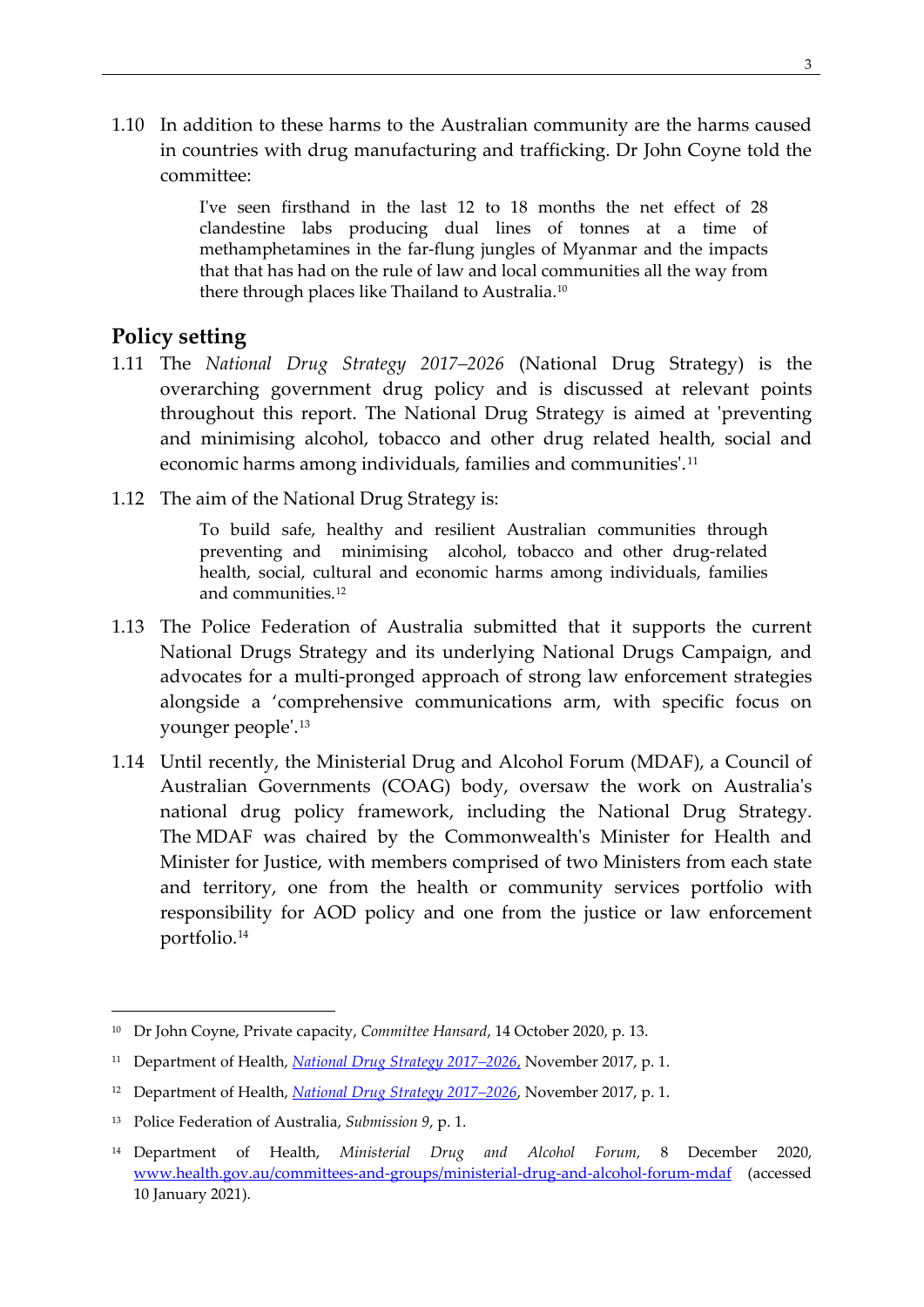1.10 In addition to these harms to the Australian community are the harms caused in countries with drug manufacturing and trafficking. Dr John Coyne told the committee:

> I've seen firsthand in the last 12 to 18 months the net effect of 28 clandestine labs producing dual lines of tonnes at a time of methamphetamines in the far-flung jungles of Myanmar and the impacts that that has had on the rule of law and local communities all the way from there through places like Thailand to Australia.<sup>[10](#page-12-1)</sup>

## <span id="page-12-0"></span>**Policy setting**

- 1.11 The *National Drug Strategy 2017–2026* (National Drug Strategy) is the overarching government drug policy and is discussed at relevant points throughout this report. The National Drug Strategy is aimed at 'preventing and minimising alcohol, tobacco and other drug related health, social and economic harms among individuals, families and communities'.<sup>[11](#page-12-2)</sup>
- 1.12 The aim of the National Drug Strategy is:

To build safe, healthy and resilient Australian communities through preventing and minimising alcohol, tobacco and other drug-related health, social, cultural and economic harms among individuals, families and communities.<sup>[12](#page-12-3)</sup>

- 1.13 The Police Federation of Australia submitted that it supports the current National Drugs Strategy and its underlying National Drugs Campaign, and advocates for a multi-pronged approach of strong law enforcement strategies alongside a 'comprehensive communications arm, with specific focus on younger people'.[13](#page-12-4)
- 1.14 Until recently, the Ministerial Drug and Alcohol Forum (MDAF), a Council of Australian Governments (COAG) body, oversaw the work on Australia's national drug policy framework, including the National Drug Strategy. The MDAF was chaired by the Commonwealth's Minister for Health and Minister for Justice, with members comprised of two Ministers from each state and territory, one from the health or community services portfolio with responsibility for AOD policy and one from the justice or law enforcement portfolio.[14](#page-12-5)

<span id="page-12-1"></span><sup>10</sup> Dr John Coyne, Private capacity, *Committee Hansard*, 14 October 2020, p. 13.

<span id="page-12-2"></span><sup>11</sup> Department of Health, *[National Drug Strategy 2017–2026](https://www.health.gov.au/resources/publications/national-drug-strategy-2017-2026)*, November 2017, p. 1.

<span id="page-12-3"></span><sup>12</sup> Department of Health, *[National Drug Strategy 2017–2026](https://www.health.gov.au/sites/default/files/national-drug-strategy-2017-2026_1.pdf)*, November 2017, p. 1.

<span id="page-12-4"></span><sup>13</sup> Police Federation of Australia, *Submission 9*, p. 1.

<span id="page-12-5"></span><sup>14</sup> Department of Health, *Ministerial Drug and Alcohol Forum,* 8 December 2020, [www.health.gov.au/committees-and-groups/ministerial-drug-and-alcohol-forum-mdaf](http://www.health.gov.au/committees-and-groups/ministerial-drug-and-alcohol-forum-mdaf) (accessed 10 January 2021).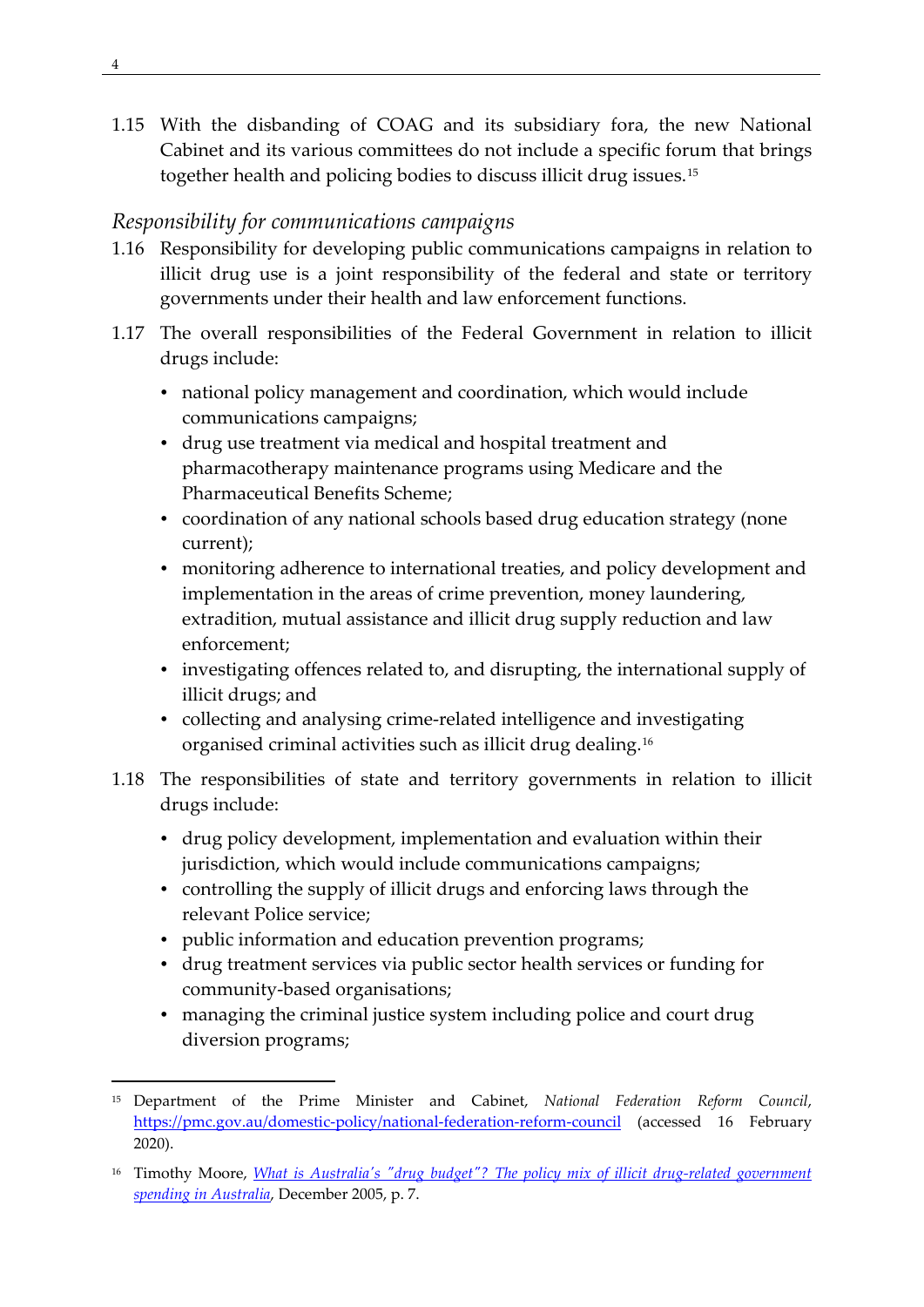1.15 With the disbanding of COAG and its subsidiary fora, the new National Cabinet and its various committees do not include a specific forum that brings together health and policing bodies to discuss illicit drug issues.[15](#page-13-1)

## <span id="page-13-0"></span>*Responsibility for communications campaigns*

- 1.16 Responsibility for developing public communications campaigns in relation to illicit drug use is a joint responsibility of the federal and state or territory governments under their health and law enforcement functions.
- 1.17 The overall responsibilities of the Federal Government in relation to illicit drugs include:
	- national policy management and coordination, which would include communications campaigns;
	- drug use treatment via medical and hospital treatment and pharmacotherapy maintenance programs using Medicare and the Pharmaceutical Benefits Scheme;
	- coordination of any national schools based drug education strategy (none current);
	- monitoring adherence to international treaties, and policy development and implementation in the areas of crime prevention, money laundering, extradition, mutual assistance and illicit drug supply reduction and law enforcement;
	- investigating offences related to, and disrupting, the international supply of illicit drugs; and
	- collecting and analysing crime-related intelligence and investigating organised criminal activities such as illicit drug dealing.[16](#page-13-2)
- 1.18 The responsibilities of state and territory governments in relation to illicit drugs include:
	- drug policy development, implementation and evaluation within their jurisdiction, which would include communications campaigns;
	- controlling the supply of illicit drugs and enforcing laws through the relevant Police service;
	- public information and education prevention programs;
	- drug treatment services via public sector health services or funding for community-based organisations;
	- managing the criminal justice system including police and court drug diversion programs;

<span id="page-13-1"></span><sup>15</sup> Department of the Prime Minister and Cabinet, *National Federation Reform Council*, <https://pmc.gov.au/domestic-policy/national-federation-reform-council> (accessed 16 February 2020).

<span id="page-13-2"></span><sup>16</sup> Timothy Moore, *What is [Australia's "drug budget"? The policy mix of illicit drug-related government](https://ndarc.med.unsw.edu.au/sites/default/files/ndarc/resources/01%20What%20is%20Australia%27s%20Drug%20Budget.pdf)  [spending in Australia](https://ndarc.med.unsw.edu.au/sites/default/files/ndarc/resources/01%20What%20is%20Australia%27s%20Drug%20Budget.pdf)*, December 2005, p. 7.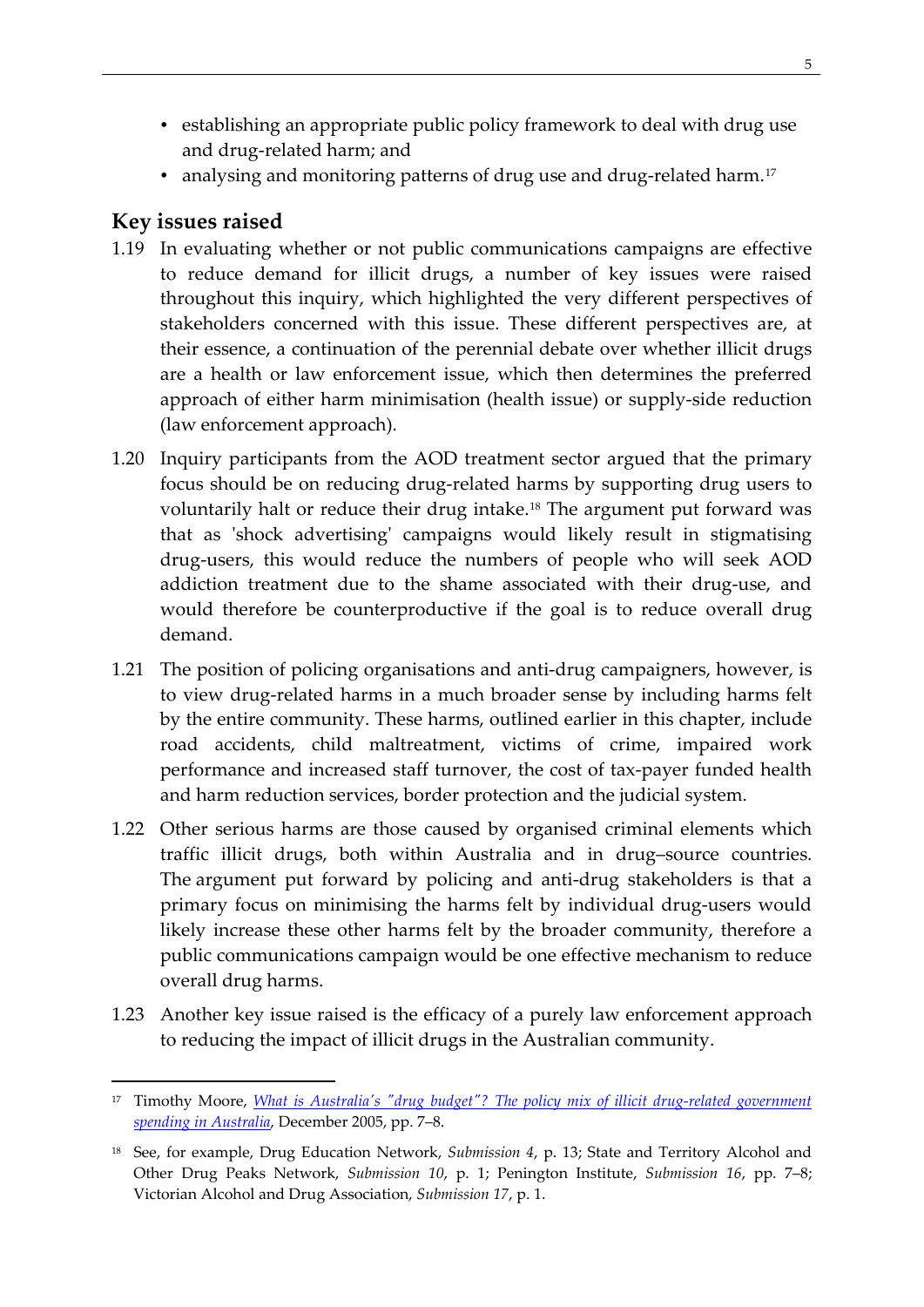- establishing an appropriate public policy framework to deal with drug use and drug-related harm; and
- analysing and monitoring patterns of drug use and drug-related harm.<sup>[17](#page-14-1)</sup>

# <span id="page-14-0"></span>**Key issues raised**

- 1.19 In evaluating whether or not public communications campaigns are effective to reduce demand for illicit drugs, a number of key issues were raised throughout this inquiry, which highlighted the very different perspectives of stakeholders concerned with this issue. These different perspectives are, at their essence, a continuation of the perennial debate over whether illicit drugs are a health or law enforcement issue, which then determines the preferred approach of either harm minimisation (health issue) or supply-side reduction (law enforcement approach).
- 1.20 Inquiry participants from the AOD treatment sector argued that the primary focus should be on reducing drug-related harms by supporting drug users to voluntarily halt or reduce their drug intake.[18](#page-14-2) The argument put forward was that as 'shock advertising' campaigns would likely result in stigmatising drug-users, this would reduce the numbers of people who will seek AOD addiction treatment due to the shame associated with their drug-use, and would therefore be counterproductive if the goal is to reduce overall drug demand.
- 1.21 The position of policing organisations and anti-drug campaigners, however, is to view drug-related harms in a much broader sense by including harms felt by the entire community. These harms, outlined earlier in this chapter, include road accidents, child maltreatment, victims of crime, impaired work performance and increased staff turnover, the cost of tax-payer funded health and harm reduction services, border protection and the judicial system.
- 1.22 Other serious harms are those caused by organised criminal elements which traffic illicit drugs, both within Australia and in drug–source countries. The argument put forward by policing and anti-drug stakeholders is that a primary focus on minimising the harms felt by individual drug-users would likely increase these other harms felt by the broader community, therefore a public communications campaign would be one effective mechanism to reduce overall drug harms.
- 1.23 Another key issue raised is the efficacy of a purely law enforcement approach to reducing the impact of illicit drugs in the Australian community.

<span id="page-14-1"></span><sup>17</sup> Timothy Moore, *[What is Australia's "drug budget"? The policy mix of illicit drug-related government](https://ndarc.med.unsw.edu.au/sites/default/files/ndarc/resources/01%20What%20is%20Australia%27s%20Drug%20Budget.pdf)  [spending in Australia](https://ndarc.med.unsw.edu.au/sites/default/files/ndarc/resources/01%20What%20is%20Australia%27s%20Drug%20Budget.pdf)*, December 2005, pp. 7–8.

<span id="page-14-2"></span><sup>18</sup> See, for example, Drug Education Network, *Submission 4*, p. 13; State and Territory Alcohol and Other Drug Peaks Network, *Submission 10*, p. 1; Penington Institute, *Submission 16*, pp. 7–8; Victorian Alcohol and Drug Association, *Submission 17*, p. 1.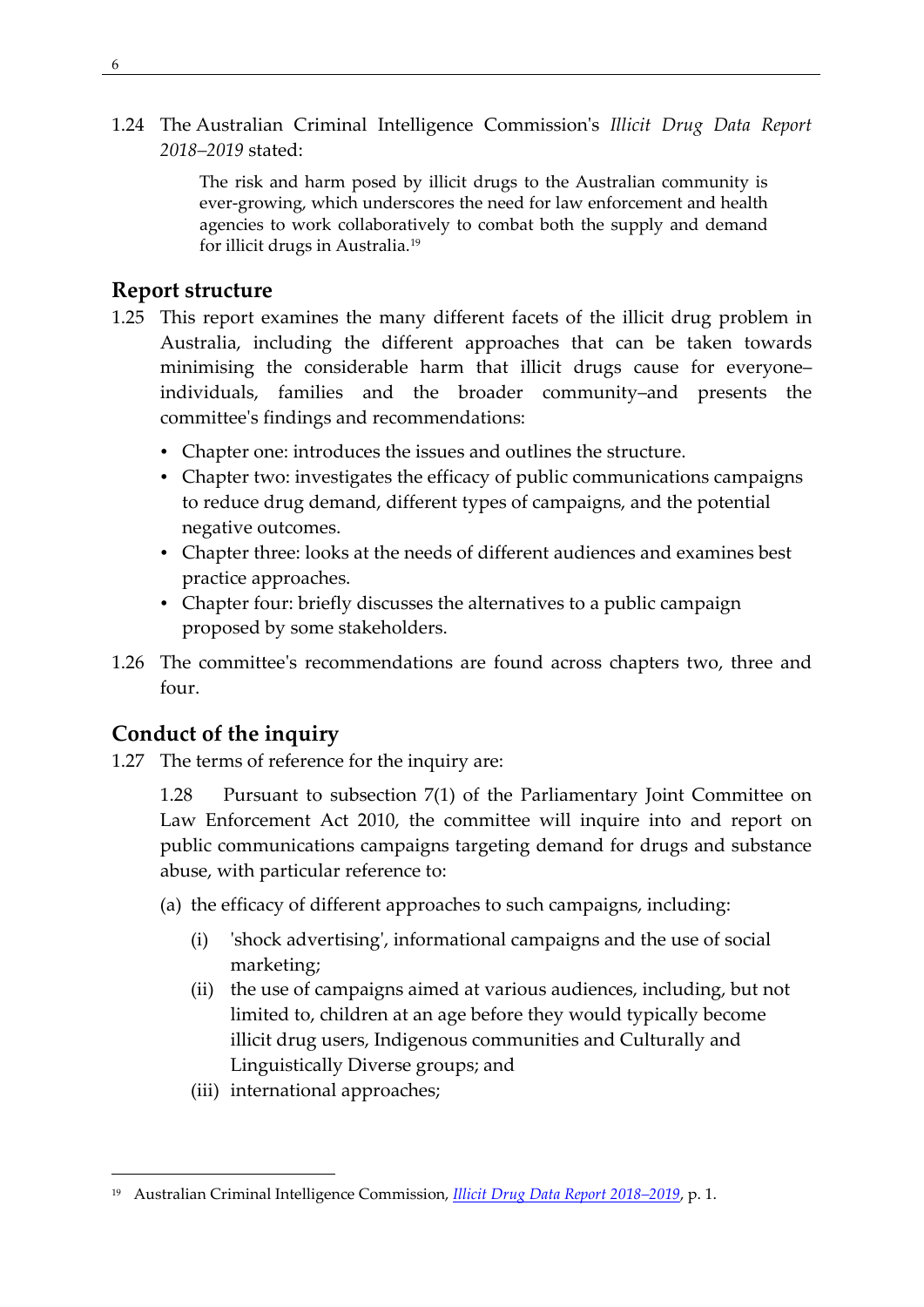1.24 The Australian Criminal Intelligence Commission's *Illicit Drug Data Report 2018–2019* stated:

> The risk and harm posed by illicit drugs to the Australian community is ever-growing, which underscores the need for law enforcement and health agencies to work collaboratively to combat both the supply and demand for illicit drugs in Australia.[19](#page-15-2)

## <span id="page-15-0"></span>**Report structure**

- 1.25 This report examines the many different facets of the illicit drug problem in Australia, including the different approaches that can be taken towards minimising the considerable harm that illicit drugs cause for everyone– individuals, families and the broader community–and presents the committee's findings and recommendations:
	- Chapter one: introduces the issues and outlines the structure.
	- Chapter two: investigates the efficacy of public communications campaigns to reduce drug demand, different types of campaigns, and the potential negative outcomes.
	- Chapter three: looks at the needs of different audiences and examines best practice approaches.
	- Chapter four: briefly discusses the alternatives to a public campaign proposed by some stakeholders.
- 1.26 The committee's recommendations are found across chapters two, three and four.

## <span id="page-15-1"></span>**Conduct of the inquiry**

1.27 The terms of reference for the inquiry are:

1.28 Pursuant to subsection 7(1) of the Parliamentary Joint Committee on Law Enforcement Act 2010, the committee will inquire into and report on public communications campaigns targeting demand for drugs and substance abuse, with particular reference to:

- (a) the efficacy of different approaches to such campaigns, including:
	- (i) 'shock advertising', informational campaigns and the use of social marketing;
	- (ii) the use of campaigns aimed at various audiences, including, but not limited to, children at an age before they would typically become illicit drug users, Indigenous communities and Culturally and Linguistically Diverse groups; and
	- (iii) international approaches;

<span id="page-15-2"></span><sup>19</sup> Australian Criminal Intelligence Commission, *[Illicit Drug Data Report 2018–2019](https://www.acic.gov.au/sites/default/files/2020-09/illicit_drug_data_report_2018-19_internals_v10_full.pdf)*, p. 1.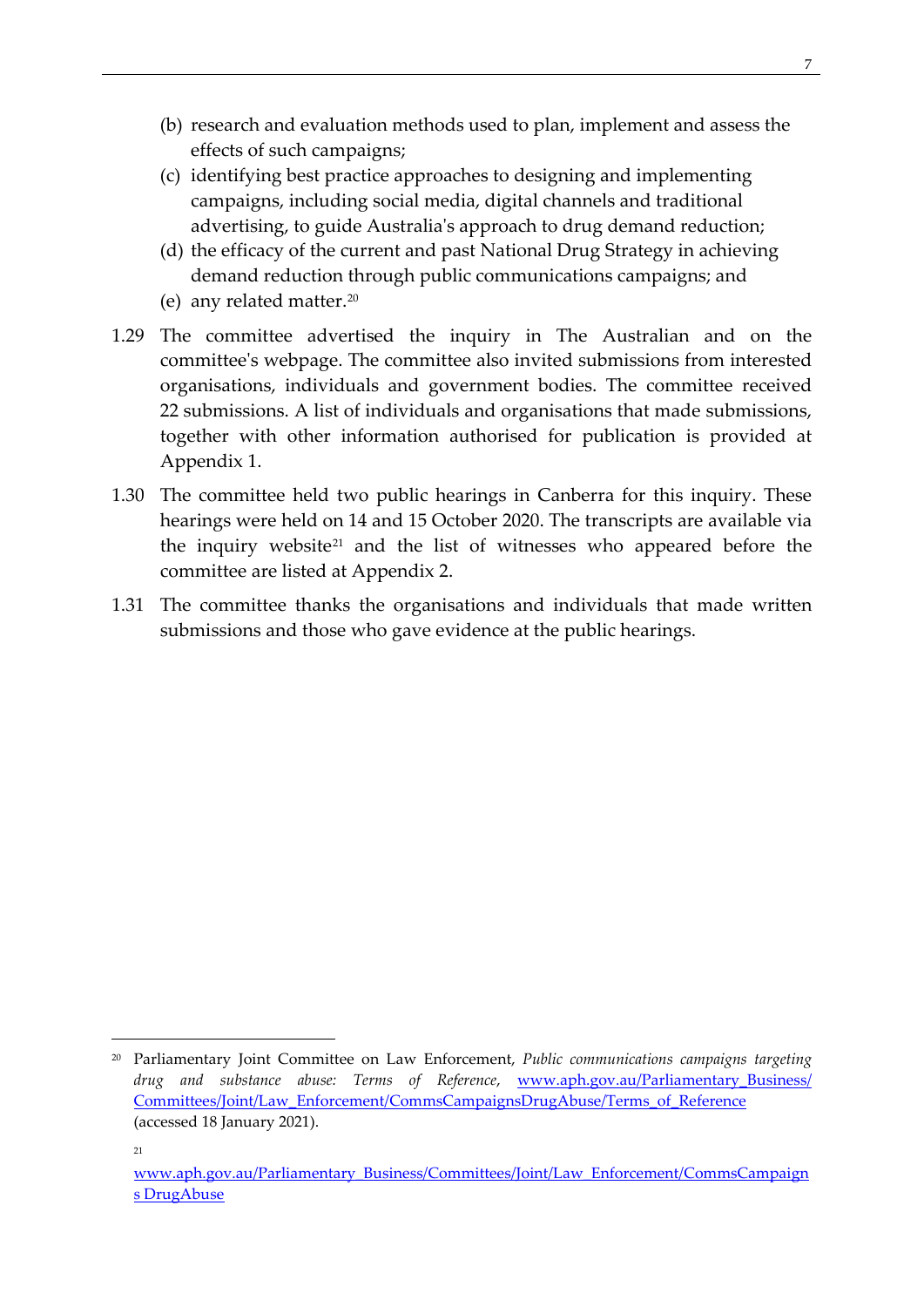- (b) research and evaluation methods used to plan, implement and assess the effects of such campaigns;
- (c) identifying best practice approaches to designing and implementing campaigns, including social media, digital channels and traditional advertising, to guide Australia's approach to drug demand reduction;
- (d) the efficacy of the current and past National Drug Strategy in achieving demand reduction through public communications campaigns; and
- (e) any related matter.[20](#page-16-0)
- 1.29 The committee advertised the inquiry in The Australian and on the committee's webpage. The committee also invited submissions from interested organisations, individuals and government bodies. The committee received 22 submissions. A list of individuals and organisations that made submissions, together with other information authorised for publication is provided at Appendix 1.
- 1.30 The committee held two public hearings in Canberra for this inquiry. These hearings were held on 14 and 15 October 2020. The transcripts are available via the inquiry website[21](#page-16-1) and the list of witnesses who appeared before the committee are listed at Appendix 2.
- 1.31 The committee thanks the organisations and individuals that made written submissions and those who gave evidence at the public hearings.

<span id="page-16-0"></span><sup>20</sup> Parliamentary Joint Committee on Law Enforcement, *Public communications campaigns targeting drug and substance abuse: Terms of Reference*, [www.aph.gov.au/Parliamentary\\_Business/](http://www.aph.gov.au/Parliamentary_Business/%20Committees/Joint/Law_Enforcement/CommsCampaignsDrugAbuse/Terms_of_Reference)  [Committees/Joint/Law\\_Enforcement/CommsCampaignsDrugAbuse/Terms\\_of\\_Reference](http://www.aph.gov.au/Parliamentary_Business/%20Committees/Joint/Law_Enforcement/CommsCampaignsDrugAbuse/Terms_of_Reference) (accessed 18 January 2021).

<sup>21</sup>

<span id="page-16-1"></span>[www.aph.gov.au/Parliamentary\\_Business/Committees/Joint/Law\\_Enforcement/CommsCampaign](http://www.aph.gov.au/Parliamentary_Business/Committees/Joint/Law_Enforcement/CommsCampaigns%20DrugAbuse) [s DrugAbuse](http://www.aph.gov.au/Parliamentary_Business/Committees/Joint/Law_Enforcement/CommsCampaigns%20DrugAbuse)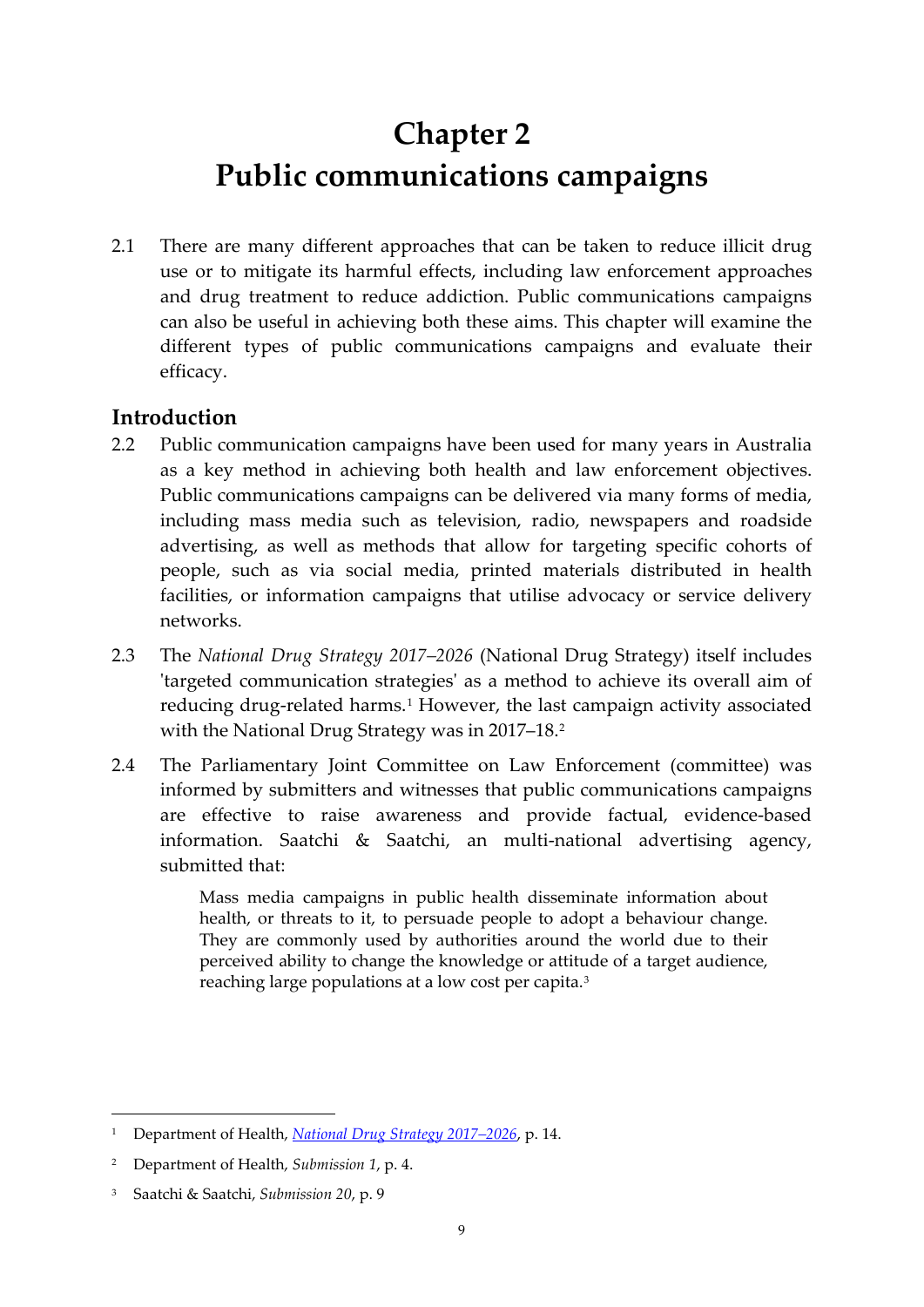# <span id="page-18-0"></span>**Chapter 2 Public communications campaigns**

2.1 There are many different approaches that can be taken to reduce illicit drug use or to mitigate its harmful effects, including law enforcement approaches and drug treatment to reduce addiction. Public communications campaigns can also be useful in achieving both these aims. This chapter will examine the different types of public communications campaigns and evaluate their efficacy.

# <span id="page-18-1"></span>**Introduction**

- 2.2 Public communication campaigns have been used for many years in Australia as a key method in achieving both health and law enforcement objectives. Public communications campaigns can be delivered via many forms of media, including mass media such as television, radio, newspapers and roadside advertising, as well as methods that allow for targeting specific cohorts of people, such as via social media, printed materials distributed in health facilities, or information campaigns that utilise advocacy or service delivery networks.
- 2.3 The *National Drug Strategy 2017–2026* (National Drug Strategy) itself includes 'targeted communication strategies' as a method to achieve its overall aim of reducing drug-related harms.<sup>[1](#page-18-2)</sup> However, the last campaign activity associated with the National Drug Strategy was in [2](#page-18-3)017–18.<sup>2</sup>
- 2.4 The Parliamentary Joint Committee on Law Enforcement (committee) was informed by submitters and witnesses that public communications campaigns are effective to raise awareness and provide factual, evidence-based information. Saatchi & Saatchi, an multi-national advertising agency, submitted that:

Mass media campaigns in public health disseminate information about health, or threats to it, to persuade people to adopt a behaviour change. They are commonly used by authorities around the world due to their perceived ability to change the knowledge or attitude of a target audience, reaching large populations at a low cost per capita.[3](#page-18-4)

<span id="page-18-2"></span><sup>1</sup> Department of Health, *[National Drug Strategy 2017–2026](https://www.health.gov.au/sites/default/files/national-drug-strategy-2017-2026_1.pdf)*, p. 14.

<span id="page-18-3"></span><sup>2</sup> Department of Health, *Submission 1*, p. 4.

<span id="page-18-4"></span><sup>3</sup> Saatchi & Saatchi, *Submission 20*, p. 9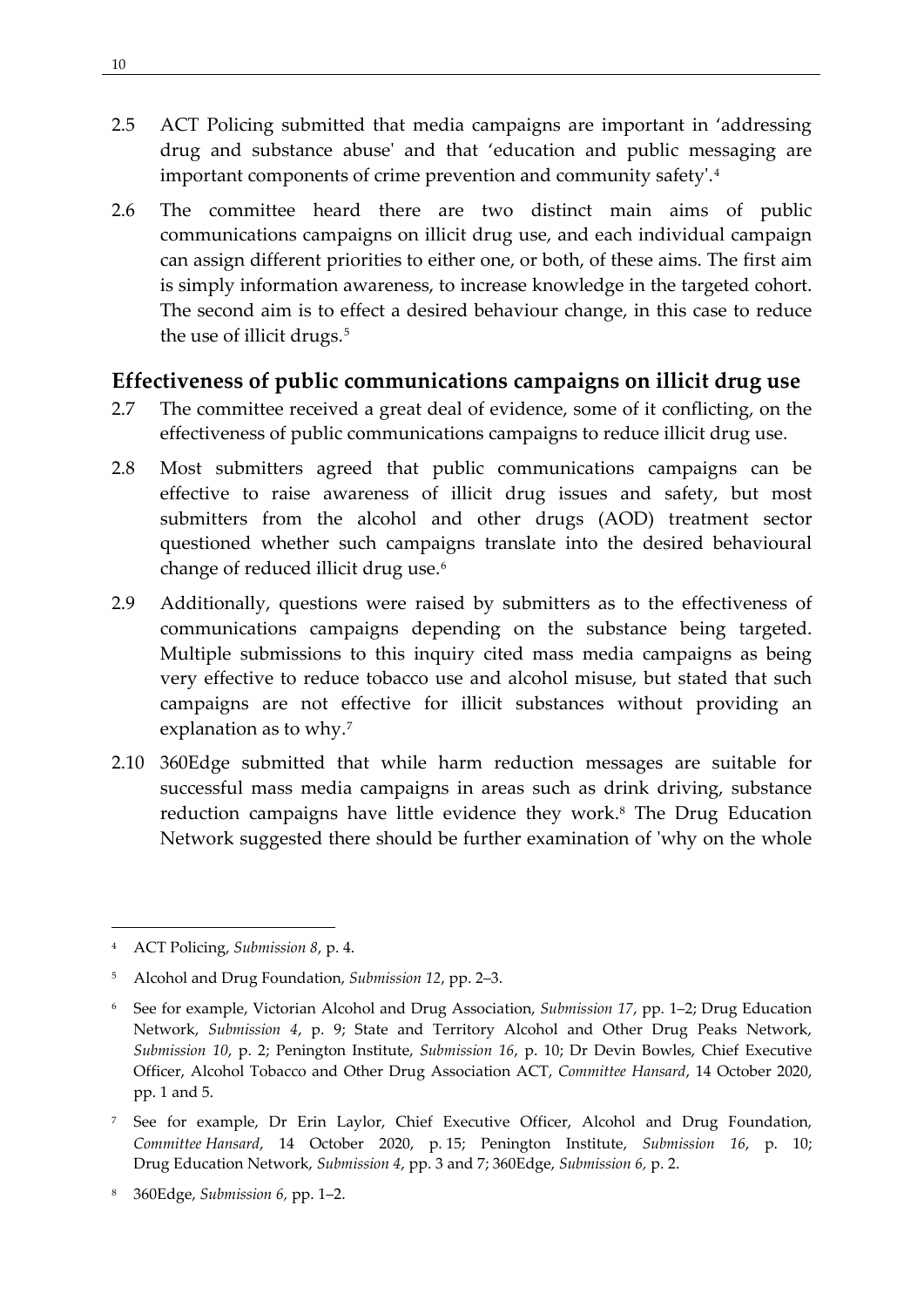- 2.5 ACT Policing submitted that media campaigns are important in 'addressing drug and substance abuse' and that 'education and public messaging are important components of crime prevention and community safety'.[4](#page-19-1)
- 2.6 The committee heard there are two distinct main aims of public communications campaigns on illicit drug use, and each individual campaign can assign different priorities to either one, or both, of these aims. The first aim is simply information awareness, to increase knowledge in the targeted cohort. The second aim is to effect a desired behaviour change, in this case to reduce the use of illicit drugs.<sup>[5](#page-19-2)</sup>

## <span id="page-19-0"></span>**Effectiveness of public communications campaigns on illicit drug use**

- 2.7 The committee received a great deal of evidence, some of it conflicting, on the effectiveness of public communications campaigns to reduce illicit drug use.
- 2.8 Most submitters agreed that public communications campaigns can be effective to raise awareness of illicit drug issues and safety, but most submitters from the alcohol and other drugs (AOD) treatment sector questioned whether such campaigns translate into the desired behavioural change of reduced illicit drug use.[6](#page-19-3)
- 2.9 Additionally, questions were raised by submitters as to the effectiveness of communications campaigns depending on the substance being targeted. Multiple submissions to this inquiry cited mass media campaigns as being very effective to reduce tobacco use and alcohol misuse, but stated that such campaigns are not effective for illicit substances without providing an explanation as to why.[7](#page-19-4)
- 2.10 360Edge submitted that while harm reduction messages are suitable for successful mass media campaigns in areas such as drink driving, substance reduction campaigns have little evidence they work.<sup>8</sup> The Drug Education Network suggested there should be further examination of 'why on the whole

<span id="page-19-1"></span><sup>4</sup> ACT Policing, *Submission 8*, p. 4.

<span id="page-19-2"></span><sup>5</sup> Alcohol and Drug Foundation, *Submission 12*, pp. 2–3.

<span id="page-19-3"></span><sup>6</sup> See for example, Victorian Alcohol and Drug Association, *Submission 17*, pp. 1–2; Drug Education Network, *Submission 4*, p. 9; State and Territory Alcohol and Other Drug Peaks Network, *Submission 10*, p. 2; Penington Institute, *Submission 16*, p. 10; Dr Devin Bowles, Chief Executive Officer, Alcohol Tobacco and Other Drug Association ACT, *Committee Hansard*, 14 October 2020, pp. 1 and 5.

<span id="page-19-4"></span><sup>7</sup> See for example, Dr Erin Laylor, Chief Executive Officer, Alcohol and Drug Foundation, *Committee Hansard*, 14 October 2020, p. 15; Penington Institute, *Submission 16*, p. 10; Drug Education Network, *Submission 4*, pp. 3 and 7; 360Edge, *Submission 6,* p. 2.

<span id="page-19-5"></span><sup>8</sup> 360Edge, *Submission 6,* pp. 1–2.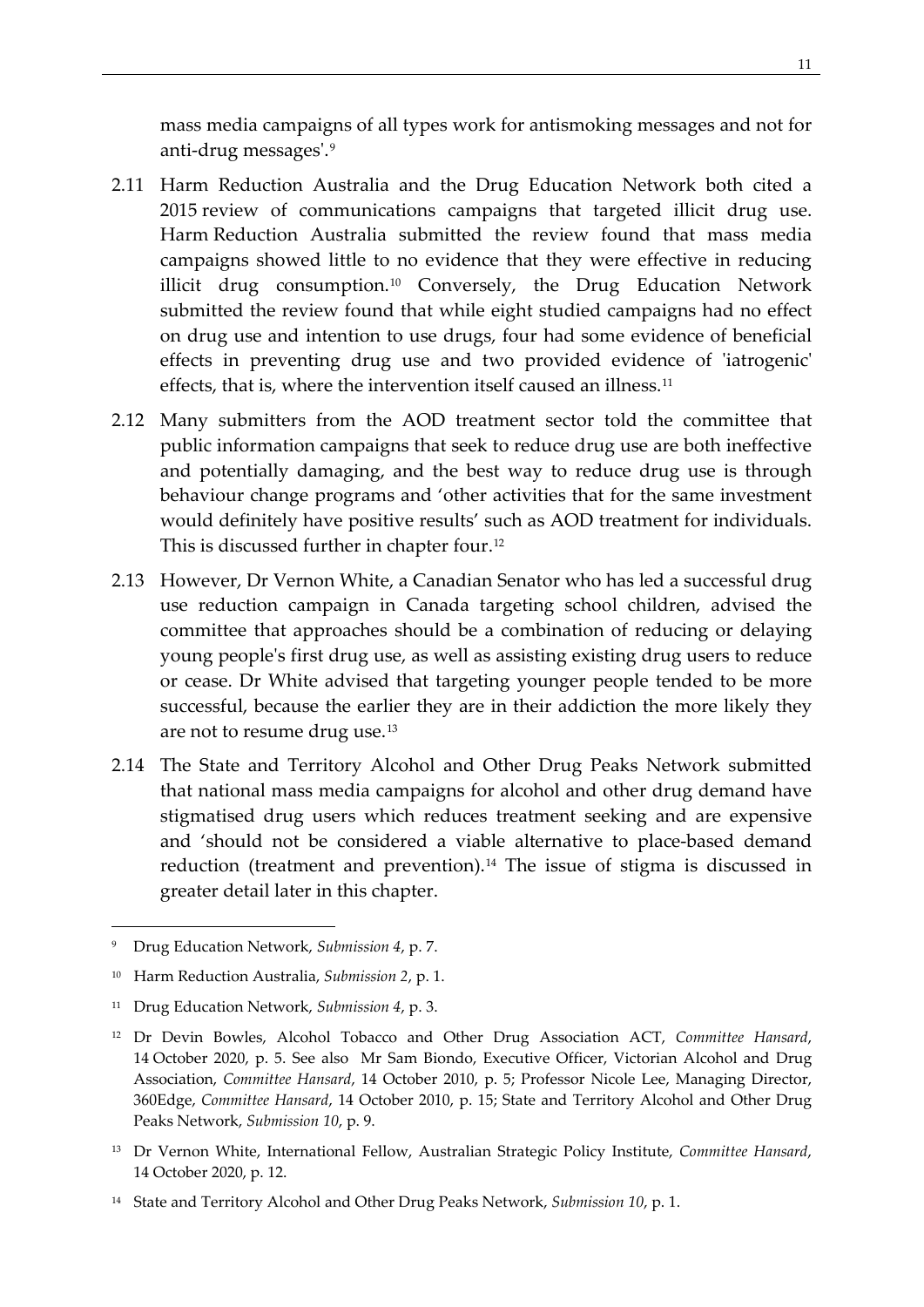mass media campaigns of all types work for antismoking messages and not for anti-drug messages'.[9](#page-20-0)

- 2.11 Harm Reduction Australia and the Drug Education Network both cited a 2015 review of communications campaigns that targeted illicit drug use. Harm Reduction Australia submitted the review found that mass media campaigns showed little to no evidence that they were effective in reducing illicit drug consumption.[10](#page-20-1) Conversely, the Drug Education Network submitted the review found that while eight studied campaigns had no effect on drug use and intention to use drugs, four had some evidence of beneficial effects in preventing drug use and two provided evidence of 'iatrogenic' effects, that is, where the intervention itself caused an illness.<sup>[11](#page-20-2)</sup>
- 2.12 Many submitters from the AOD treatment sector told the committee that public information campaigns that seek to reduce drug use are both ineffective and potentially damaging, and the best way to reduce drug use is through behaviour change programs and 'other activities that for the same investment would definitely have positive results' such as AOD treatment for individuals. This is discussed further in chapter four.[12](#page-20-3)
- 2.13 However, Dr Vernon White, a Canadian Senator who has led a successful drug use reduction campaign in Canada targeting school children, advised the committee that approaches should be a combination of reducing or delaying young people's first drug use, as well as assisting existing drug users to reduce or cease. Dr White advised that targeting younger people tended to be more successful, because the earlier they are in their addiction the more likely they are not to resume drug use.[13](#page-20-4)
- 2.14 The State and Territory Alcohol and Other Drug Peaks Network submitted that national mass media campaigns for alcohol and other drug demand have stigmatised drug users which reduces treatment seeking and are expensive and 'should not be considered a viable alternative to place-based demand reduction (treatment and prevention).<sup>[14](#page-20-5)</sup> The issue of stigma is discussed in greater detail later in this chapter.

<span id="page-20-4"></span><sup>13</sup> Dr Vernon White, International Fellow, Australian Strategic Policy Institute, *Committee Hansard*, 14 October 2020, p. 12.

<span id="page-20-0"></span><sup>9</sup> Drug Education Network, *Submission 4*, p. 7.

<span id="page-20-1"></span><sup>10</sup> Harm Reduction Australia, *Submission 2*, p. 1.

<span id="page-20-2"></span><sup>11</sup> Drug Education Network, *Submission 4*, p. 3.

<span id="page-20-3"></span><sup>12</sup> Dr Devin Bowles, Alcohol Tobacco and Other Drug Association ACT, *Committee Hansard*, 14 October 2020, p. 5. See also Mr Sam Biondo, Executive Officer, Victorian Alcohol and Drug Association, *Committee Hansard*, 14 October 2010, p. 5; Professor Nicole Lee, Managing Director, 360Edge, *Committee Hansard*, 14 October 2010, p. 15; State and Territory Alcohol and Other Drug Peaks Network, *Submission 10*, p. 9.

<span id="page-20-5"></span><sup>14</sup> State and Territory Alcohol and Other Drug Peaks Network, *Submission 10*, p. 1.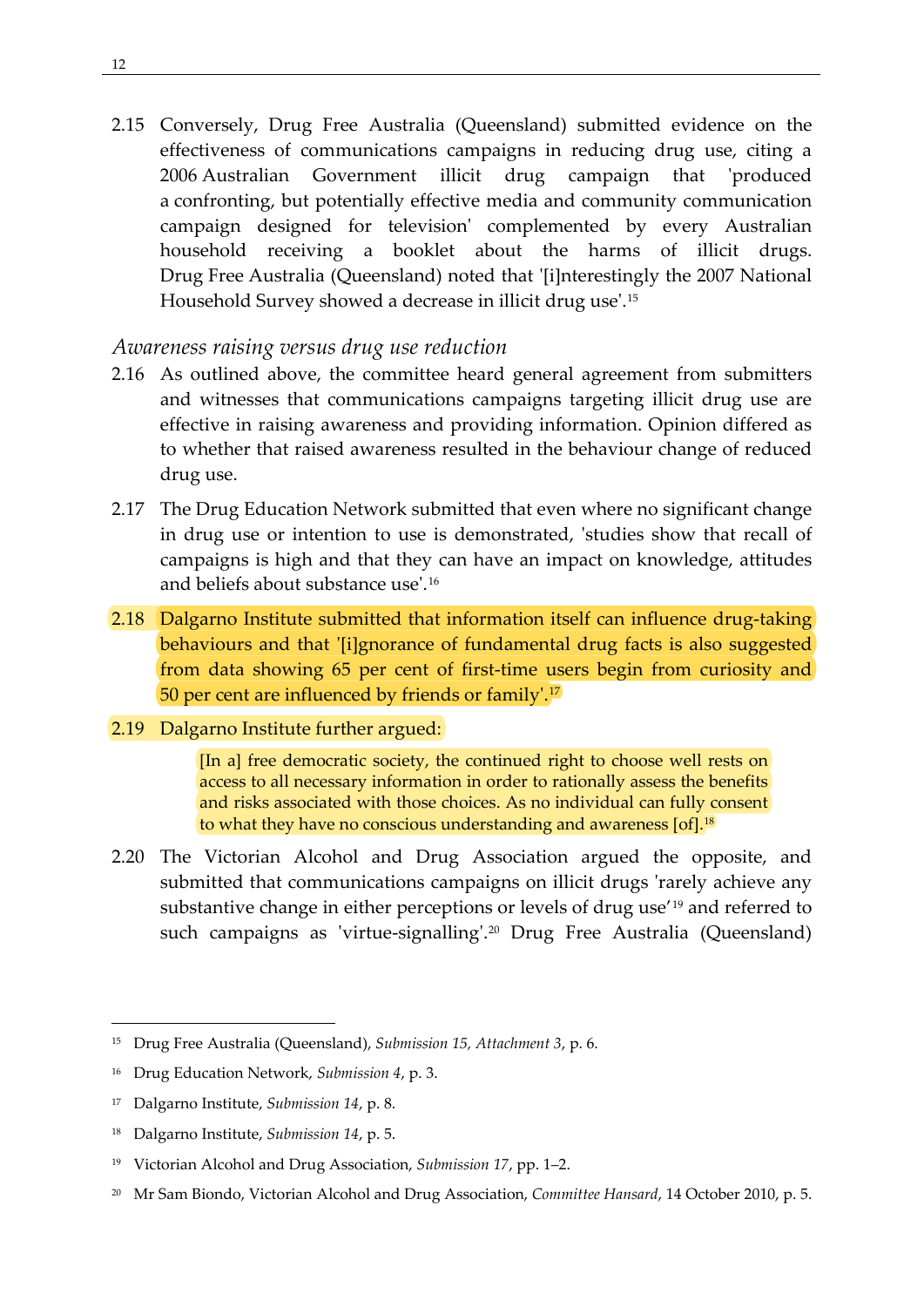2.15 Conversely, Drug Free Australia (Queensland) submitted evidence on the effectiveness of communications campaigns in reducing drug use, citing a 2006 Australian Government illicit drug campaign that 'produced a confronting, but potentially effective media and community communication campaign designed for television' complemented by every Australian household receiving a booklet about the harms of illicit drugs. Drug Free Australia (Queensland) noted that '[i]nterestingly the 2007 National Household Survey showed a decrease in illicit drug use'.[15](#page-21-1)

## <span id="page-21-0"></span>*Awareness raising versus drug use reduction*

- 2.16 As outlined above, the committee heard general agreement from submitters and witnesses that communications campaigns targeting illicit drug use are effective in raising awareness and providing information. Opinion differed as to whether that raised awareness resulted in the behaviour change of reduced drug use.
- 2.17 The Drug Education Network submitted that even where no significant change in drug use or intention to use is demonstrated, 'studies show that recall of campaigns is high and that they can have an impact on knowledge, attitudes and beliefs about substance use'.[16](#page-21-2)
- 2.18 Dalgarno Institute submitted that information itself can influence drug-taking behaviours and that '[i]gnorance of fundamental drug facts is also suggested from data showing 65 per cent of first-time users begin from curiosity and 50 per cent are influenced by friends or family'.[17](#page-21-3)

#### 2.19 Dalgarno Institute further argued:

[In a] free democratic society, the continued right to choose well rests on access to all necessary information in order to rationally assess the benefits and risks associated with those choices. As no individual can fully consent to what they have no conscious understanding and awareness [of].<sup>[18](#page-21-4)</sup>

2.20 The Victorian Alcohol and Drug Association argued the opposite, and submitted that communications campaigns on illicit drugs 'rarely achieve any substantive change in either perceptions or levels of drug use'[19](#page-21-5) and referred to such campaigns as 'virtue-signalling'.<sup>[20](#page-21-6)</sup> Drug Free Australia (Queensland)

<span id="page-21-1"></span><sup>15</sup> Drug Free Australia (Queensland), *Submission 15, Attachment 3*, p. 6.

<span id="page-21-2"></span><sup>16</sup> Drug Education Network, *Submission 4*, p. 3.

<span id="page-21-3"></span><sup>17</sup> Dalgarno Institute, *Submission 14*, p. 8.

<span id="page-21-4"></span><sup>18</sup> Dalgarno Institute, *Submission 14*, p. 5.

<span id="page-21-5"></span><sup>19</sup> Victorian Alcohol and Drug Association, *Submission 17*, pp. 1–2.

<span id="page-21-6"></span><sup>20</sup> Mr Sam Biondo, Victorian Alcohol and Drug Association, *Committee Hansard*, 14 October 2010, p. 5.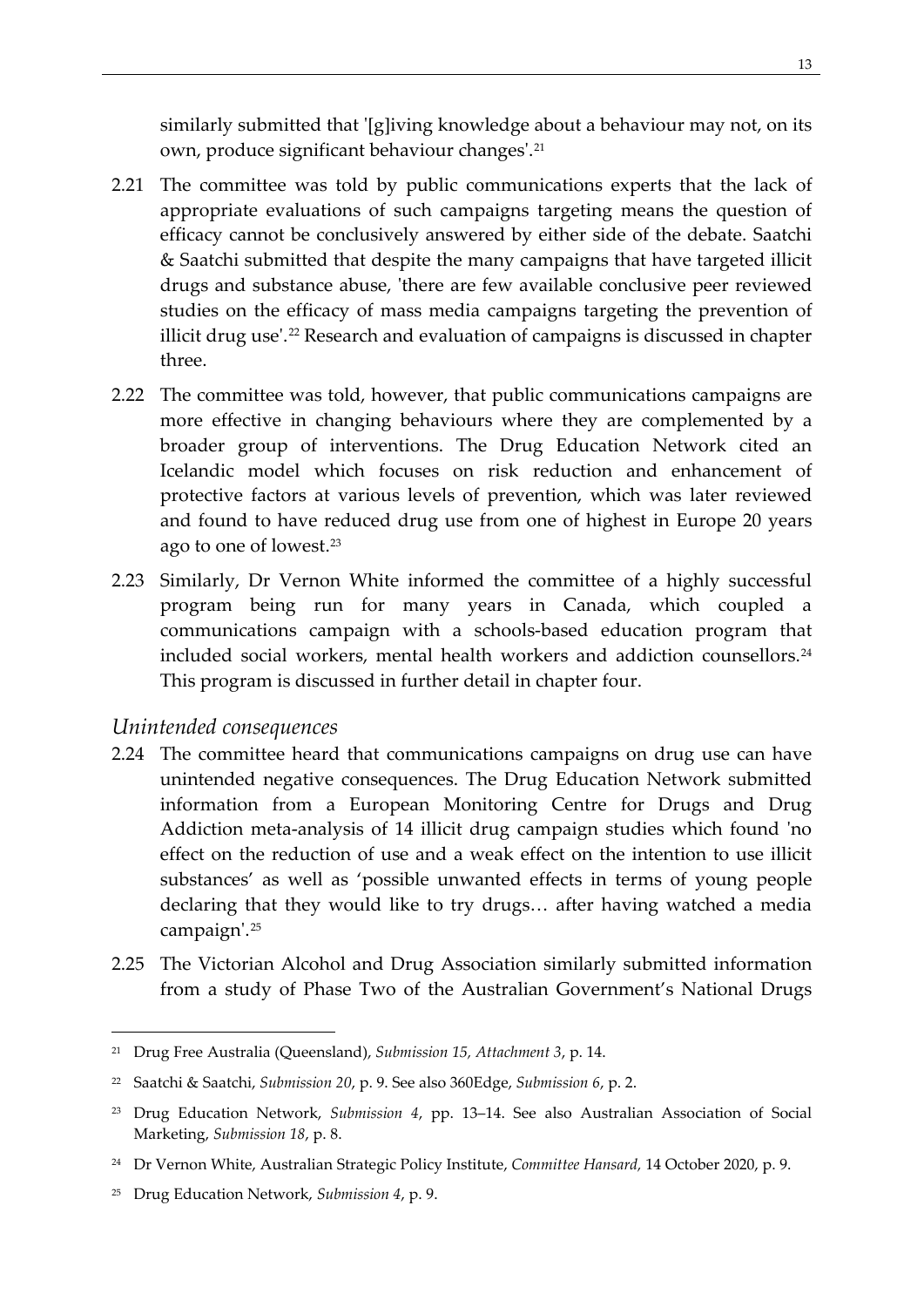similarly submitted that '[g]iving knowledge about a behaviour may not, on its own, produce significant behaviour changes'.[21](#page-22-1)

- 2.21 The committee was told by public communications experts that the lack of appropriate evaluations of such campaigns targeting means the question of efficacy cannot be conclusively answered by either side of the debate. Saatchi & Saatchi submitted that despite the many campaigns that have targeted illicit drugs and substance abuse, 'there are few available conclusive peer reviewed studies on the efficacy of mass media campaigns targeting the prevention of illicit drug use'.<sup>[22](#page-22-2)</sup> Research and evaluation of campaigns is discussed in chapter three.
- 2.22 The committee was told, however, that public communications campaigns are more effective in changing behaviours where they are complemented by a broader group of interventions. The Drug Education Network cited an Icelandic model which focuses on risk reduction and enhancement of protective factors at various levels of prevention, which was later reviewed and found to have reduced drug use from one of highest in Europe 20 years ago to one of lowest.[23](#page-22-3)
- 2.23 Similarly, Dr Vernon White informed the committee of a highly successful program being run for many years in Canada, which coupled a communications campaign with a schools-based education program that included social workers, mental health workers and addiction counsellors.<sup>[24](#page-22-4)</sup> This program is discussed in further detail in chapter four.

### <span id="page-22-0"></span>*Unintended consequences*

- 2.24 The committee heard that communications campaigns on drug use can have unintended negative consequences. The Drug Education Network submitted information from a European Monitoring Centre for Drugs and Drug Addiction meta-analysis of 14 illicit drug campaign studies which found 'no effect on the reduction of use and a weak effect on the intention to use illicit substances' as well as 'possible unwanted effects in terms of young people declaring that they would like to try drugs… after having watched a media campaign'.[25](#page-22-5)
- 2.25 The Victorian Alcohol and Drug Association similarly submitted information from a study of Phase Two of the Australian Government's National Drugs

<span id="page-22-1"></span><sup>21</sup> Drug Free Australia (Queensland), *Submission 15, Attachment 3*, p. 14.

<span id="page-22-2"></span><sup>22</sup> Saatchi & Saatchi, *Submission 20*, p. 9. See also 360Edge, *Submission 6*, p. 2.

<span id="page-22-3"></span><sup>23</sup> Drug Education Network, *Submission 4*, pp. 13–14. See also Australian Association of Social Marketing, *Submission 18*, p. 8.

<span id="page-22-4"></span><sup>24</sup> Dr Vernon White, Australian Strategic Policy Institute, *Committee Hansard,* 14 October 2020, p. 9.

<span id="page-22-5"></span><sup>25</sup> Drug Education Network, *Submission 4*, p. 9.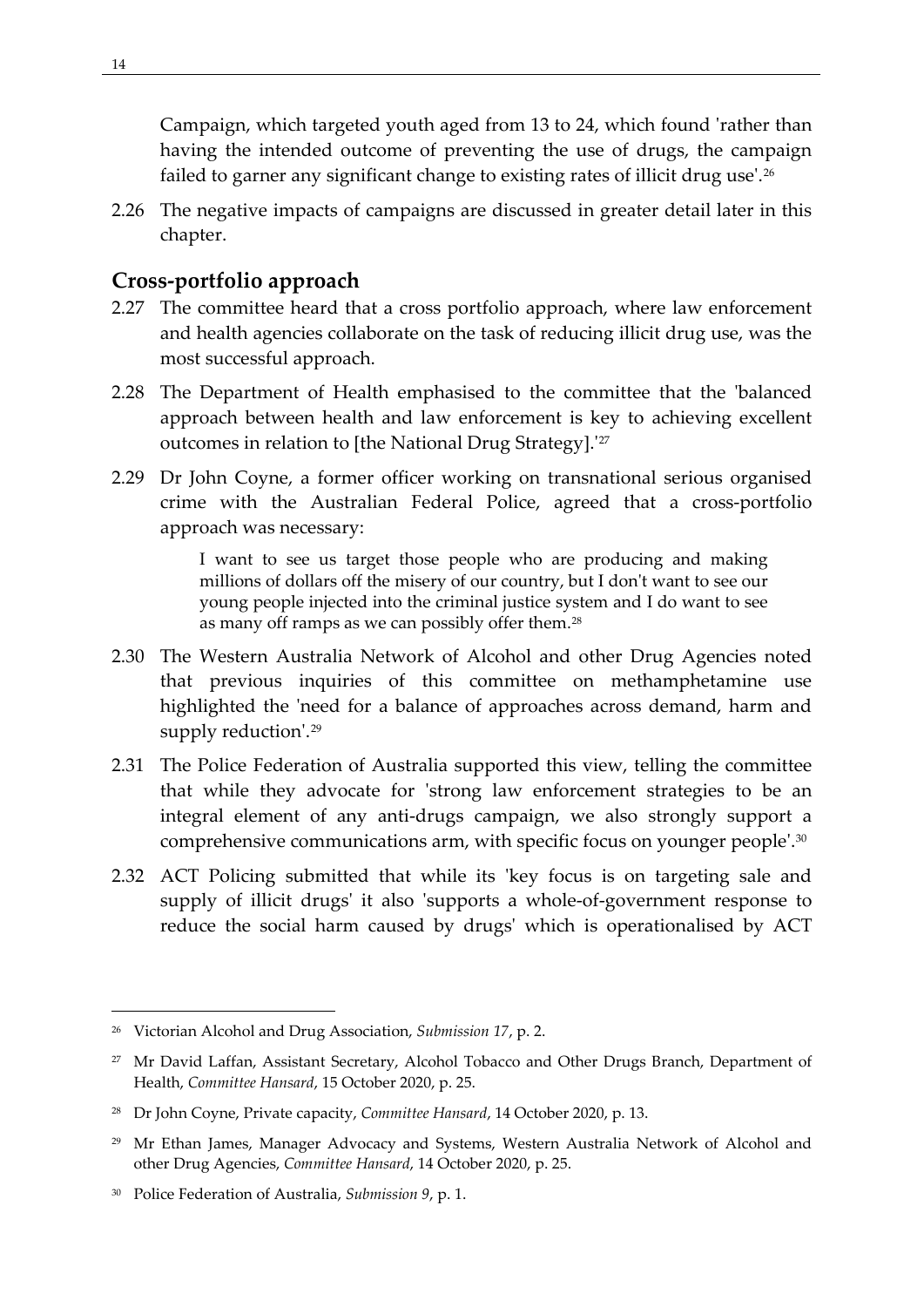Campaign, which targeted youth aged from 13 to 24, which found 'rather than having the intended outcome of preventing the use of drugs, the campaign failed to garner any significant change to existing rates of illicit drug use'.<sup>[26](#page-23-1)</sup>

2.26 The negative impacts of campaigns are discussed in greater detail later in this chapter.

## <span id="page-23-0"></span>**Cross-portfolio approach**

- 2.27 The committee heard that a cross portfolio approach, where law enforcement and health agencies collaborate on the task of reducing illicit drug use, was the most successful approach.
- 2.28 The Department of Health emphasised to the committee that the 'balanced approach between health and law enforcement is key to achieving excellent outcomes in relation to [the National Drug Strategy].<sup>'[27](#page-23-2)</sup>
- 2.29 Dr John Coyne, a former officer working on transnational serious organised crime with the Australian Federal Police, agreed that a cross-portfolio approach was necessary:

I want to see us target those people who are producing and making millions of dollars off the misery of our country, but I don't want to see our young people injected into the criminal justice system and I do want to see as many off ramps as we can possibly offer them.[28](#page-23-3)

- 2.30 The Western Australia Network of Alcohol and other Drug Agencies noted that previous inquiries of this committee on methamphetamine use highlighted the 'need for a balance of approaches across demand, harm and supply reduction'.<sup>[29](#page-23-4)</sup>
- 2.31 The Police Federation of Australia supported this view, telling the committee that while they advocate for 'strong law enforcement strategies to be an integral element of any anti-drugs campaign, we also strongly support a comprehensive communications arm, with specific focus on younger people'.[30](#page-23-5)
- 2.32 ACT Policing submitted that while its 'key focus is on targeting sale and supply of illicit drugs' it also 'supports a whole-of-government response to reduce the social harm caused by drugs' which is operationalised by ACT

<span id="page-23-1"></span><sup>26</sup> Victorian Alcohol and Drug Association, *Submission 17*, p. 2.

<span id="page-23-2"></span><sup>&</sup>lt;sup>27</sup> Mr David Laffan, Assistant Secretary, Alcohol Tobacco and Other Drugs Branch, Department of Health, *Committee Hansard*, 15 October 2020, p. 25.

<span id="page-23-3"></span><sup>28</sup> Dr John Coyne, Private capacity, *Committee Hansard*, 14 October 2020, p. 13.

<span id="page-23-4"></span><sup>29</sup> Mr Ethan James, Manager Advocacy and Systems, Western Australia Network of Alcohol and other Drug Agencies, *Committee Hansard*, 14 October 2020, p. 25.

<span id="page-23-5"></span><sup>30</sup> Police Federation of Australia, *Submission 9*, p. 1.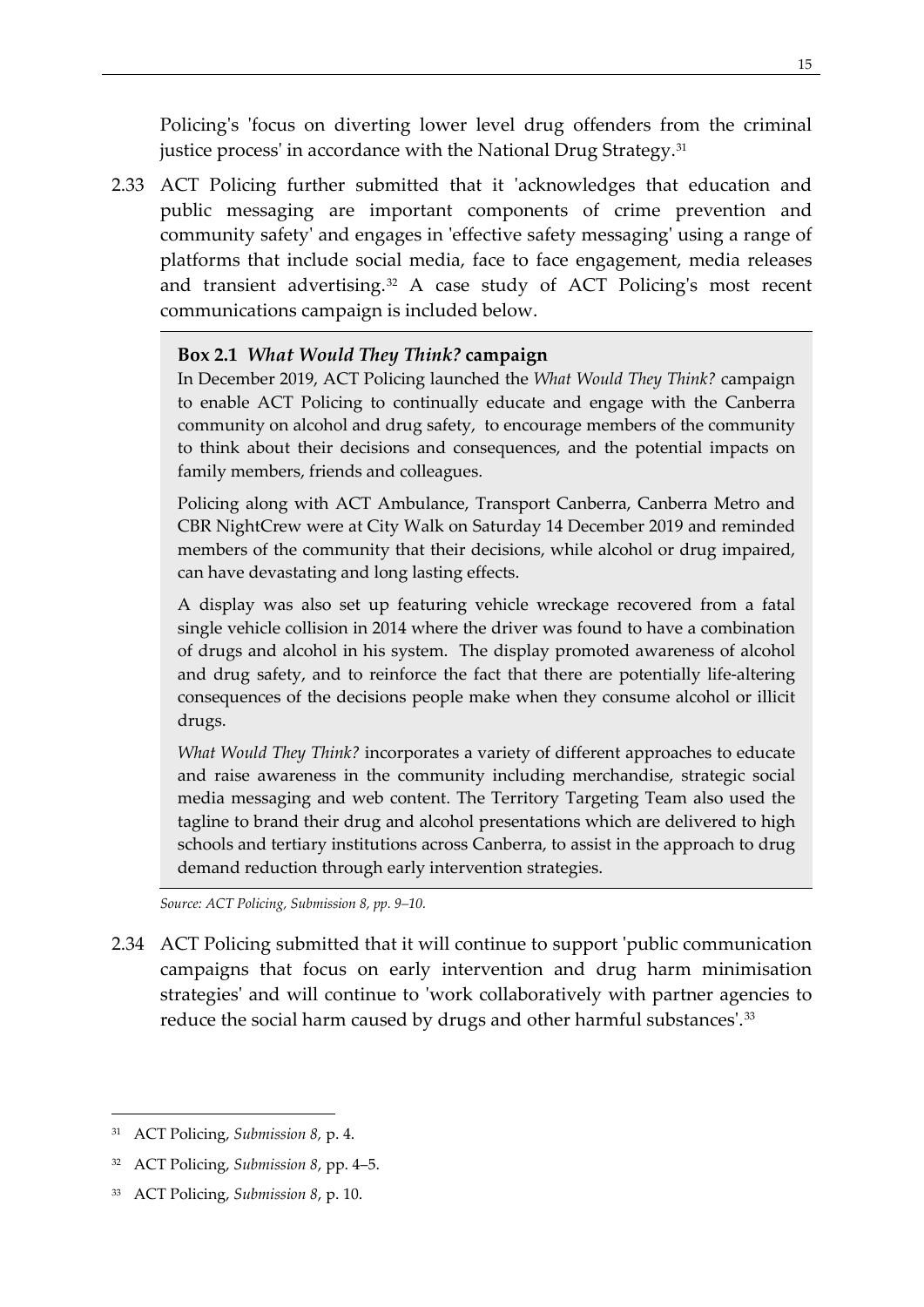Policing's 'focus on diverting lower level drug offenders from the criminal justice process' in accordance with the National Drug Strategy.<sup>[31](#page-24-0)</sup>

2.33 ACT Policing further submitted that it 'acknowledges that education and public messaging are important components of crime prevention and community safety' and engages in 'effective safety messaging' using a range of platforms that include social media, face to face engagement, media releases and transient advertising.<sup>[32](#page-24-1)</sup> A case study of ACT Policing's most recent communications campaign is included below.

#### **Box 2.1** *What Would They Think?* **campaign**

In December 2019, ACT Policing launched the *What Would They Think?* campaign to enable ACT Policing to continually educate and engage with the Canberra community on alcohol and drug safety, to encourage members of the community to think about their decisions and consequences, and the potential impacts on family members, friends and colleagues.

Policing along with ACT Ambulance, Transport Canberra, Canberra Metro and CBR NightCrew were at City Walk on Saturday 14 December 2019 and reminded members of the community that their decisions, while alcohol or drug impaired, can have devastating and long lasting effects.

A display was also set up featuring vehicle wreckage recovered from a fatal single vehicle collision in 2014 where the driver was found to have a combination of drugs and alcohol in his system. The display promoted awareness of alcohol and drug safety, and to reinforce the fact that there are potentially life-altering consequences of the decisions people make when they consume alcohol or illicit drugs.

*What Would They Think?* incorporates a variety of different approaches to educate and raise awareness in the community including merchandise, strategic social media messaging and web content. The Territory Targeting Team also used the tagline to brand their drug and alcohol presentations which are delivered to high schools and tertiary institutions across Canberra, to assist in the approach to drug demand reduction through early intervention strategies.

*Source: ACT Policing, Submission 8, pp. 9–10.*

2.34 ACT Policing submitted that it will continue to support 'public communication campaigns that focus on early intervention and drug harm minimisation strategies' and will continue to 'work collaboratively with partner agencies to reduce the social harm caused by drugs and other harmful substances'.<sup>[33](#page-24-2)</sup>

<span id="page-24-0"></span><sup>31</sup> ACT Policing, *Submission 8,* p. 4.

<span id="page-24-1"></span><sup>32</sup> ACT Policing, *Submission 8*, pp. 4–5.

<span id="page-24-2"></span><sup>33</sup> ACT Policing, *Submission 8*, p. 10.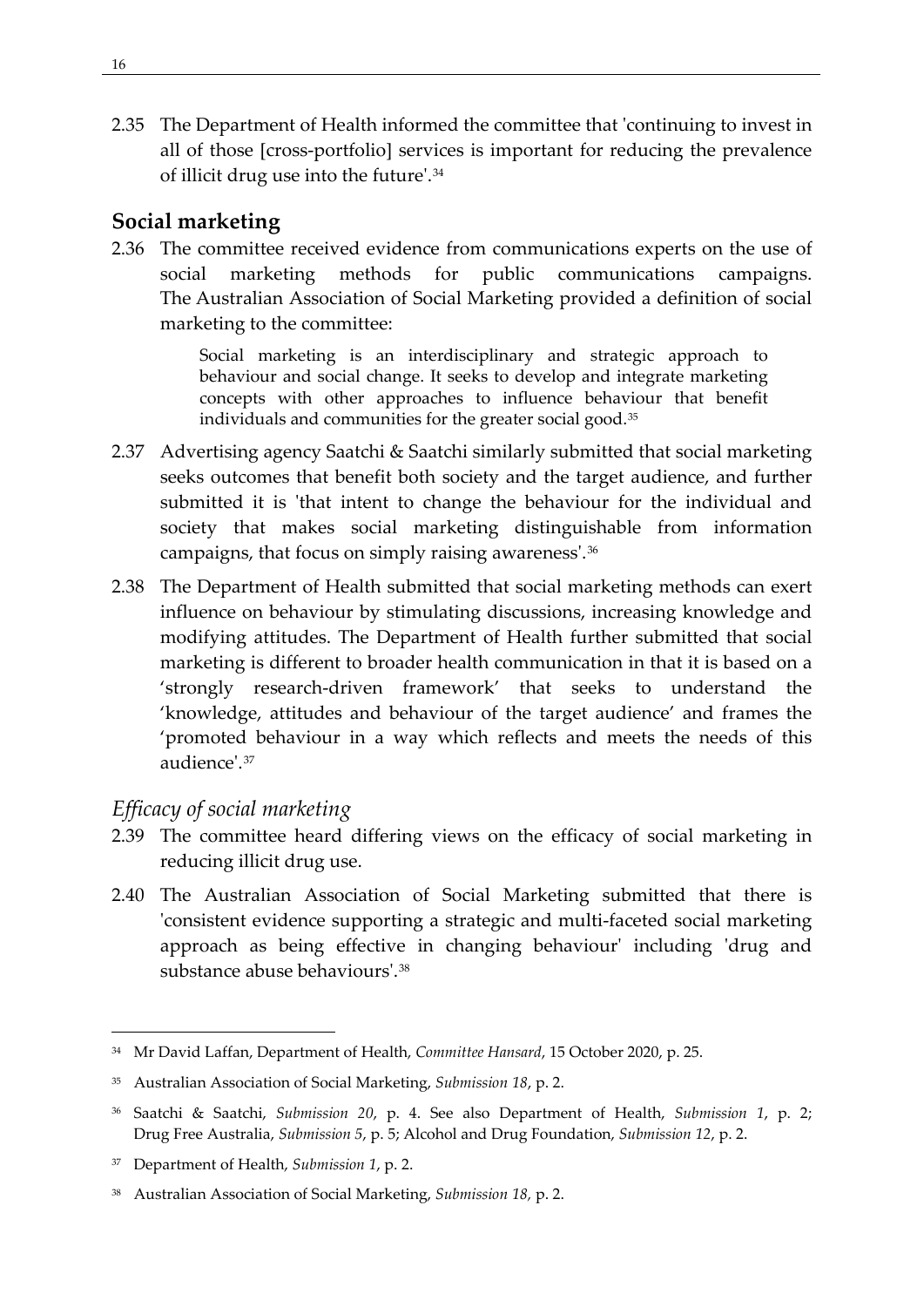2.35 The Department of Health informed the committee that 'continuing to invest in all of those [cross-portfolio] services is important for reducing the prevalence of illicit drug use into the future'.[34](#page-25-2)

## <span id="page-25-0"></span>**Social marketing**

2.36 The committee received evidence from communications experts on the use of social marketing methods for public communications campaigns. The Australian Association of Social Marketing provided a definition of social marketing to the committee:

> Social marketing is an interdisciplinary and strategic approach to behaviour and social change. It seeks to develop and integrate marketing concepts with other approaches to influence behaviour that benefit individuals and communities for the greater social good.<sup>[35](#page-25-3)</sup>

- 2.37 Advertising agency Saatchi & Saatchi similarly submitted that social marketing seeks outcomes that benefit both society and the target audience, and further submitted it is 'that intent to change the behaviour for the individual and society that makes social marketing distinguishable from information campaigns, that focus on simply raising awareness'.[36](#page-25-4)
- 2.38 The Department of Health submitted that social marketing methods can exert influence on behaviour by stimulating discussions, increasing knowledge and modifying attitudes. The Department of Health further submitted that social marketing is different to broader health communication in that it is based on a 'strongly research-driven framework' that seeks to understand the 'knowledge, attitudes and behaviour of the target audience' and frames the 'promoted behaviour in a way which reflects and meets the needs of this audience'. [37](#page-25-5)

# <span id="page-25-1"></span>*Efficacy of social marketing*

- 2.39 The committee heard differing views on the efficacy of social marketing in reducing illicit drug use.
- 2.40 The Australian Association of Social Marketing submitted that there is 'consistent evidence supporting a strategic and multi-faceted social marketing approach as being effective in changing behaviour' including 'drug and substance abuse behaviours'.[38](#page-25-6)

<span id="page-25-2"></span><sup>34</sup> Mr David Laffan, Department of Health, *Committee Hansard*, 15 October 2020, p. 25.

<span id="page-25-3"></span><sup>35</sup> Australian Association of Social Marketing, *Submission 18*, p. 2.

<span id="page-25-4"></span><sup>36</sup> Saatchi & Saatchi, *Submission 20*, p. 4. See also Department of Health, *Submission 1*, p. 2; Drug Free Australia, *Submission 5*, p. 5; Alcohol and Drug Foundation, *Submission 12*, p. 2.

<span id="page-25-5"></span><sup>37</sup> Department of Health, *Submission 1*, p. 2.

<span id="page-25-6"></span><sup>38</sup> Australian Association of Social Marketing, *Submission 18,* p. 2.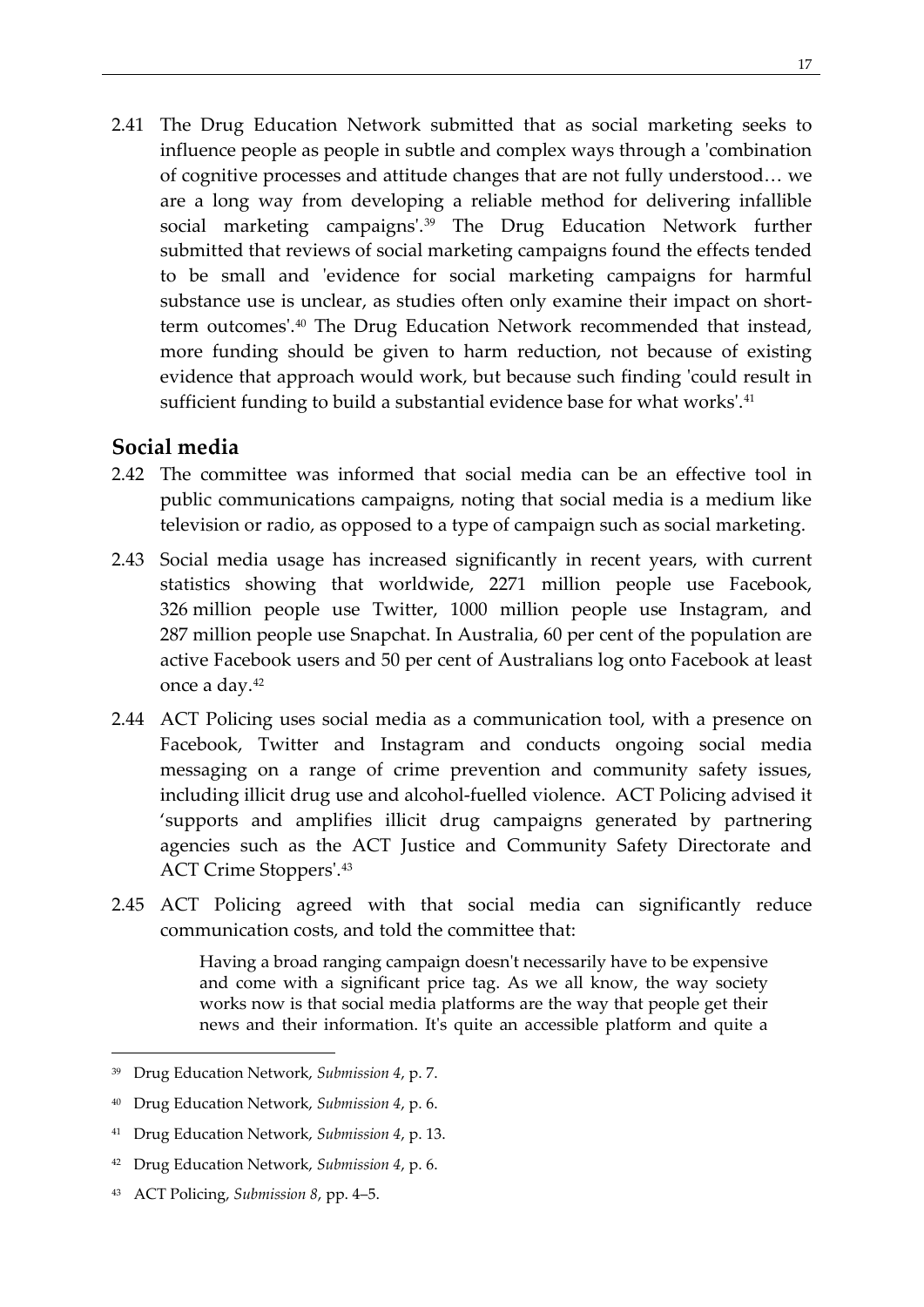2.41 The Drug Education Network submitted that as social marketing seeks to influence people as people in subtle and complex ways through a 'combination of cognitive processes and attitude changes that are not fully understood… we are a long way from developing a reliable method for delivering infallible social marketing campaigns'.[39](#page-26-1) The Drug Education Network further submitted that reviews of social marketing campaigns found the effects tended to be small and 'evidence for social marketing campaigns for harmful substance use is unclear, as studies often only examine their impact on shortterm outcomes'[.40](#page-26-2) The Drug Education Network recommended that instead, more funding should be given to harm reduction, not because of existing evidence that approach would work, but because such finding 'could result in sufficient funding to build a substantial evidence base for what works'.<sup>[41](#page-26-3)</sup>

### <span id="page-26-0"></span>**Social media**

- 2.42 The committee was informed that social media can be an effective tool in public communications campaigns, noting that social media is a medium like television or radio, as opposed to a type of campaign such as social marketing.
- 2.43 Social media usage has increased significantly in recent years, with current statistics showing that worldwide, 2271 million people use Facebook, 326 million people use Twitter, 1000 million people use Instagram, and 287 million people use Snapchat. In Australia, 60 per cent of the population are active Facebook users and 50 per cent of Australians log onto Facebook at least once a day.[42](#page-26-4)
- 2.44 ACT Policing uses social media as a communication tool, with a presence on Facebook, Twitter and Instagram and conducts ongoing social media messaging on a range of crime prevention and community safety issues, including illicit drug use and alcohol-fuelled violence. ACT Policing advised it 'supports and amplifies illicit drug campaigns generated by partnering agencies such as the ACT Justice and Community Safety Directorate and ACT Crime Stoppers'.[43](#page-26-5)
- 2.45 ACT Policing agreed with that social media can significantly reduce communication costs, and told the committee that:

Having a broad ranging campaign doesn't necessarily have to be expensive and come with a significant price tag. As we all know, the way society works now is that social media platforms are the way that people get their news and their information. It's quite an accessible platform and quite a

<span id="page-26-5"></span><sup>43</sup> ACT Policing, *Submission 8*, pp. 4–5.

<span id="page-26-1"></span><sup>39</sup> Drug Education Network, *Submission 4*, p. 7.

<span id="page-26-2"></span><sup>40</sup> Drug Education Network, *Submission 4*, p. 6.

<span id="page-26-3"></span><sup>41</sup> Drug Education Network, *Submission 4*, p. 13.

<span id="page-26-4"></span><sup>42</sup> Drug Education Network, *Submission 4*, p. 6.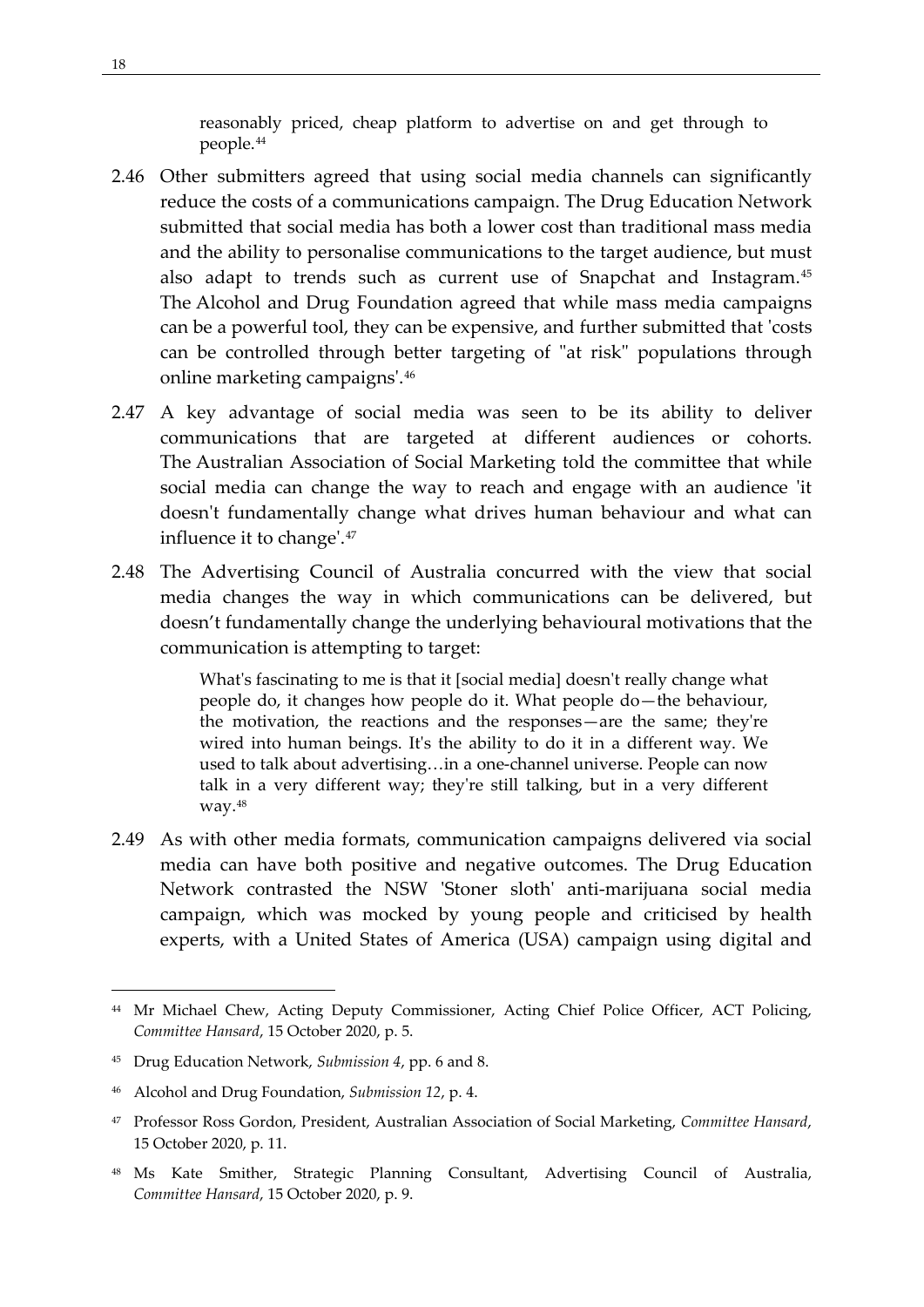reasonably priced, cheap platform to advertise on and get through to people.[44](#page-27-0)

- 2.46 Other submitters agreed that using social media channels can significantly reduce the costs of a communications campaign. The Drug Education Network submitted that social media has both a lower cost than traditional mass media and the ability to personalise communications to the target audience, but must also adapt to trends such as current use of Snapchat and Instagram.[45](#page-27-1) The Alcohol and Drug Foundation agreed that while mass media campaigns can be a powerful tool, they can be expensive, and further submitted that 'costs can be controlled through better targeting of "at risk" populations through online marketing campaigns'.[46](#page-27-2)
- 2.47 A key advantage of social media was seen to be its ability to deliver communications that are targeted at different audiences or cohorts. The Australian Association of Social Marketing told the committee that while social media can change the way to reach and engage with an audience 'it doesn't fundamentally change what drives human behaviour and what can influence it to change'.[47](#page-27-3)
- 2.48 The Advertising Council of Australia concurred with the view that social media changes the way in which communications can be delivered, but doesn't fundamentally change the underlying behavioural motivations that the communication is attempting to target:

What's fascinating to me is that it [social media] doesn't really change what people do, it changes how people do it. What people do—the behaviour, the motivation, the reactions and the responses—are the same; they're wired into human beings. It's the ability to do it in a different way. We used to talk about advertising…in a one-channel universe. People can now talk in a very different way; they're still talking, but in a very different way.[48](#page-27-4)

2.49 As with other media formats, communication campaigns delivered via social media can have both positive and negative outcomes. The Drug Education Network contrasted the NSW 'Stoner sloth' anti-marijuana social media campaign, which was mocked by young people and criticised by health experts, with a United States of America (USA) campaign using digital and

<span id="page-27-0"></span><sup>&</sup>lt;sup>44</sup> Mr Michael Chew, Acting Deputy Commissioner, Acting Chief Police Officer, ACT Policing, *Committee Hansard*, 15 October 2020, p. 5.

<span id="page-27-1"></span><sup>45</sup> Drug Education Network, *Submission 4*, pp. 6 and 8.

<span id="page-27-2"></span><sup>46</sup> Alcohol and Drug Foundation, *Submission 12*, p. 4.

<span id="page-27-3"></span><sup>47</sup> Professor Ross Gordon, President, Australian Association of Social Marketing, *Committee Hansard*, 15 October 2020, p. 11.

<span id="page-27-4"></span><sup>48</sup> Ms Kate Smither, Strategic Planning Consultant, Advertising Council of Australia, *Committee Hansard*, 15 October 2020, p. 9.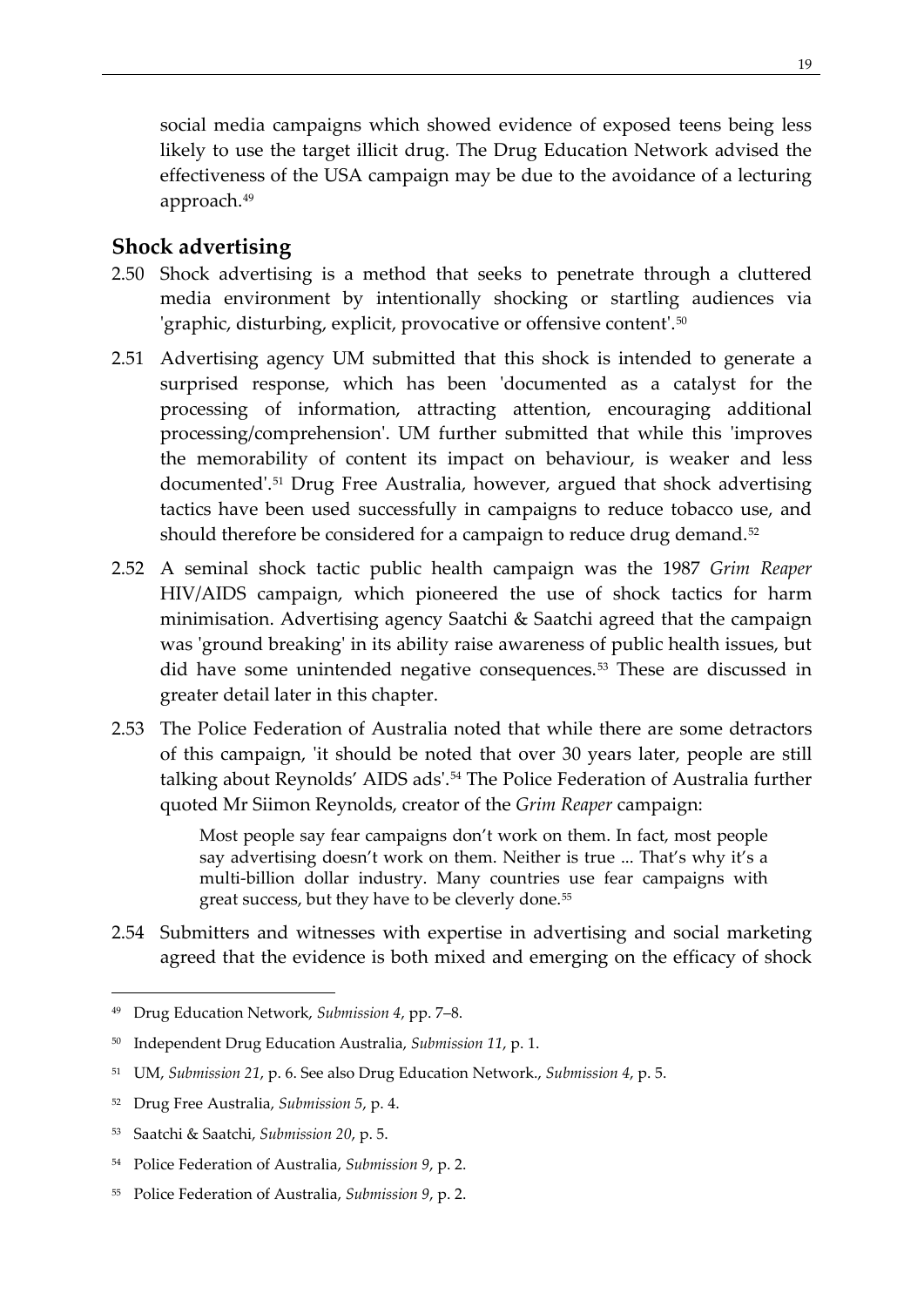social media campaigns which showed evidence of exposed teens being less likely to use the target illicit drug. The Drug Education Network advised the effectiveness of the USA campaign may be due to the avoidance of a lecturing approach.[49](#page-28-1)

## <span id="page-28-0"></span>**Shock advertising**

- 2.50 Shock advertising is a method that seeks to penetrate through a cluttered media environment by intentionally shocking or startling audiences via 'graphic, disturbing, explicit, provocative or offensive content'.<sup>[50](#page-28-2)</sup>
- 2.51 Advertising agency UM submitted that this shock is intended to generate a surprised response, which has been 'documented as a catalyst for the processing of information, attracting attention, encouraging additional processing/comprehension'. UM further submitted that while this 'improves the memorability of content its impact on behaviour, is weaker and less documented'.[51](#page-28-3) Drug Free Australia, however, argued that shock advertising tactics have been used successfully in campaigns to reduce tobacco use, and should therefore be considered for a campaign to reduce drug demand.<sup>[52](#page-28-4)</sup>
- 2.52 A seminal shock tactic public health campaign was the 1987 *Grim Reaper* HIV/AIDS campaign, which pioneered the use of shock tactics for harm minimisation. Advertising agency Saatchi & Saatchi agreed that the campaign was 'ground breaking' in its ability raise awareness of public health issues, but did have some unintended negative consequences.<sup>[53](#page-28-5)</sup> These are discussed in greater detail later in this chapter.
- 2.53 The Police Federation of Australia noted that while there are some detractors of this campaign, 'it should be noted that over 30 years later, people are still talking about Reynolds' AIDS ads'.[54](#page-28-6) The Police Federation of Australia further quoted Mr Siimon Reynolds, creator of the *Grim Reaper* campaign:

Most people say fear campaigns don't work on them. In fact, most people say advertising doesn't work on them. Neither is true ... That's why it's a multi-billion dollar industry. Many countries use fear campaigns with great success, but they have to be cleverly done.[55](#page-28-7)

2.54 Submitters and witnesses with expertise in advertising and social marketing agreed that the evidence is both mixed and emerging on the efficacy of shock

<span id="page-28-1"></span><sup>49</sup> Drug Education Network, *Submission 4*, pp. 7–8.

<span id="page-28-2"></span><sup>50</sup> Independent Drug Education Australia, *Submission 11*, p. 1.

<span id="page-28-3"></span><sup>51</sup> UM, *Submission 21*, p. 6. See also Drug Education Network., *Submission 4*, p. 5.

<span id="page-28-4"></span><sup>52</sup> Drug Free Australia, *Submission 5*, p. 4.

<span id="page-28-5"></span><sup>53</sup> Saatchi & Saatchi, *Submission 20*, p. 5.

<span id="page-28-6"></span><sup>54</sup> Police Federation of Australia, *Submission 9*, p. 2.

<span id="page-28-7"></span><sup>55</sup> Police Federation of Australia, *Submission 9*, p. 2.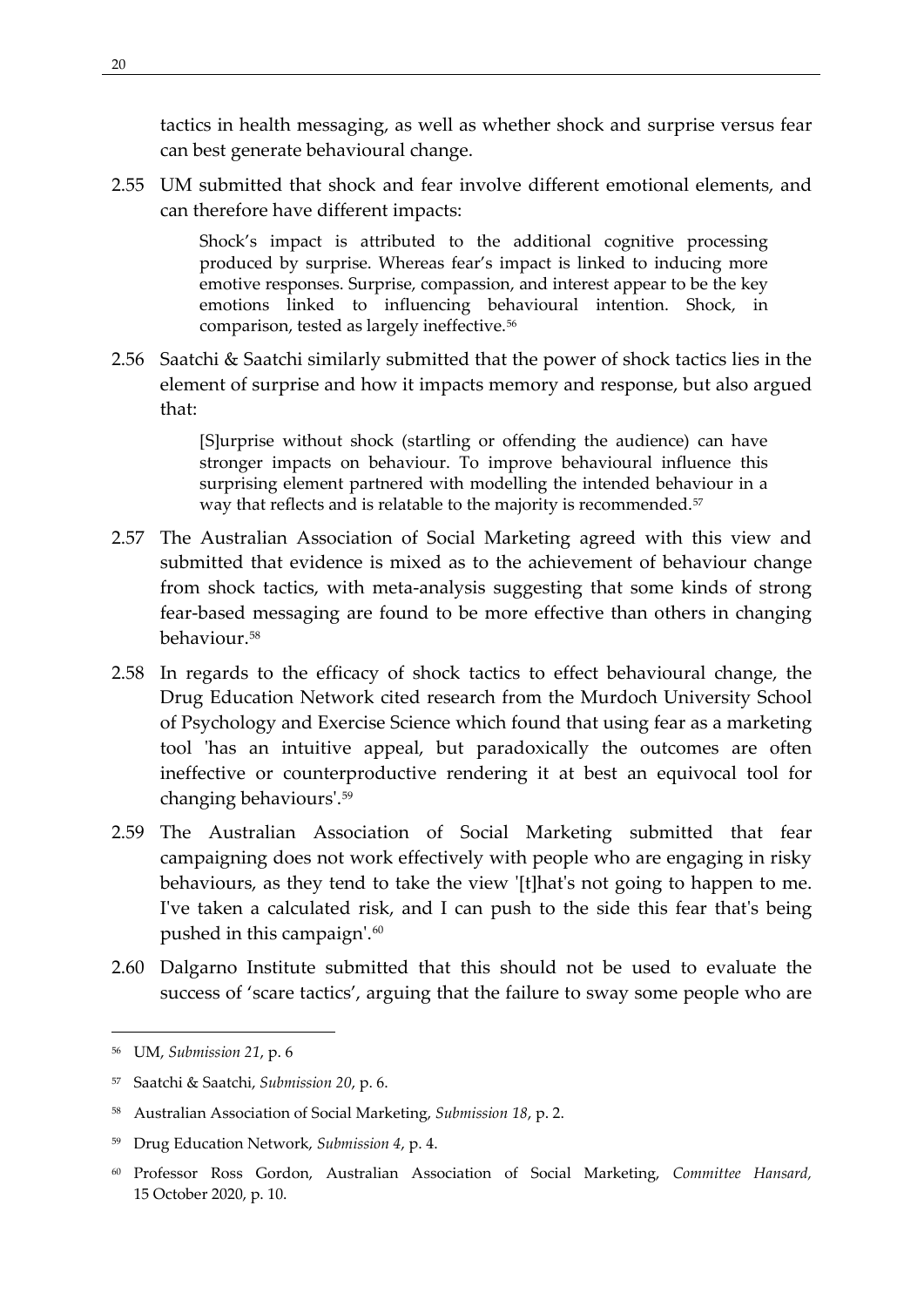tactics in health messaging, as well as whether shock and surprise versus fear can best generate behavioural change.

2.55 UM submitted that shock and fear involve different emotional elements, and can therefore have different impacts:

> Shock's impact is attributed to the additional cognitive processing produced by surprise. Whereas fear's impact is linked to inducing more emotive responses. Surprise, compassion, and interest appear to be the key emotions linked to influencing behavioural intention. Shock, in comparison, tested as largely ineffective.[56](#page-29-0)

2.56 Saatchi & Saatchi similarly submitted that the power of shock tactics lies in the element of surprise and how it impacts memory and response, but also argued that:

> [S]urprise without shock (startling or offending the audience) can have stronger impacts on behaviour. To improve behavioural influence this surprising element partnered with modelling the intended behaviour in a way that reflects and is relatable to the majority is recommended.<sup>[57](#page-29-1)</sup>

- 2.57 The Australian Association of Social Marketing agreed with this view and submitted that evidence is mixed as to the achievement of behaviour change from shock tactics, with meta-analysis suggesting that some kinds of strong fear-based messaging are found to be more effective than others in changing behaviour.[58](#page-29-2)
- 2.58 In regards to the efficacy of shock tactics to effect behavioural change, the Drug Education Network cited research from the Murdoch University School of Psychology and Exercise Science which found that using fear as a marketing tool 'has an intuitive appeal, but paradoxically the outcomes are often ineffective or counterproductive rendering it at best an equivocal tool for changing behaviours'.[59](#page-29-3)
- 2.59 The Australian Association of Social Marketing submitted that fear campaigning does not work effectively with people who are engaging in risky behaviours, as they tend to take the view '[t]hat's not going to happen to me. I've taken a calculated risk, and I can push to the side this fear that's being pushed in this campaign'.<sup>[60](#page-29-4)</sup>
- 2.60 Dalgarno Institute submitted that this should not be used to evaluate the success of 'scare tactics', arguing that the failure to sway some people who are

<span id="page-29-0"></span><sup>56</sup> UM, *Submission 21*, p. 6

<span id="page-29-1"></span><sup>57</sup> Saatchi & Saatchi, *Submission 20*, p. 6.

<span id="page-29-2"></span><sup>58</sup> Australian Association of Social Marketing, *Submission 18*, p. 2.

<span id="page-29-3"></span><sup>59</sup> Drug Education Network, *Submission 4*, p. 4.

<span id="page-29-4"></span><sup>60</sup> Professor Ross Gordon, Australian Association of Social Marketing, *Committee Hansard,*  15 October 2020, p. 10.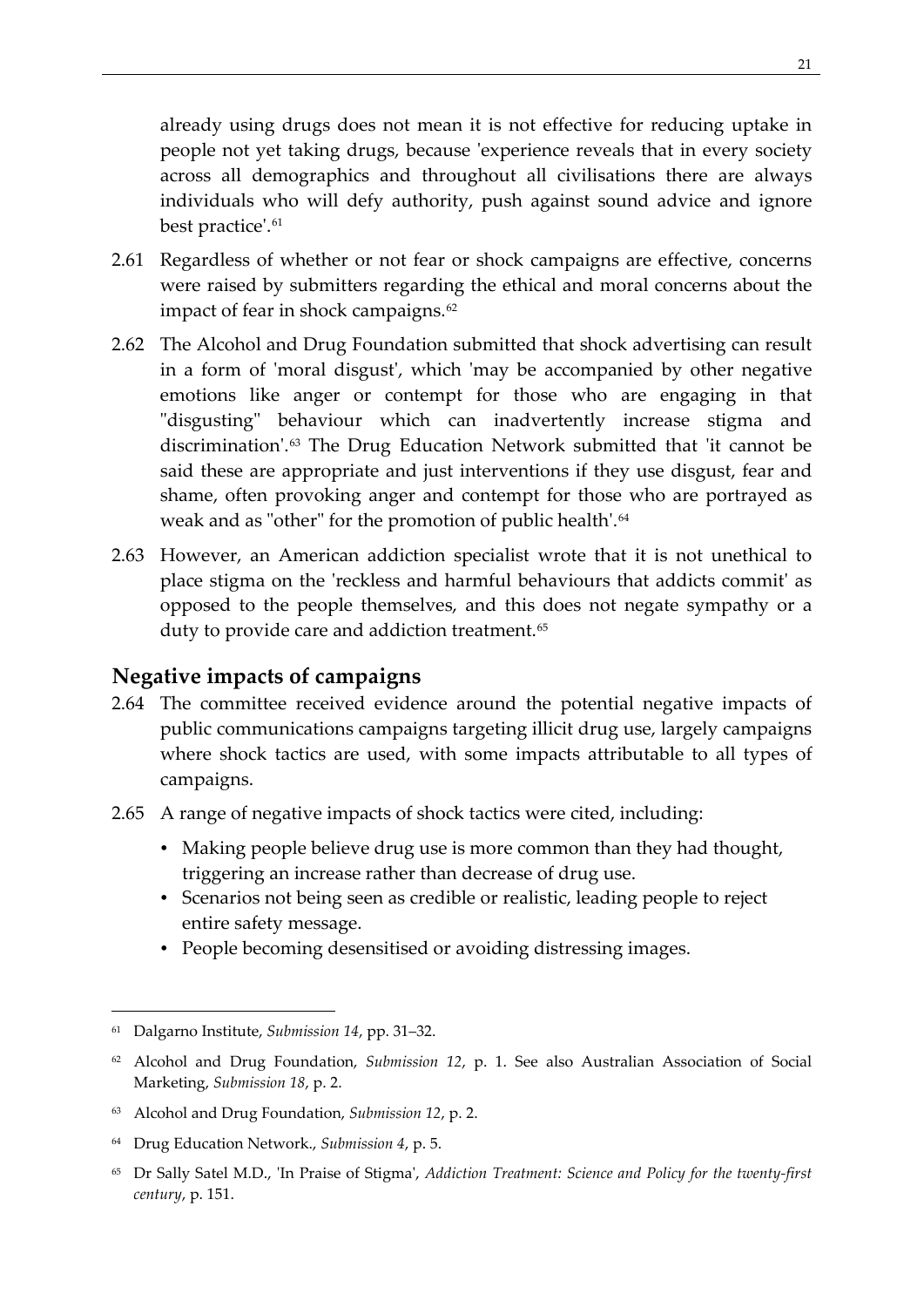already using drugs does not mean it is not effective for reducing uptake in people not yet taking drugs, because 'experience reveals that in every society across all demographics and throughout all civilisations there are always individuals who will defy authority, push against sound advice and ignore best practice'.<sup>[61](#page-30-1)</sup>

- 2.61 Regardless of whether or not fear or shock campaigns are effective, concerns were raised by submitters regarding the ethical and moral concerns about the impact of fear in shock campaigns.<sup>[62](#page-30-2)</sup>
- 2.62 The Alcohol and Drug Foundation submitted that shock advertising can result in a form of 'moral disgust', which 'may be accompanied by other negative emotions like anger or contempt for those who are engaging in that "disgusting" behaviour which can inadvertently increase stigma and discrimination'.[63](#page-30-3) The Drug Education Network submitted that 'it cannot be said these are appropriate and just interventions if they use disgust, fear and shame, often provoking anger and contempt for those who are portrayed as weak and as "other" for the promotion of public health'.<sup>[64](#page-30-4)</sup>
- 2.63 However, an American addiction specialist wrote that it is not unethical to place stigma on the 'reckless and harmful behaviours that addicts commit' as opposed to the people themselves, and this does not negate sympathy or a duty to provide care and addiction treatment.<sup>[65](#page-30-5)</sup>

### <span id="page-30-0"></span>**Negative impacts of campaigns**

- 2.64 The committee received evidence around the potential negative impacts of public communications campaigns targeting illicit drug use, largely campaigns where shock tactics are used, with some impacts attributable to all types of campaigns.
- 2.65 A range of negative impacts of shock tactics were cited, including:
	- Making people believe drug use is more common than they had thought, triggering an increase rather than decrease of drug use.
	- Scenarios not being seen as credible or realistic, leading people to reject entire safety message.
	- People becoming desensitised or avoiding distressing images.

<span id="page-30-1"></span><sup>61</sup> Dalgarno Institute, *Submission 14*, pp. 31–32.

<span id="page-30-2"></span><sup>62</sup> Alcohol and Drug Foundation, *Submission 12*, p. 1. See also Australian Association of Social Marketing, *Submission 18*, p. 2.

<span id="page-30-3"></span><sup>63</sup> Alcohol and Drug Foundation, *Submission 12*, p. 2.

<span id="page-30-4"></span><sup>64</sup> Drug Education Network., *Submission 4*, p. 5.

<span id="page-30-5"></span><sup>65</sup> Dr Sally Satel M.D., 'In Praise of Stigma', *Addiction Treatment: Science and Policy for the twenty-first century*, p. 151.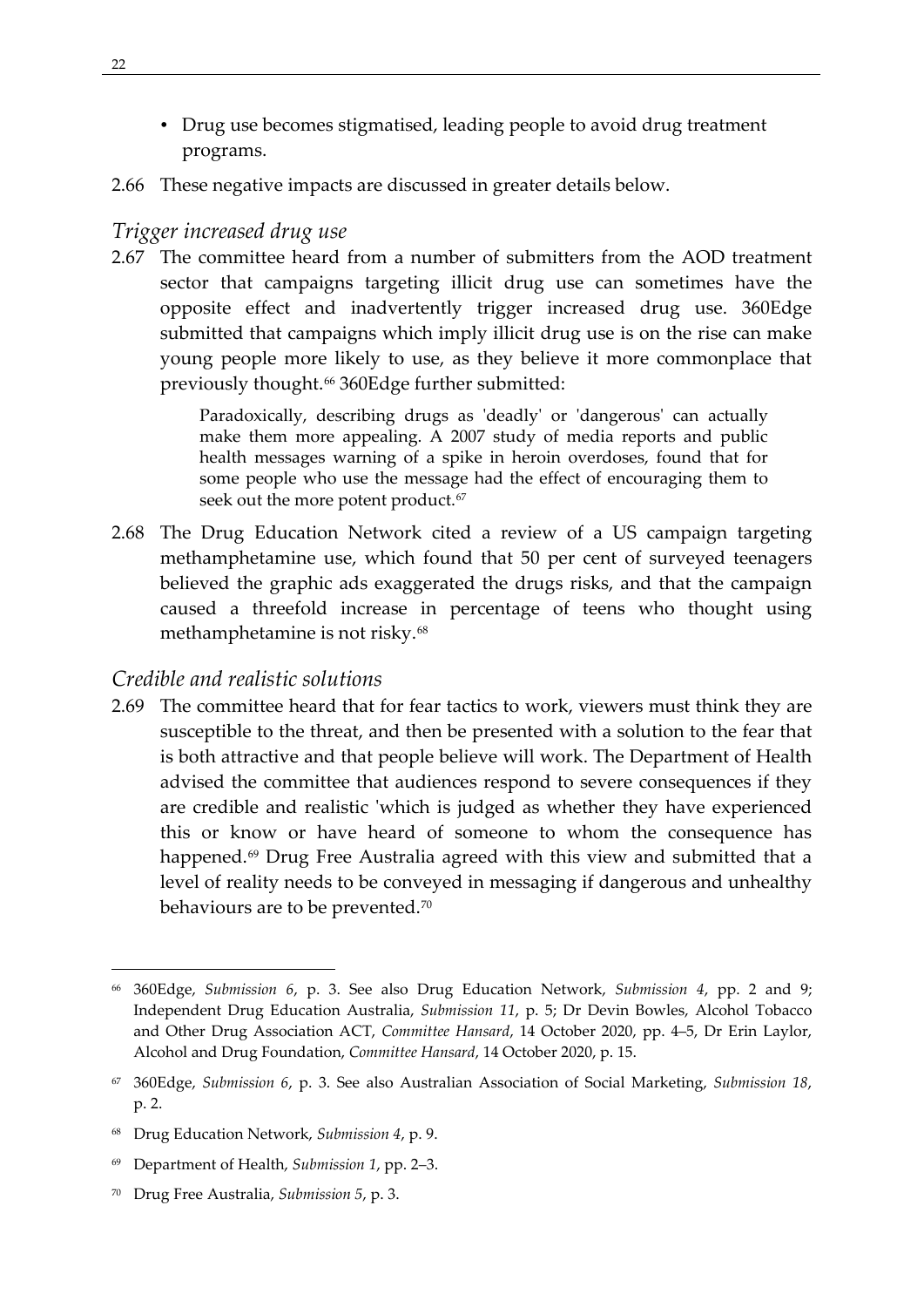- Drug use becomes stigmatised, leading people to avoid drug treatment programs.
- 2.66 These negative impacts are discussed in greater details below.

#### <span id="page-31-0"></span>*Trigger increased drug use*

2.67 The committee heard from a number of submitters from the AOD treatment sector that campaigns targeting illicit drug use can sometimes have the opposite effect and inadvertently trigger increased drug use. 360Edge submitted that campaigns which imply illicit drug use is on the rise can make young people more likely to use, as they believe it more commonplace that previously thought.<sup>[66](#page-31-2)</sup> 360Edge further submitted:

> Paradoxically, describing drugs as 'deadly' or 'dangerous' can actually make them more appealing. A 2007 study of media reports and public health messages warning of a spike in heroin overdoses, found that for some people who use the message had the effect of encouraging them to seek out the more potent product.<sup>[67](#page-31-3)</sup>

2.68 The Drug Education Network cited a review of a US campaign targeting methamphetamine use, which found that 50 per cent of surveyed teenagers believed the graphic ads exaggerated the drugs risks, and that the campaign caused a threefold increase in percentage of teens who thought using methamphetamine is not risky.<sup>[68](#page-31-4)</sup>

#### <span id="page-31-1"></span>*Credible and realistic solutions*

2.69 The committee heard that for fear tactics to work, viewers must think they are susceptible to the threat, and then be presented with a solution to the fear that is both attractive and that people believe will work. The Department of Health advised the committee that audiences respond to severe consequences if they are credible and realistic 'which is judged as whether they have experienced this or know or have heard of someone to whom the consequence has happened.<sup>[69](#page-31-5)</sup> Drug Free Australia agreed with this view and submitted that a level of reality needs to be conveyed in messaging if dangerous and unhealthy behaviours are to be prevented.<sup>70</sup>

<span id="page-31-2"></span><sup>66</sup> 360Edge, *Submission 6*, p. 3. See also Drug Education Network, *Submission 4*, pp. 2 and 9; Independent Drug Education Australia, *Submission 11*, p. 5; Dr Devin Bowles, Alcohol Tobacco and Other Drug Association ACT, *Committee Hansard*, 14 October 2020, pp. 4–5, Dr Erin Laylor, Alcohol and Drug Foundation, *Committee Hansard*, 14 October 2020, p. 15.

<span id="page-31-3"></span><sup>67</sup> 360Edge, *Submission 6*, p. 3. See also Australian Association of Social Marketing, *Submission 18*, p. 2.

<span id="page-31-4"></span><sup>68</sup> Drug Education Network, *Submission 4*, p. 9.

<span id="page-31-5"></span><sup>69</sup> Department of Health, *Submission 1*, pp. 2–3.

<span id="page-31-6"></span><sup>70</sup> Drug Free Australia, *Submission 5*, p. 3.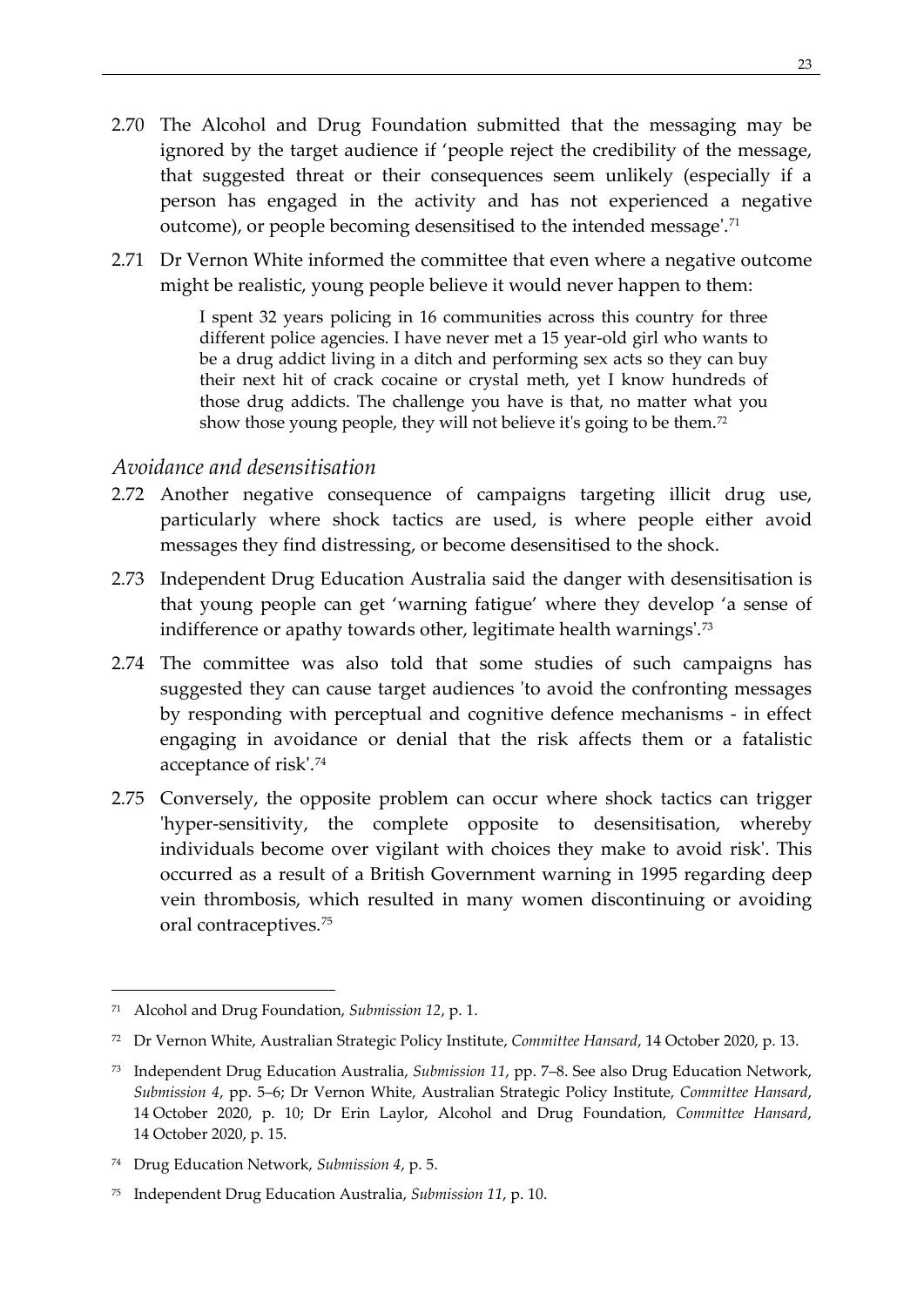- 2.70 The Alcohol and Drug Foundation submitted that the messaging may be ignored by the target audience if 'people reject the credibility of the message, that suggested threat or their consequences seem unlikely (especially if a person has engaged in the activity and has not experienced a negative outcome), or people becoming desensitised to the intended message'.[71](#page-32-1)
- 2.71 Dr Vernon White informed the committee that even where a negative outcome might be realistic, young people believe it would never happen to them:

I spent 32 years policing in 16 communities across this country for three different police agencies. I have never met a 15 year-old girl who wants to be a drug addict living in a ditch and performing sex acts so they can buy their next hit of crack cocaine or crystal meth, yet I know hundreds of those drug addicts. The challenge you have is that, no matter what you show those young people, they will not believe it's going to be them.<sup>[72](#page-32-2)</sup>

#### <span id="page-32-0"></span>*Avoidance and desensitisation*

- 2.72 Another negative consequence of campaigns targeting illicit drug use, particularly where shock tactics are used, is where people either avoid messages they find distressing, or become desensitised to the shock.
- 2.73 Independent Drug Education Australia said the danger with desensitisation is that young people can get 'warning fatigue' where they develop 'a sense of indifference or apathy towards other, legitimate health warnings'.<sup>[73](#page-32-3)</sup>
- 2.74 The committee was also told that some studies of such campaigns has suggested they can cause target audiences 'to avoid the confronting messages by responding with perceptual and cognitive defence mechanisms - in effect engaging in avoidance or denial that the risk affects them or a fatalistic acceptance of risk'.[74](#page-32-4)
- 2.75 Conversely, the opposite problem can occur where shock tactics can trigger 'hyper-sensitivity, the complete opposite to desensitisation, whereby individuals become over vigilant with choices they make to avoid risk'. This occurred as a result of a British Government warning in 1995 regarding deep vein thrombosis, which resulted in many women discontinuing or avoiding oral contraceptives.[75](#page-32-5)

<span id="page-32-1"></span><sup>71</sup> Alcohol and Drug Foundation, *Submission 12*, p. 1.

<span id="page-32-2"></span><sup>72</sup> Dr Vernon White, Australian Strategic Policy Institute, *Committee Hansard*, 14 October 2020, p. 13.

<span id="page-32-3"></span><sup>73</sup> Independent Drug Education Australia, *Submission 11*, pp. 7–8. See also Drug Education Network, *Submission 4*, pp. 5–6; Dr Vernon White, Australian Strategic Policy Institute, *Committee Hansard*, 14 October 2020, p. 10; Dr Erin Laylor, Alcohol and Drug Foundation, *Committee Hansard*, 14 October 2020, p. 15.

<span id="page-32-4"></span><sup>74</sup> Drug Education Network, *Submission 4*, p. 5.

<span id="page-32-5"></span><sup>75</sup> Independent Drug Education Australia, *Submission 11*, p. 10.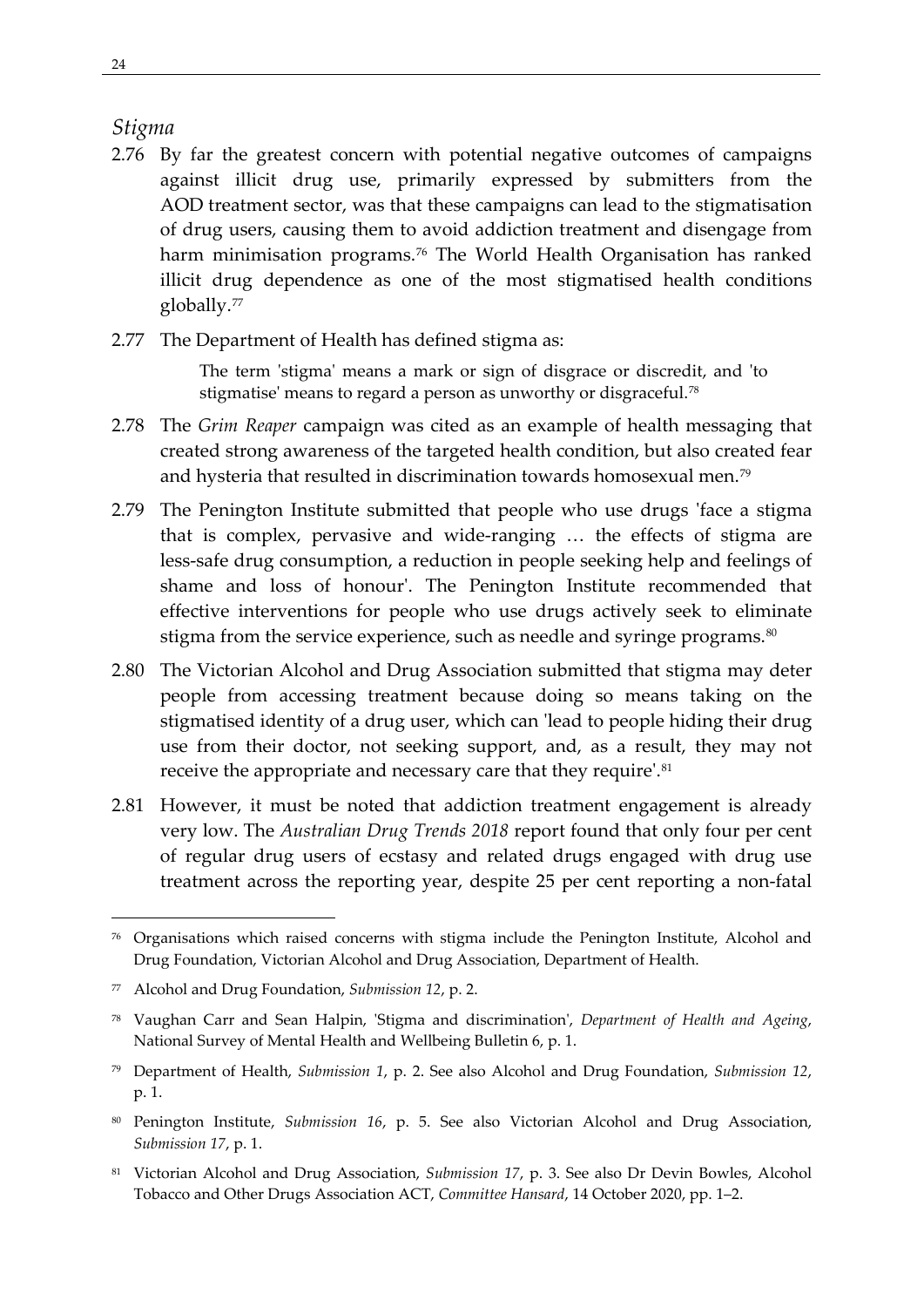#### <span id="page-33-0"></span>*Stigma*

- 2.76 By far the greatest concern with potential negative outcomes of campaigns against illicit drug use, primarily expressed by submitters from the AOD treatment sector, was that these campaigns can lead to the stigmatisation of drug users, causing them to avoid addiction treatment and disengage from harm minimisation programs.<sup>[76](#page-33-1)</sup> The World Health Organisation has ranked illicit drug dependence as one of the most stigmatised health conditions globally.[77](#page-33-2)
- 2.77 The Department of Health has defined stigma as:

The term 'stigma' means a mark or sign of disgrace or discredit, and 'to stigmatise' means to regard a person as unworthy or disgraceful.<sup>[78](#page-33-3)</sup>

- 2.78 The *Grim Reaper* campaign was cited as an example of health messaging that created strong awareness of the targeted health condition, but also created fear and hysteria that resulted in discrimination towards homosexual men.[79](#page-33-4)
- 2.79 The Penington Institute submitted that people who use drugs 'face a stigma that is complex, pervasive and wide-ranging … the effects of stigma are less-safe drug consumption, a reduction in people seeking help and feelings of shame and loss of honour'. The Penington Institute recommended that effective interventions for people who use drugs actively seek to eliminate stigma from the service experience, such as needle and syringe programs.<sup>[80](#page-33-5)</sup>
- 2.80 The Victorian Alcohol and Drug Association submitted that stigma may deter people from accessing treatment because doing so means taking on the stigmatised identity of a drug user, which can 'lead to people hiding their drug use from their doctor, not seeking support, and, as a result, they may not receive the appropriate and necessary care that they require'.<sup>[81](#page-33-6)</sup>
- 2.81 However, it must be noted that addiction treatment engagement is already very low. The *Australian Drug Trends 2018* report found that only four per cent of regular drug users of ecstasy and related drugs engaged with drug use treatment across the reporting year, despite 25 per cent reporting a non-fatal

<span id="page-33-1"></span><sup>76</sup> Organisations which raised concerns with stigma include the Penington Institute, Alcohol and Drug Foundation, Victorian Alcohol and Drug Association, Department of Health.

<span id="page-33-2"></span><sup>77</sup> Alcohol and Drug Foundation, *Submission 12*, p. 2.

<span id="page-33-3"></span><sup>78</sup> Vaughan Carr and Sean Halpin, 'Stigma and discrimination', *Department of Health and Ageing*, National Survey of Mental Health and Wellbeing Bulletin 6, p. 1.

<span id="page-33-4"></span><sup>79</sup> Department of Health, *Submission 1*, p. 2. See also Alcohol and Drug Foundation, *Submission 12*, p. 1.

<span id="page-33-5"></span><sup>80</sup> Penington Institute, *Submission 16*, p. 5. See also Victorian Alcohol and Drug Association, *Submission 17*, p. 1.

<span id="page-33-6"></span><sup>81</sup> Victorian Alcohol and Drug Association, *Submission 17*, p. 3. See also Dr Devin Bowles, Alcohol Tobacco and Other Drugs Association ACT, *Committee Hansard*, 14 October 2020, pp. 1–2.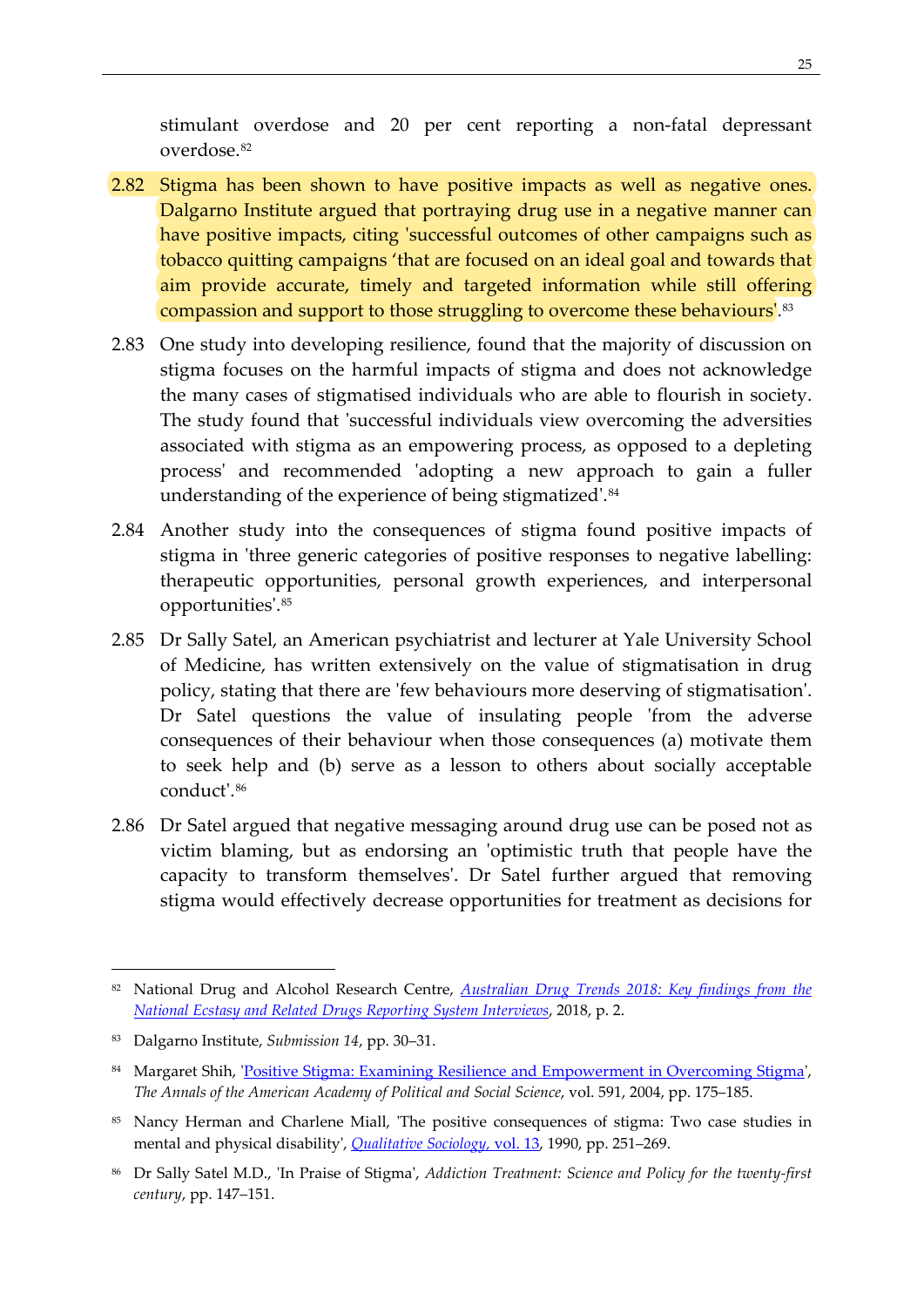stimulant overdose and 20 per cent reporting a non-fatal depressant overdose.[82](#page-34-0)

- 2.82 Stigma has been shown to have positive impacts as well as negative ones. Dalgarno Institute argued that portraying drug use in a negative manner can have positive impacts, citing 'successful outcomes of other campaigns such as tobacco quitting campaigns 'that are focused on an ideal goal and towards that aim provide accurate, timely and targeted information while still offering compassion and support to those struggling to overcome these behaviours'[.83](#page-34-1)
- 2.83 One study into developing resilience, found that the majority of discussion on stigma focuses on the harmful impacts of stigma and does not acknowledge the many cases of stigmatised individuals who are able to flourish in society. The study found that 'successful individuals view overcoming the adversities associated with stigma as an empowering process, as opposed to a depleting process' and recommended 'adopting a new approach to gain a fuller understanding of the experience of being stigmatized'.<sup>[84](#page-34-2)</sup>
- 2.84 Another study into the consequences of stigma found positive impacts of stigma in 'three generic categories of positive responses to negative labelling: therapeutic opportunities, personal growth experiences, and interpersonal opportunities'.[85](#page-34-3)
- 2.85 Dr Sally Satel, an American psychiatrist and lecturer at Yale University School of Medicine, has written extensively on the value of stigmatisation in drug policy, stating that there are 'few behaviours more deserving of stigmatisation'. Dr Satel questions the value of insulating people 'from the adverse consequences of their behaviour when those consequences (a) motivate them to seek help and (b) serve as a lesson to others about socially acceptable conduct'.[86](#page-34-4)
- 2.86 Dr Satel argued that negative messaging around drug use can be posed not as victim blaming, but as endorsing an 'optimistic truth that people have the capacity to transform themselves'. Dr Satel further argued that removing stigma would effectively decrease opportunities for treatment as decisions for

<span id="page-34-0"></span><sup>82</sup> National Drug and Alcohol Research Centre, *[Australian Drug Trends 2018: Key findings from the](https://ndarc.med.unsw.edu.au/sites/default/files/National%20EDRS%20Interview%20Report%202018_4.pdf)  [National Ecstasy and Related Drugs Reporting System Interviews](https://ndarc.med.unsw.edu.au/sites/default/files/National%20EDRS%20Interview%20Report%202018_4.pdf)*, 2018, p. 2.

<span id="page-34-1"></span><sup>83</sup> Dalgarno Institute, *Submission 14*, pp. 30–31.

<span id="page-34-2"></span><sup>84</sup> Margaret Shih, ['Positive Stigma: Examining Resilience and Empowerment in Overcoming Stigma',](http://www.jstor.org/stable/4127642) *The Annals of the American Academy of Political and Social Science*, vol. 591, 2004, pp. 175–185.

<span id="page-34-3"></span><sup>85</sup> Nancy Herman and Charlene Miall, 'The positive consequences of stigma: Two case studies in mental and physical disability', *[Qualitative Sociology,](https://doi.org/10.1007/BF00989596)* vol. 13, 1990, pp. 251–269.

<span id="page-34-4"></span><sup>86</sup> Dr Sally Satel M.D., 'In Praise of Stigma', *Addiction Treatment: Science and Policy for the twenty-first century*, pp. 147–151.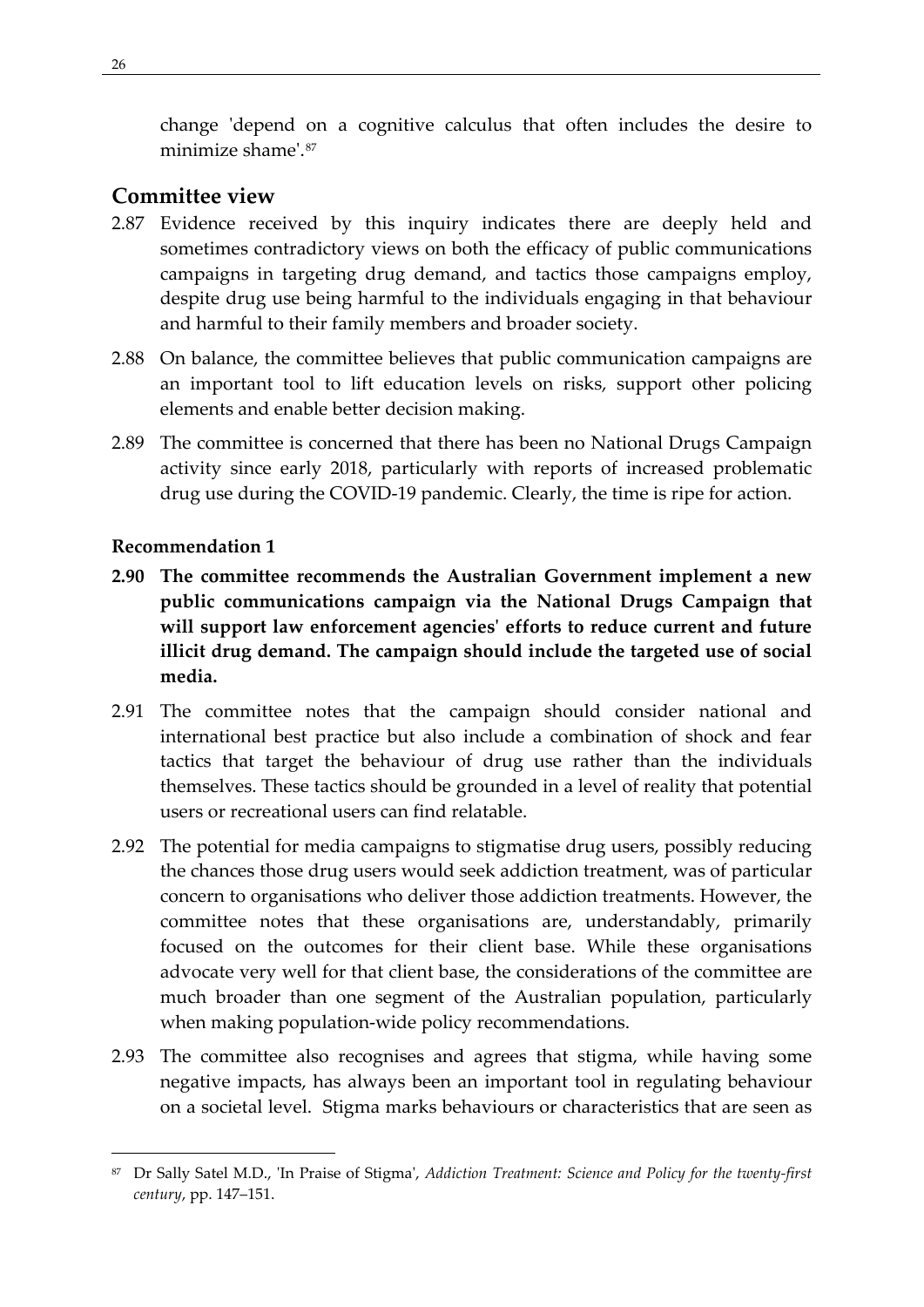change 'depend on a cognitive calculus that often includes the desire to minimize shame'.[87](#page-35-2)

### <span id="page-35-0"></span>**Committee view**

- 2.87 Evidence received by this inquiry indicates there are deeply held and sometimes contradictory views on both the efficacy of public communications campaigns in targeting drug demand, and tactics those campaigns employ, despite drug use being harmful to the individuals engaging in that behaviour and harmful to their family members and broader society.
- 2.88 On balance, the committee believes that public communication campaigns are an important tool to lift education levels on risks, support other policing elements and enable better decision making.
- 2.89 The committee is concerned that there has been no National Drugs Campaign activity since early 2018, particularly with reports of increased problematic drug use during the COVID-19 pandemic. Clearly, the time is ripe for action.

#### <span id="page-35-1"></span>**Recommendation 1**

- **2.90 The committee recommends the Australian Government implement a new public communications campaign via the National Drugs Campaign that will support law enforcement agencies' efforts to reduce current and future illicit drug demand. The campaign should include the targeted use of social media.**
- 2.91 The committee notes that the campaign should consider national and international best practice but also include a combination of shock and fear tactics that target the behaviour of drug use rather than the individuals themselves. These tactics should be grounded in a level of reality that potential users or recreational users can find relatable.
- 2.92 The potential for media campaigns to stigmatise drug users, possibly reducing the chances those drug users would seek addiction treatment, was of particular concern to organisations who deliver those addiction treatments. However, the committee notes that these organisations are, understandably, primarily focused on the outcomes for their client base. While these organisations advocate very well for that client base, the considerations of the committee are much broader than one segment of the Australian population, particularly when making population-wide policy recommendations.
- 2.93 The committee also recognises and agrees that stigma, while having some negative impacts, has always been an important tool in regulating behaviour on a societal level. Stigma marks behaviours or characteristics that are seen as

<span id="page-35-2"></span><sup>87</sup> Dr Sally Satel M.D., 'In Praise of Stigma', *Addiction Treatment: Science and Policy for the twenty-first century*, pp. 147–151.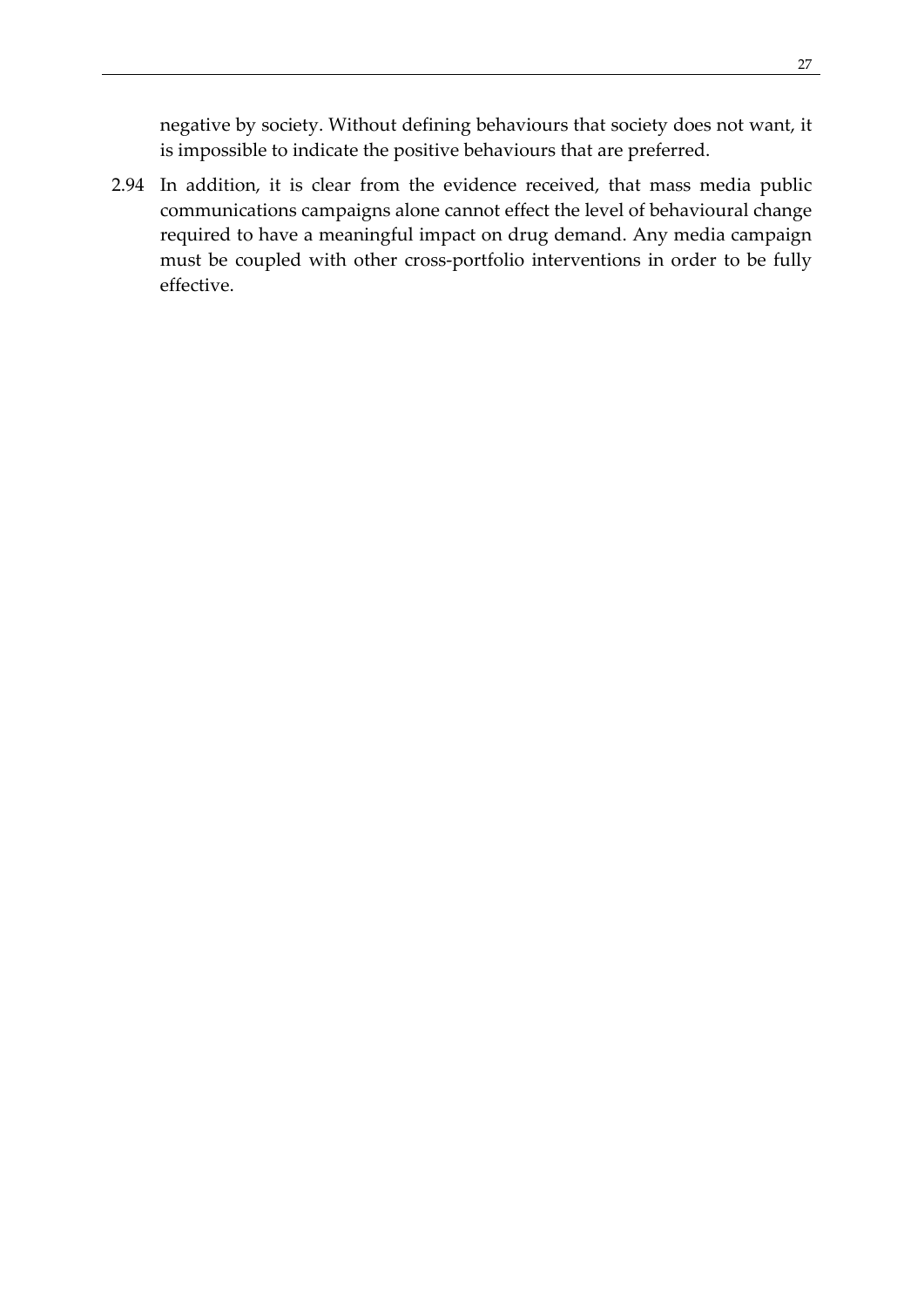negative by society. Without defining behaviours that society does not want, it is impossible to indicate the positive behaviours that are preferred.

2.94 In addition, it is clear from the evidence received, that mass media public communications campaigns alone cannot effect the level of behavioural change required to have a meaningful impact on drug demand. Any media campaign must be coupled with other cross-portfolio interventions in order to be fully effective.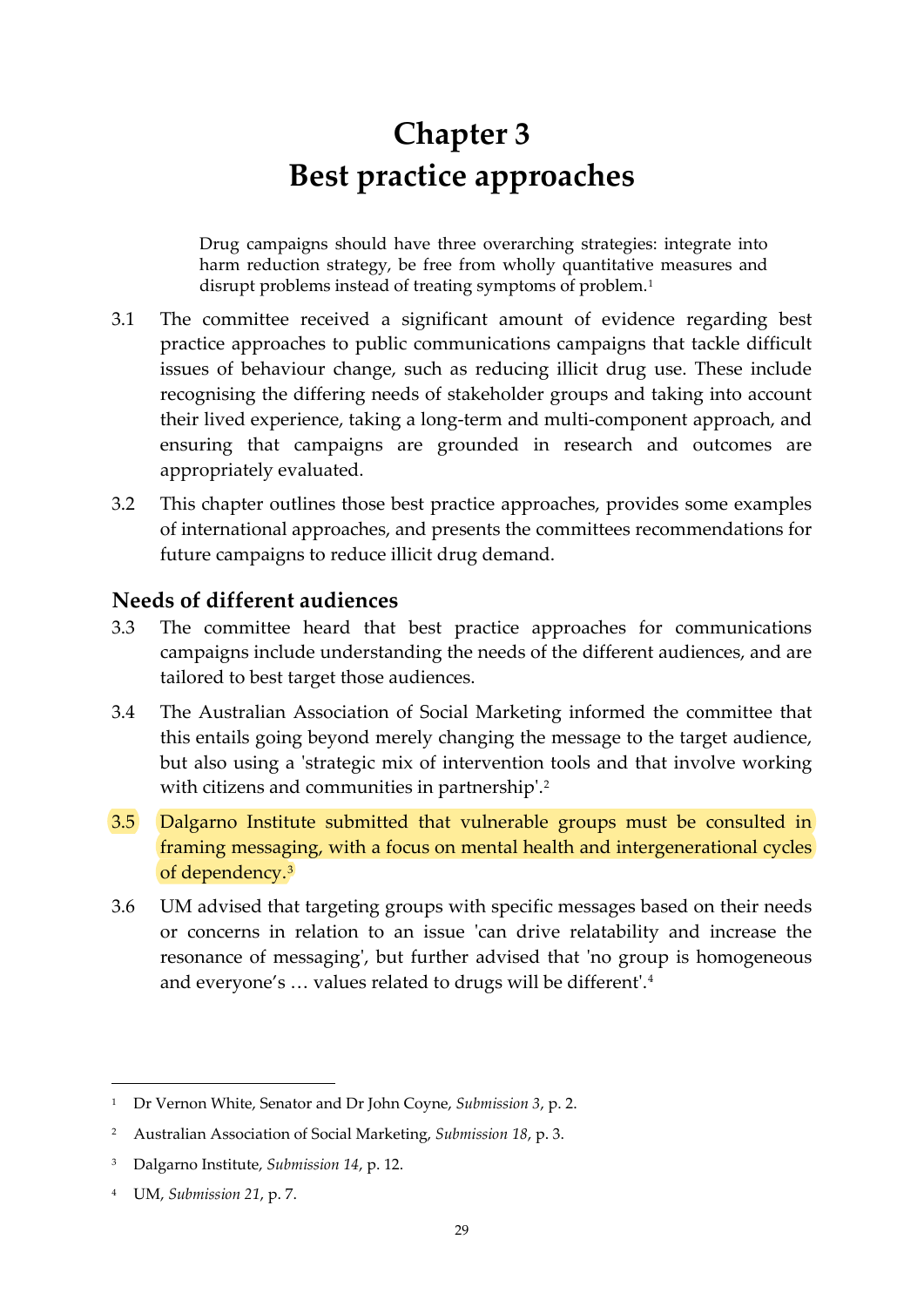# **Chapter 3 Best practice approaches**

<span id="page-38-0"></span>Drug campaigns should have three overarching strategies: integrate into harm reduction strategy, be free from wholly quantitative measures and disrupt problems instead of treating symptoms of problem.<sup>[1](#page-38-2)</sup>

- 3.1 The committee received a significant amount of evidence regarding best practice approaches to public communications campaigns that tackle difficult issues of behaviour change, such as reducing illicit drug use. These include recognising the differing needs of stakeholder groups and taking into account their lived experience, taking a long-term and multi-component approach, and ensuring that campaigns are grounded in research and outcomes are appropriately evaluated.
- 3.2 This chapter outlines those best practice approaches, provides some examples of international approaches, and presents the committees recommendations for future campaigns to reduce illicit drug demand.

## <span id="page-38-1"></span>**Needs of different audiences**

- 3.3 The committee heard that best practice approaches for communications campaigns include understanding the needs of the different audiences, and are tailored to best target those audiences.
- 3.4 The Australian Association of Social Marketing informed the committee that this entails going beyond merely changing the message to the target audience, but also using a 'strategic mix of intervention tools and that involve working with citizens and communities in partnership'.<sup>[2](#page-38-3)</sup>
- 3.5 Dalgarno Institute submitted that vulnerable groups must be consulted in framing messaging, with a focus on mental health and intergenerational cycles of dependency.[3](#page-38-4)
- 3.6 UM advised that targeting groups with specific messages based on their needs or concerns in relation to an issue 'can drive relatability and increase the resonance of messaging', but further advised that 'no group is homogeneous and everyone's … values related to drugs will be different'.[4](#page-38-5)

<span id="page-38-2"></span><sup>1</sup> Dr Vernon White, Senator and Dr John Coyne, *Submission 3*, p. 2.

<span id="page-38-3"></span><sup>2</sup> Australian Association of Social Marketing, *Submission 18*, p. 3.

<span id="page-38-4"></span><sup>3</sup> Dalgarno Institute, *Submission 14*, p. 12.

<span id="page-38-5"></span><sup>4</sup> UM, *Submission 21*, p. 7.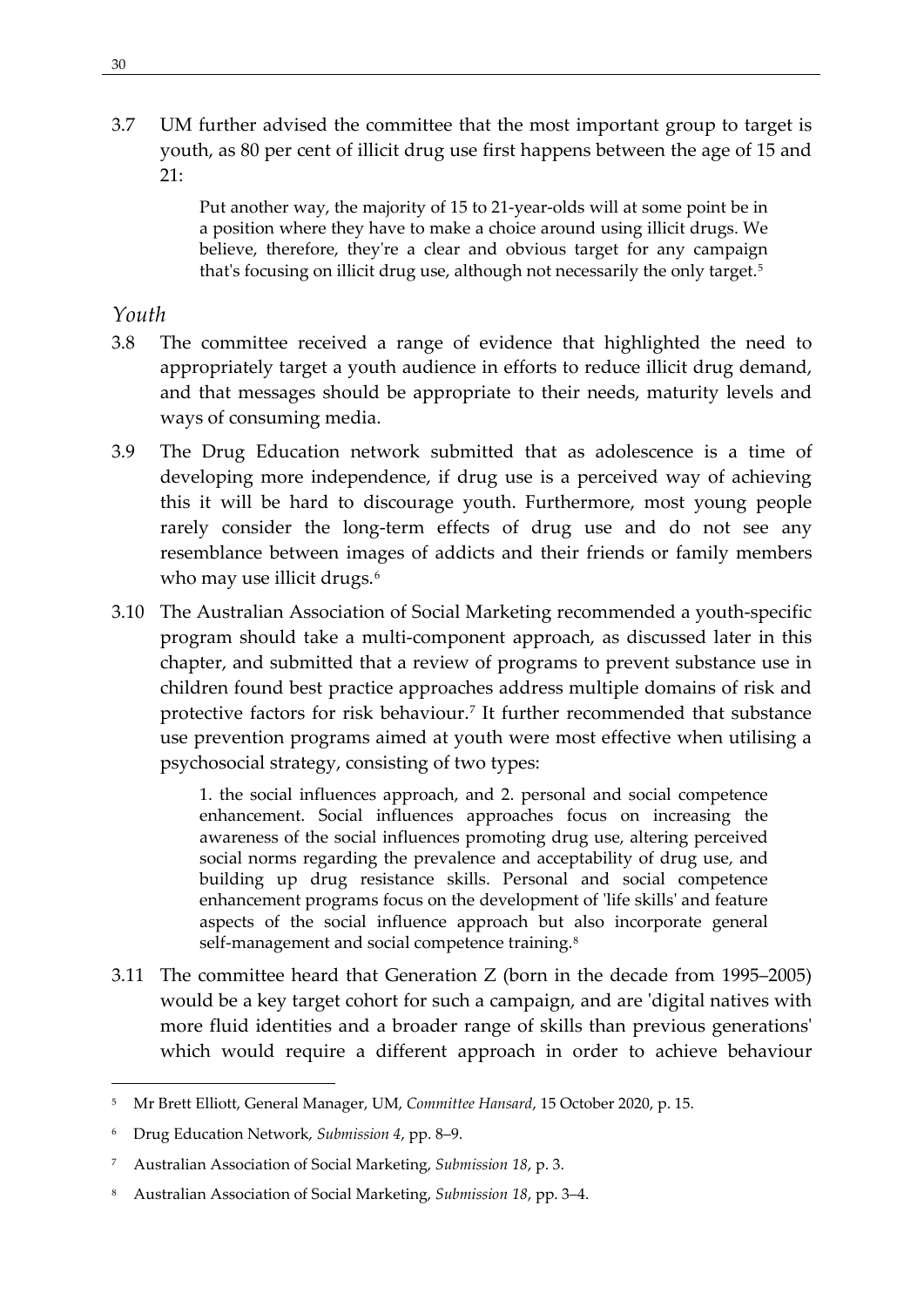3.7 UM further advised the committee that the most important group to target is youth, as 80 per cent of illicit drug use first happens between the age of 15 and 21:

> Put another way, the majority of 15 to 21-year-olds will at some point be in a position where they have to make a choice around using illicit drugs. We believe, therefore, they're a clear and obvious target for any campaign that's focusing on illicit drug use, although not necessarily the only target.<sup>[5](#page-39-1)</sup>

## <span id="page-39-0"></span>*Youth*

- 3.8 The committee received a range of evidence that highlighted the need to appropriately target a youth audience in efforts to reduce illicit drug demand, and that messages should be appropriate to their needs, maturity levels and ways of consuming media.
- 3.9 The Drug Education network submitted that as adolescence is a time of developing more independence, if drug use is a perceived way of achieving this it will be hard to discourage youth. Furthermore, most young people rarely consider the long-term effects of drug use and do not see any resemblance between images of addicts and their friends or family members who may use illicit drugs.<sup>[6](#page-39-2)</sup>
- 3.10 The Australian Association of Social Marketing recommended a youth-specific program should take a multi-component approach, as discussed later in this chapter, and submitted that a review of programs to prevent substance use in children found best practice approaches address multiple domains of risk and protective factors for risk behaviour.<sup>[7](#page-39-3)</sup> It further recommended that substance use prevention programs aimed at youth were most effective when utilising a psychosocial strategy, consisting of two types:

1. the social influences approach, and 2. personal and social competence enhancement. Social influences approaches focus on increasing the awareness of the social influences promoting drug use, altering perceived social norms regarding the prevalence and acceptability of drug use, and building up drug resistance skills. Personal and social competence enhancement programs focus on the development of 'life skills' and feature aspects of the social influence approach but also incorporate general self-management and social competence training.<sup>8</sup>

3.11 The committee heard that Generation Z (born in the decade from 1995–2005) would be a key target cohort for such a campaign, and are 'digital natives with more fluid identities and a broader range of skills than previous generations' which would require a different approach in order to achieve behaviour

<span id="page-39-1"></span><sup>5</sup> Mr Brett Elliott, General Manager, UM, *Committee Hansard*, 15 October 2020, p. 15.

<span id="page-39-2"></span><sup>6</sup> Drug Education Network, *Submission 4*, pp. 8–9.

<span id="page-39-3"></span><sup>7</sup> Australian Association of Social Marketing, *Submission 18*, p. 3.

<span id="page-39-4"></span><sup>8</sup> Australian Association of Social Marketing, *Submission 18*, pp. 3–4.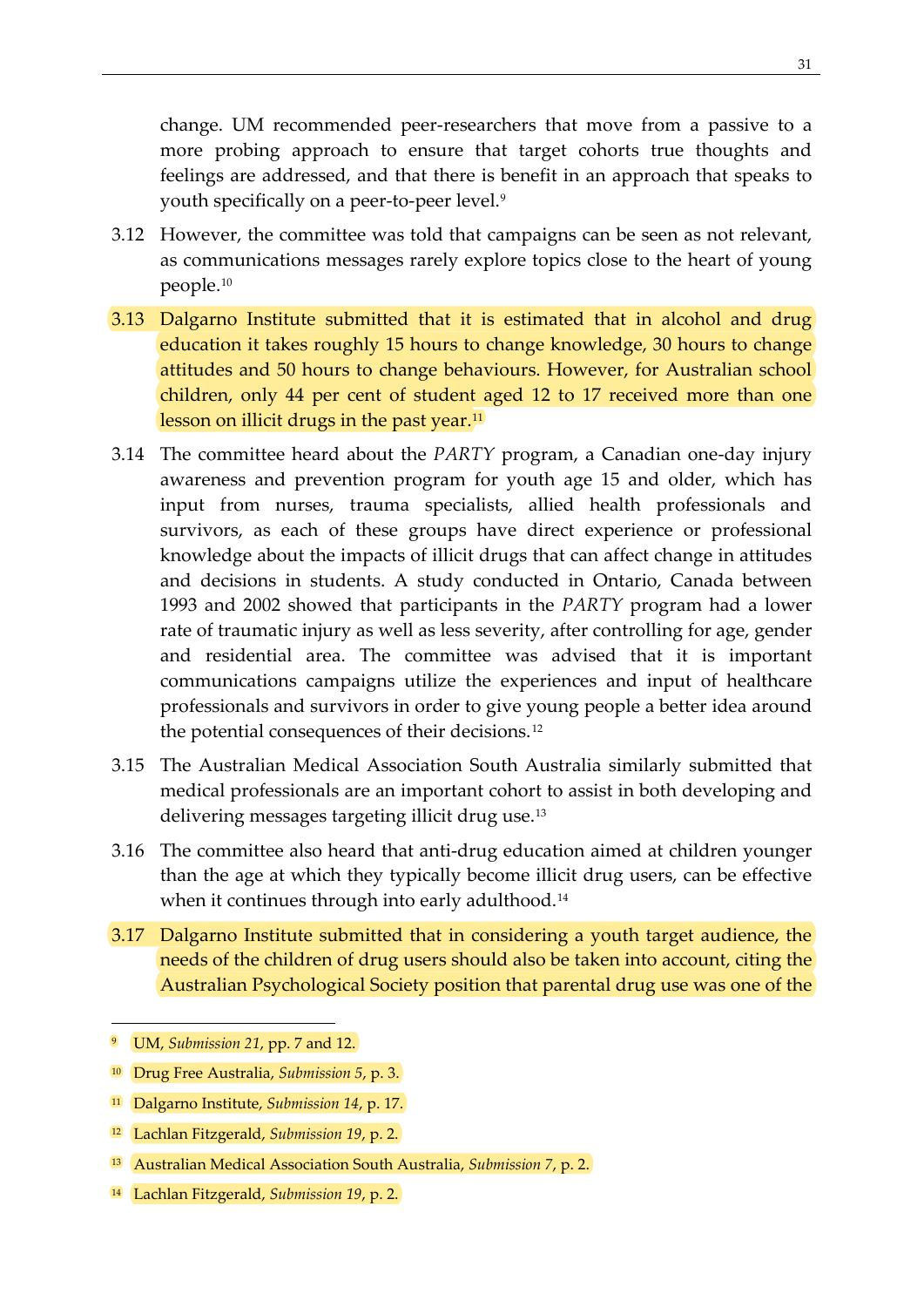change. UM recommended peer-researchers that move from a passive to a more probing approach to ensure that target cohorts true thoughts and feelings are addressed, and that there is benefit in an approach that speaks to youth specifically on a peer-to-peer level.[9](#page-40-0)

- 3.12 However, the committee was told that campaigns can be seen as not relevant, as communications messages rarely explore topics close to the heart of young people.[10](#page-40-1)
- 3.13 Dalgarno Institute submitted that it is estimated that in alcohol and drug education it takes roughly 15 hours to change knowledge, 30 hours to change attitudes and 50 hours to change behaviours. However, for Australian school children, only 44 per cent of student aged 12 to 17 received more than one lesson on illicit drugs in the past year.<sup>11</sup>
- 3.14 The committee heard about the *PARTY* program, a Canadian one-day injury awareness and prevention program for youth age 15 and older, which has input from nurses, trauma specialists, allied health professionals and survivors, as each of these groups have direct experience or professional knowledge about the impacts of illicit drugs that can affect change in attitudes and decisions in students. A study conducted in Ontario, Canada between 1993 and 2002 showed that participants in the *PARTY* program had a lower rate of traumatic injury as well as less severity, after controlling for age, gender and residential area. The committee was advised that it is important communications campaigns utilize the experiences and input of healthcare professionals and survivors in order to give young people a better idea around the potential consequences of their decisions.[12](#page-40-3)
- 3.15 The Australian Medical Association South Australia similarly submitted that medical professionals are an important cohort to assist in both developing and delivering messages targeting illicit drug use.<sup>[13](#page-40-4)</sup>
- 3.16 The committee also heard that anti-drug education aimed at children younger than the age at which they typically become illicit drug users, can be effective when it continues through into early adulthood.<sup>[14](#page-40-5)</sup>
- 3.17 Dalgarno Institute submitted that in considering a youth target audience, the needs of the children of drug users should also be taken into account, citing the Australian Psychological Society position that parental drug use was one of the

<span id="page-40-0"></span><sup>9</sup> UM, *Submission 21*, pp. 7 and 12.

<span id="page-40-1"></span><sup>10</sup> Drug Free Australia, *Submission 5*, p. 3.

<span id="page-40-2"></span><sup>11</sup> Dalgarno Institute, *Submission 14*, p. 17.

<span id="page-40-3"></span><sup>12</sup> Lachlan Fitzgerald, *Submission 19*, p. 2.

<span id="page-40-4"></span><sup>13</sup> Australian Medical Association South Australia, *Submission 7*, p. 2.

<span id="page-40-5"></span><sup>14</sup> Lachlan Fitzgerald, *Submission 19*, p. 2.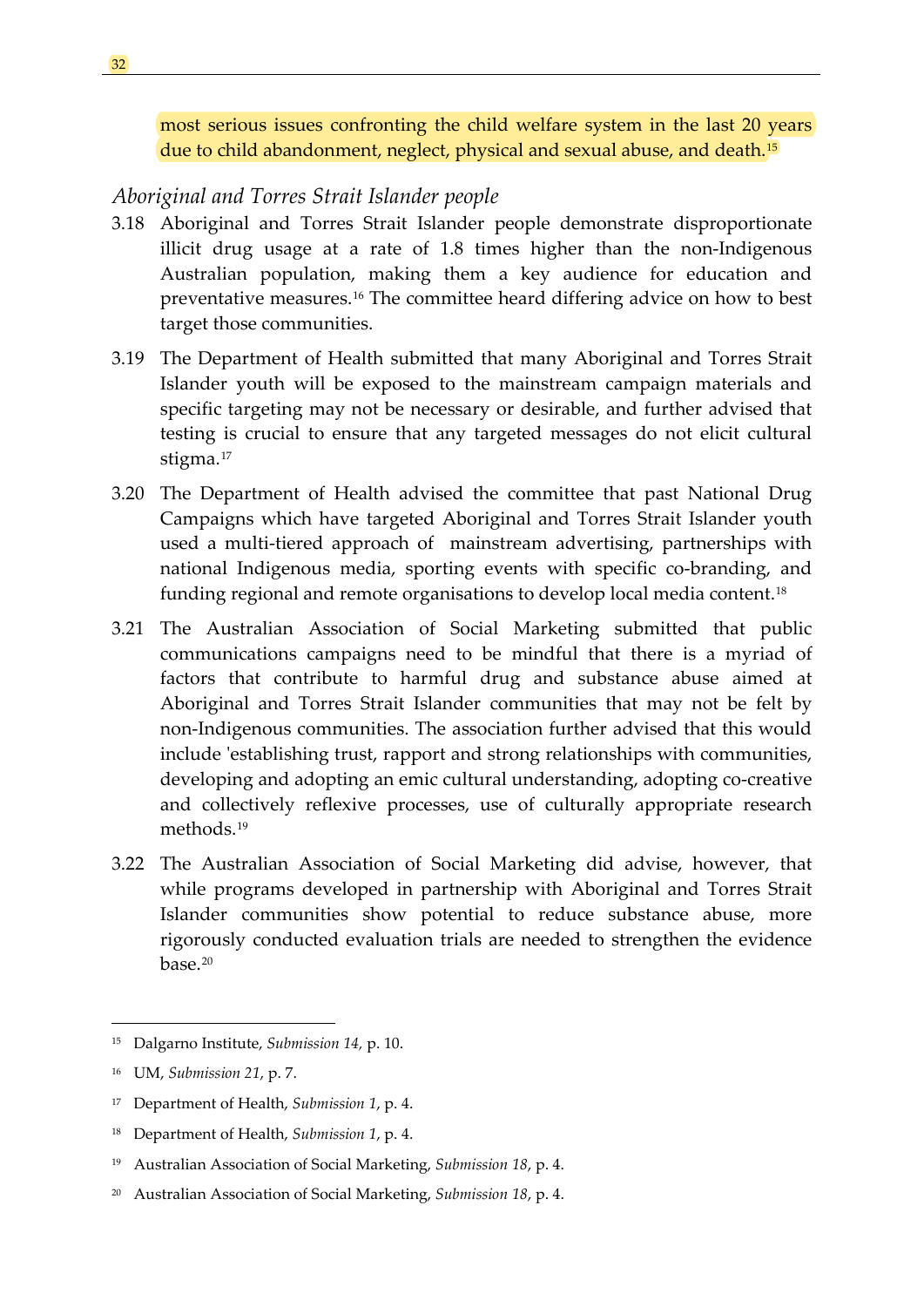most serious issues confronting the child welfare system in the last 20 years due to child abandonment, neglect, physical and sexual abuse, and death.<sup>[15](#page-41-1)</sup>

### <span id="page-41-0"></span>*Aboriginal and Torres Strait Islander people*

- 3.18 Aboriginal and Torres Strait Islander people demonstrate disproportionate illicit drug usage at a rate of 1.8 times higher than the non-Indigenous Australian population, making them a key audience for education and preventative measures.[16](#page-41-2) The committee heard differing advice on how to best target those communities.
- 3.19 The Department of Health submitted that many Aboriginal and Torres Strait Islander youth will be exposed to the mainstream campaign materials and specific targeting may not be necessary or desirable, and further advised that testing is crucial to ensure that any targeted messages do not elicit cultural stigma.[17](#page-41-3)
- 3.20 The Department of Health advised the committee that past National Drug Campaigns which have targeted Aboriginal and Torres Strait Islander youth used a multi-tiered approach of mainstream advertising, partnerships with national Indigenous media, sporting events with specific co-branding, and funding regional and remote organisations to develop local media content.<sup>[18](#page-41-4)</sup>
- 3.21 The Australian Association of Social Marketing submitted that public communications campaigns need to be mindful that there is a myriad of factors that contribute to harmful drug and substance abuse aimed at Aboriginal and Torres Strait Islander communities that may not be felt by non-Indigenous communities. The association further advised that this would include 'establishing trust, rapport and strong relationships with communities, developing and adopting an emic cultural understanding, adopting co-creative and collectively reflexive processes, use of culturally appropriate research methods.[19](#page-41-5)
- 3.22 The Australian Association of Social Marketing did advise, however, that while programs developed in partnership with Aboriginal and Torres Strait Islander communities show potential to reduce substance abuse, more rigorously conducted evaluation trials are needed to strengthen the evidence  $base<sup>20</sup>$  $base<sup>20</sup>$  $base<sup>20</sup>$

<span id="page-41-1"></span><sup>15</sup> Dalgarno Institute, *Submission 14,* p. 10.

<span id="page-41-2"></span><sup>16</sup> UM, *Submission 21*, p. 7.

<span id="page-41-3"></span><sup>17</sup> Department of Health, *Submission 1*, p. 4.

<span id="page-41-4"></span><sup>18</sup> Department of Health, *Submission 1*, p. 4.

<span id="page-41-5"></span><sup>19</sup> Australian Association of Social Marketing, *Submission 18*, p. 4.

<span id="page-41-6"></span><sup>20</sup> Australian Association of Social Marketing, *Submission 18*, p. 4.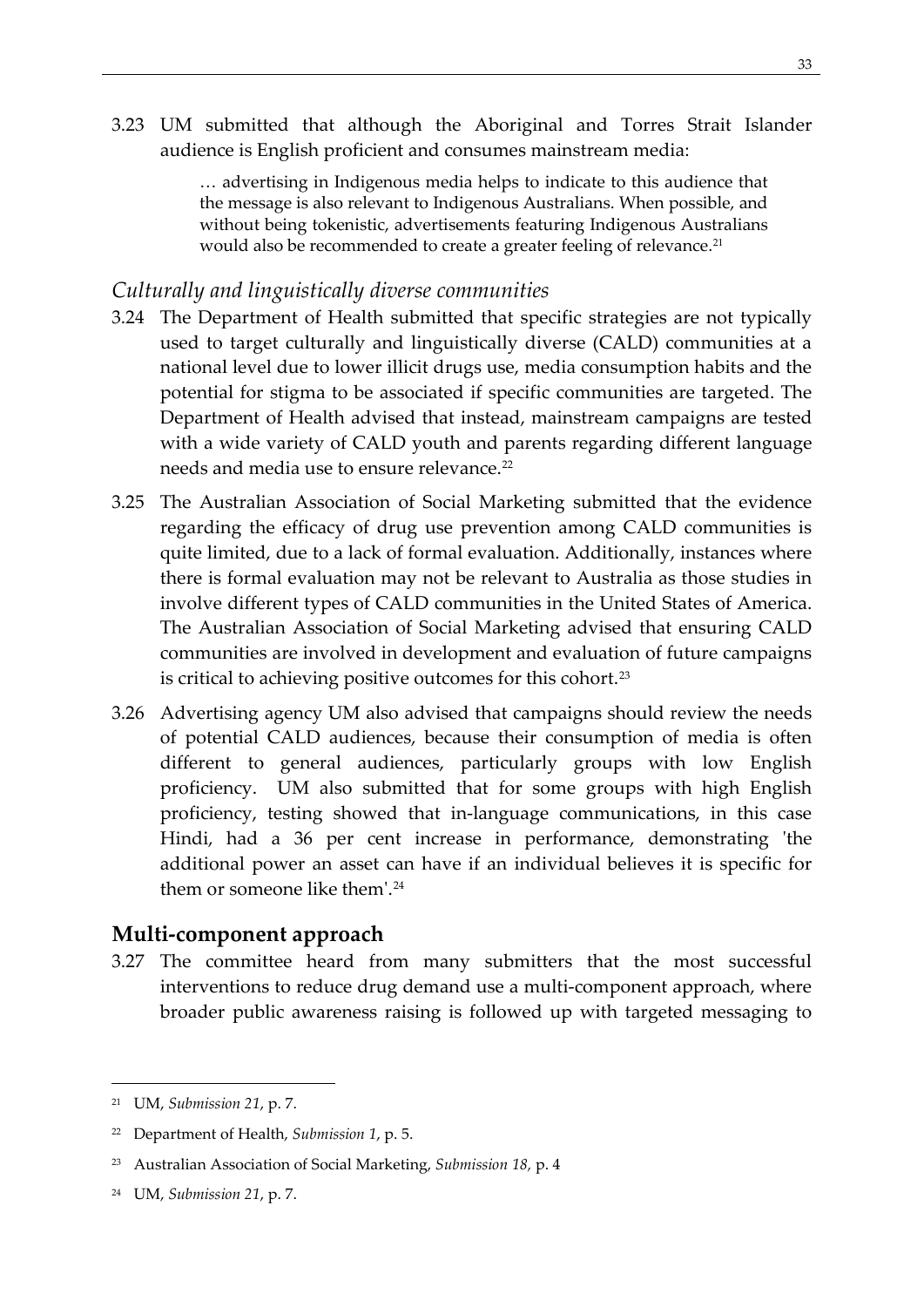3.23 UM submitted that although the Aboriginal and Torres Strait Islander audience is English proficient and consumes mainstream media:

> … advertising in Indigenous media helps to indicate to this audience that the message is also relevant to Indigenous Australians. When possible, and without being tokenistic, advertisements featuring Indigenous Australians would also be recommended to create a greater feeling of relevance.<sup>[21](#page-42-2)</sup>

### <span id="page-42-0"></span>*Culturally and linguistically diverse communities*

- 3.24 The Department of Health submitted that specific strategies are not typically used to target culturally and linguistically diverse (CALD) communities at a national level due to lower illicit drugs use, media consumption habits and the potential for stigma to be associated if specific communities are targeted. The Department of Health advised that instead, mainstream campaigns are tested with a wide variety of CALD youth and parents regarding different language needs and media use to ensure relevance.<sup>[22](#page-42-3)</sup>
- 3.25 The Australian Association of Social Marketing submitted that the evidence regarding the efficacy of drug use prevention among CALD communities is quite limited, due to a lack of formal evaluation. Additionally, instances where there is formal evaluation may not be relevant to Australia as those studies in involve different types of CALD communities in the United States of America. The Australian Association of Social Marketing advised that ensuring CALD communities are involved in development and evaluation of future campaigns is critical to achieving positive outcomes for this cohort.<sup>[23](#page-42-4)</sup>
- 3.26 Advertising agency UM also advised that campaigns should review the needs of potential CALD audiences, because their consumption of media is often different to general audiences, particularly groups with low English proficiency. UM also submitted that for some groups with high English proficiency, testing showed that in-language communications, in this case Hindi, had a 36 per cent increase in performance, demonstrating 'the additional power an asset can have if an individual believes it is specific for them or someone like them'.[24](#page-42-5)

### <span id="page-42-1"></span>**Multi-component approach**

3.27 The committee heard from many submitters that the most successful interventions to reduce drug demand use a multi-component approach, where broader public awareness raising is followed up with targeted messaging to

<span id="page-42-2"></span><sup>21</sup> UM, *Submission 21*, p. 7.

<span id="page-42-3"></span><sup>22</sup> Department of Health, *Submission 1*, p. 5.

<span id="page-42-4"></span><sup>23</sup> Australian Association of Social Marketing, *Submission 18,* p. 4

<span id="page-42-5"></span><sup>24</sup> UM, *Submission 21*, p. 7.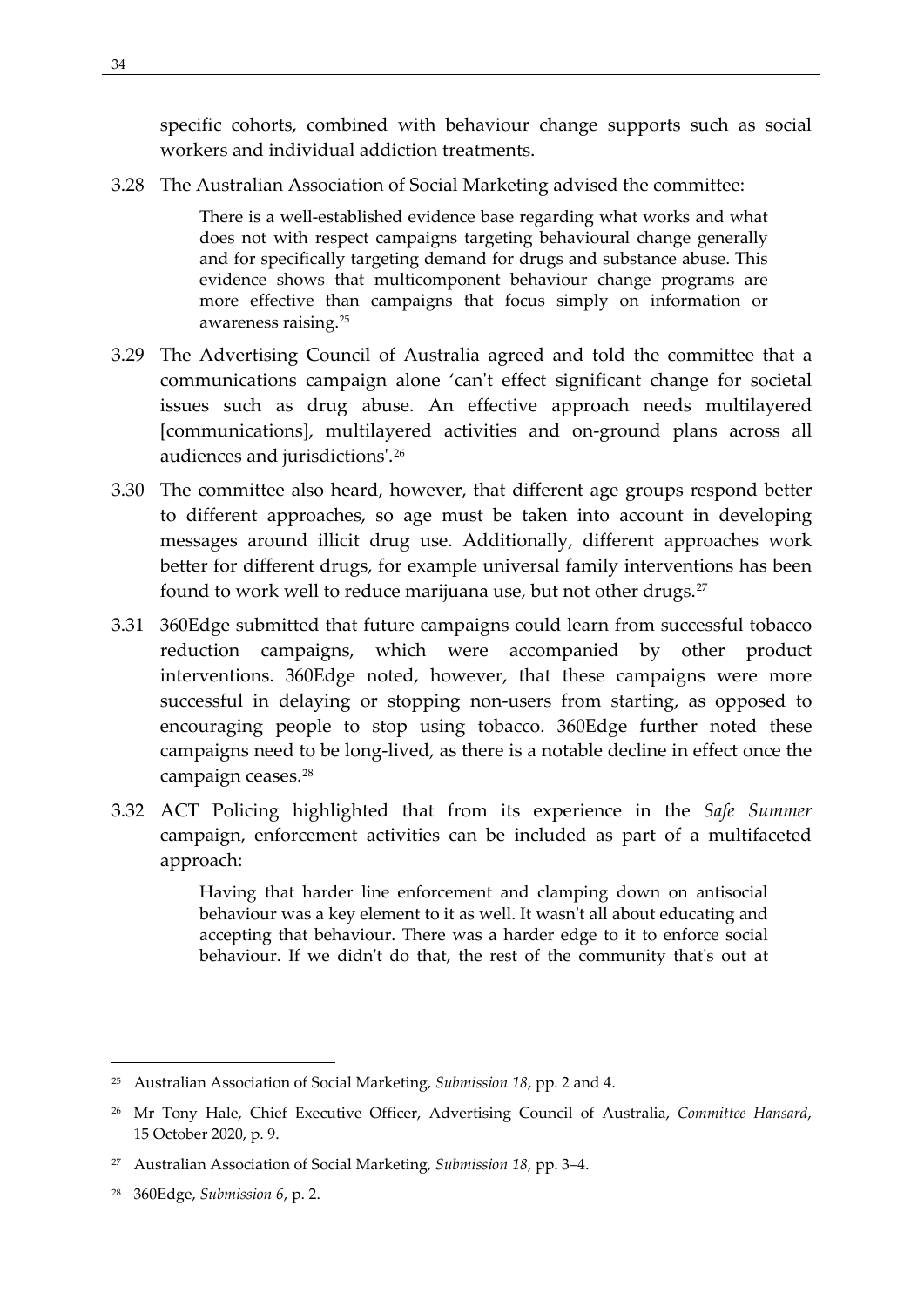specific cohorts, combined with behaviour change supports such as social workers and individual addiction treatments.

3.28 The Australian Association of Social Marketing advised the committee:

There is a well-established evidence base regarding what works and what does not with respect campaigns targeting behavioural change generally and for specifically targeting demand for drugs and substance abuse. This evidence shows that multicomponent behaviour change programs are more effective than campaigns that focus simply on information or awareness raising.[25](#page-43-0)

- 3.29 The Advertising Council of Australia agreed and told the committee that a communications campaign alone 'can't effect significant change for societal issues such as drug abuse. An effective approach needs multilayered [communications], multilayered activities and on-ground plans across all audiences and jurisdictions'.[26](#page-43-1)
- 3.30 The committee also heard, however, that different age groups respond better to different approaches, so age must be taken into account in developing messages around illicit drug use. Additionally, different approaches work better for different drugs, for example universal family interventions has been found to work well to reduce marijuana use, but not other drugs.<sup>[27](#page-43-2)</sup>
- 3.31 360Edge submitted that future campaigns could learn from successful tobacco reduction campaigns, which were accompanied by other product interventions. 360Edge noted, however, that these campaigns were more successful in delaying or stopping non-users from starting, as opposed to encouraging people to stop using tobacco. 360Edge further noted these campaigns need to be long-lived, as there is a notable decline in effect once the campaign ceases.[28](#page-43-3)
- 3.32 ACT Policing highlighted that from its experience in the *Safe Summer* campaign, enforcement activities can be included as part of a multifaceted approach:

Having that harder line enforcement and clamping down on antisocial behaviour was a key element to it as well. It wasn't all about educating and accepting that behaviour. There was a harder edge to it to enforce social behaviour. If we didn't do that, the rest of the community that's out at

<span id="page-43-0"></span><sup>25</sup> Australian Association of Social Marketing, *Submission 18*, pp. 2 and 4.

<span id="page-43-1"></span><sup>26</sup> Mr Tony Hale, Chief Executive Officer, Advertising Council of Australia, *Committee Hansard*, 15 October 2020, p. 9.

<span id="page-43-2"></span><sup>27</sup> Australian Association of Social Marketing, *Submission 18*, pp. 3–4.

<span id="page-43-3"></span><sup>28</sup> 360Edge, *Submission 6*, p. 2.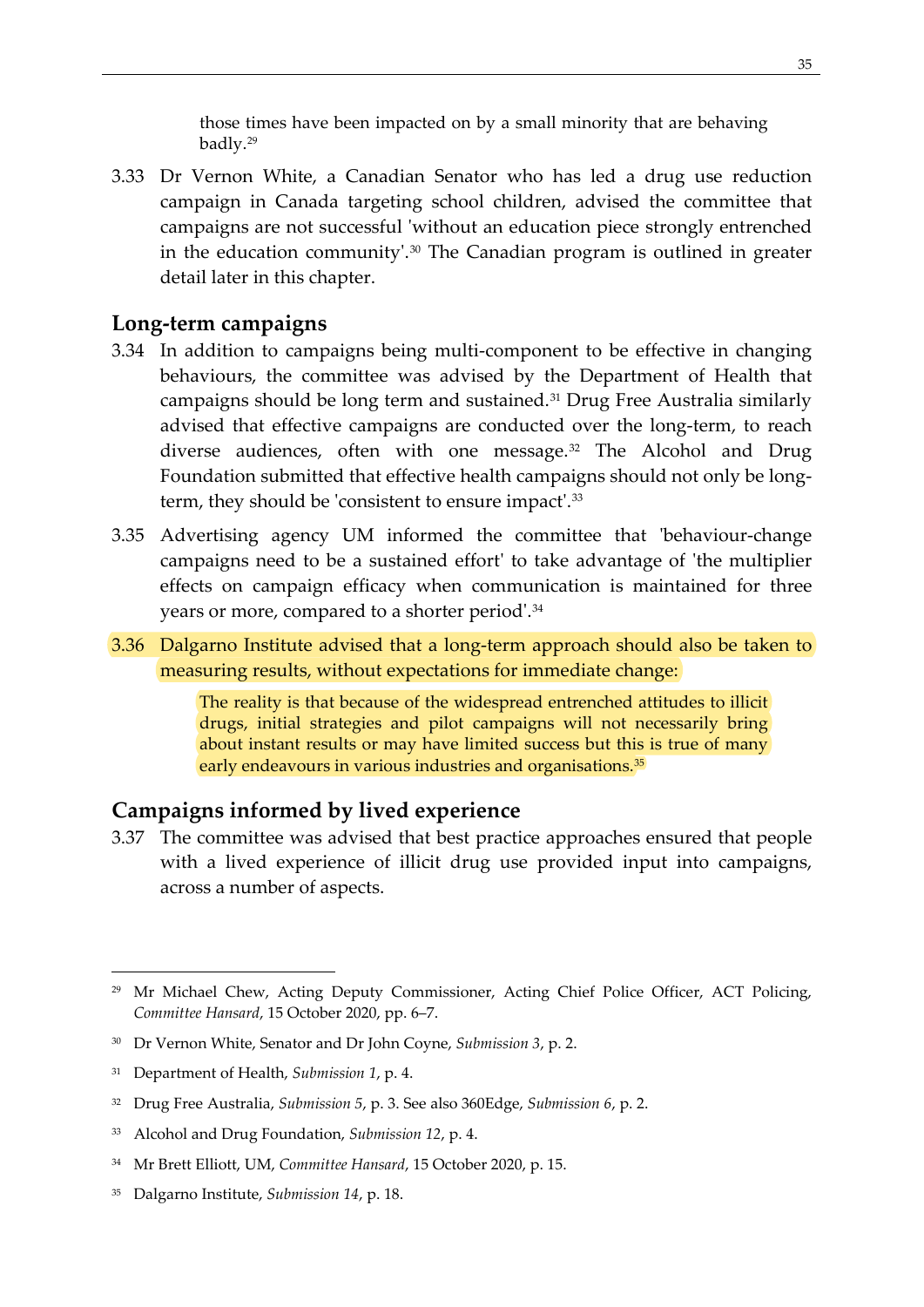those times have been impacted on by a small minority that are behaving badly[.29](#page-44-2)

3.33 Dr Vernon White, a Canadian Senator who has led a drug use reduction campaign in Canada targeting school children, advised the committee that campaigns are not successful 'without an education piece strongly entrenched in the education community'.<sup>[30](#page-44-3)</sup> The Canadian program is outlined in greater detail later in this chapter.

#### <span id="page-44-0"></span>**Long-term campaigns**

- 3.34 In addition to campaigns being multi-component to be effective in changing behaviours, the committee was advised by the Department of Health that campaigns should be long term and sustained.[31](#page-44-4) Drug Free Australia similarly advised that effective campaigns are conducted over the long-term, to reach diverse audiences, often with one message.<sup>[32](#page-44-5)</sup> The Alcohol and Drug Foundation submitted that effective health campaigns should not only be longterm, they should be 'consistent to ensure impact'.[33](#page-44-6)
- 3.35 Advertising agency UM informed the committee that 'behaviour-change campaigns need to be a sustained effort' to take advantage of 'the multiplier effects on campaign efficacy when communication is maintained for three years or more, compared to a shorter period'.[34](#page-44-7)
- 3.36 Dalgarno Institute advised that a long-term approach should also be taken to measuring results, without expectations for immediate change:

The reality is that because of the widespread entrenched attitudes to illicit drugs, initial strategies and pilot campaigns will not necessarily bring about instant results or may have limited success but this is true of many early endeavours in various industries and organisations.<sup>[35](#page-44-8)</sup>

### <span id="page-44-1"></span>**Campaigns informed by lived experience**

3.37 The committee was advised that best practice approaches ensured that people with a lived experience of illicit drug use provided input into campaigns, across a number of aspects.

<span id="page-44-2"></span><sup>&</sup>lt;sup>29</sup> Mr Michael Chew, Acting Deputy Commissioner, Acting Chief Police Officer, ACT Policing, *Committee Hansard*, 15 October 2020, pp. 6–7.

<span id="page-44-3"></span><sup>30</sup> Dr Vernon White, Senator and Dr John Coyne, *Submission 3*, p. 2.

<span id="page-44-4"></span><sup>31</sup> Department of Health, *Submission 1*, p. 4.

<span id="page-44-5"></span><sup>32</sup> Drug Free Australia, *Submission 5*, p. 3. See also 360Edge, *Submission 6*, p. 2.

<span id="page-44-6"></span><sup>33</sup> Alcohol and Drug Foundation, *Submission 12*, p. 4.

<span id="page-44-7"></span><sup>34</sup> Mr Brett Elliott, UM, *Committee Hansard*, 15 October 2020, p. 15.

<span id="page-44-8"></span><sup>35</sup> Dalgarno Institute, *Submission 14*, p. 18.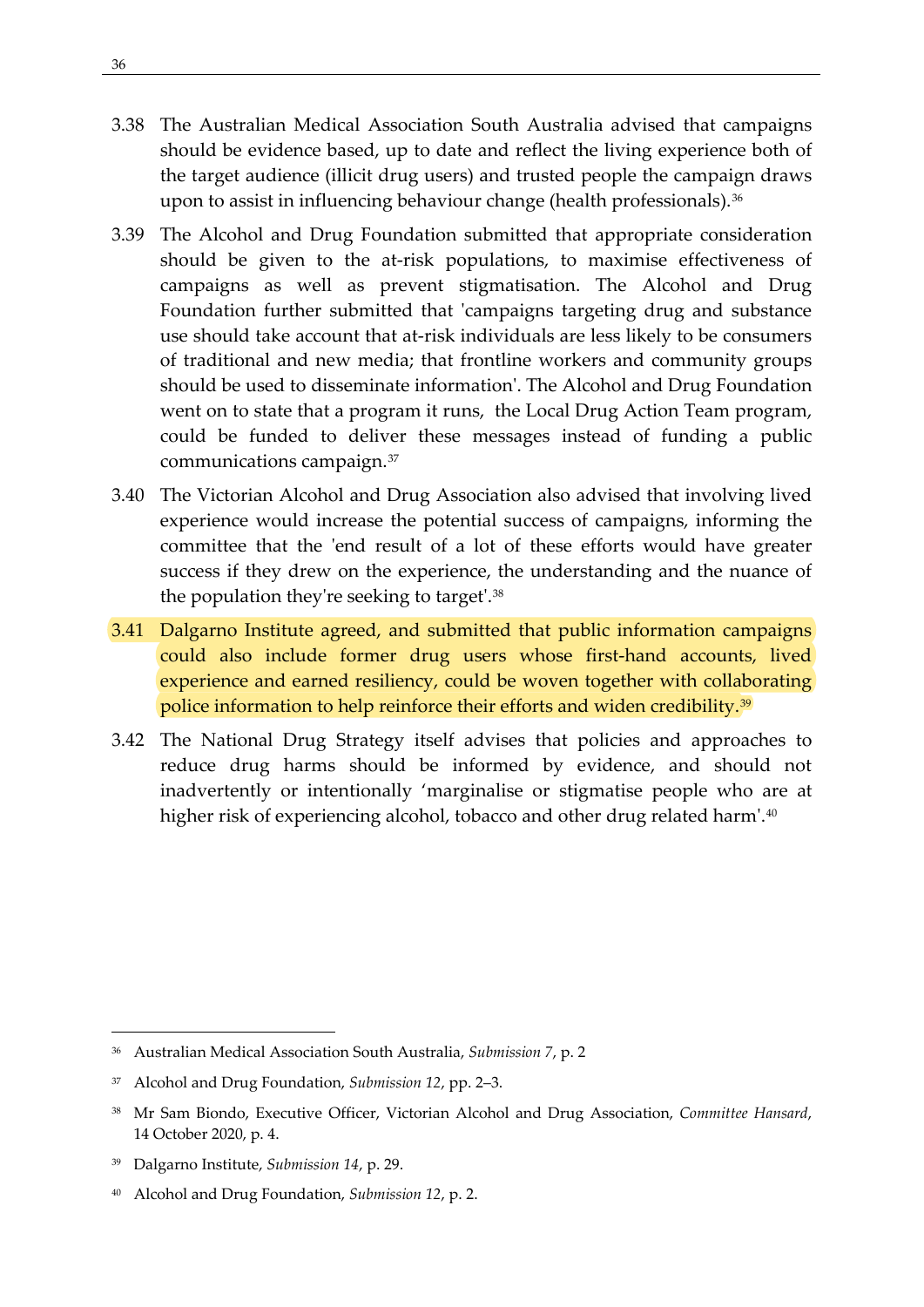- 3.38 The Australian Medical Association South Australia advised that campaigns should be evidence based, up to date and reflect the living experience both of the target audience (illicit drug users) and trusted people the campaign draws upon to assist in influencing behaviour change (health professionals).<sup>[36](#page-45-0)</sup>
- 3.39 The Alcohol and Drug Foundation submitted that appropriate consideration should be given to the at-risk populations, to maximise effectiveness of campaigns as well as prevent stigmatisation. The Alcohol and Drug Foundation further submitted that 'campaigns targeting drug and substance use should take account that at-risk individuals are less likely to be consumers of traditional and new media; that frontline workers and community groups should be used to disseminate information'. The Alcohol and Drug Foundation went on to state that a program it runs, the Local Drug Action Team program, could be funded to deliver these messages instead of funding a public communications campaign.[37](#page-45-1)
- 3.40 The Victorian Alcohol and Drug Association also advised that involving lived experience would increase the potential success of campaigns, informing the committee that the 'end result of a lot of these efforts would have greater success if they drew on the experience, the understanding and the nuance of the population they're seeking to target'.[38](#page-45-2)
- 3.41 Dalgarno Institute agreed, and submitted that public information campaigns could also include former drug users whose first-hand accounts, lived experience and earned resiliency, could be woven together with collaborating police information to help reinforce their efforts and widen credibility.<sup>[39](#page-45-3)</sup>
- 3.42 The National Drug Strategy itself advises that policies and approaches to reduce drug harms should be informed by evidence, and should not inadvertently or intentionally 'marginalise or stigmatise people who are at higher risk of experiencing alcohol, tobacco and other drug related harm'.<sup>[40](#page-45-4)</sup>

<span id="page-45-0"></span><sup>36</sup> Australian Medical Association South Australia, *Submission 7*, p. 2

<span id="page-45-1"></span><sup>37</sup> Alcohol and Drug Foundation, *Submission 12*, pp. 2–3.

<span id="page-45-2"></span><sup>38</sup> Mr Sam Biondo, Executive Officer, Victorian Alcohol and Drug Association, *Committee Hansard*, 14 October 2020, p. 4.

<span id="page-45-3"></span><sup>39</sup> Dalgarno Institute, *Submission 14*, p. 29.

<span id="page-45-4"></span><sup>40</sup> Alcohol and Drug Foundation, *Submission 12*, p. 2.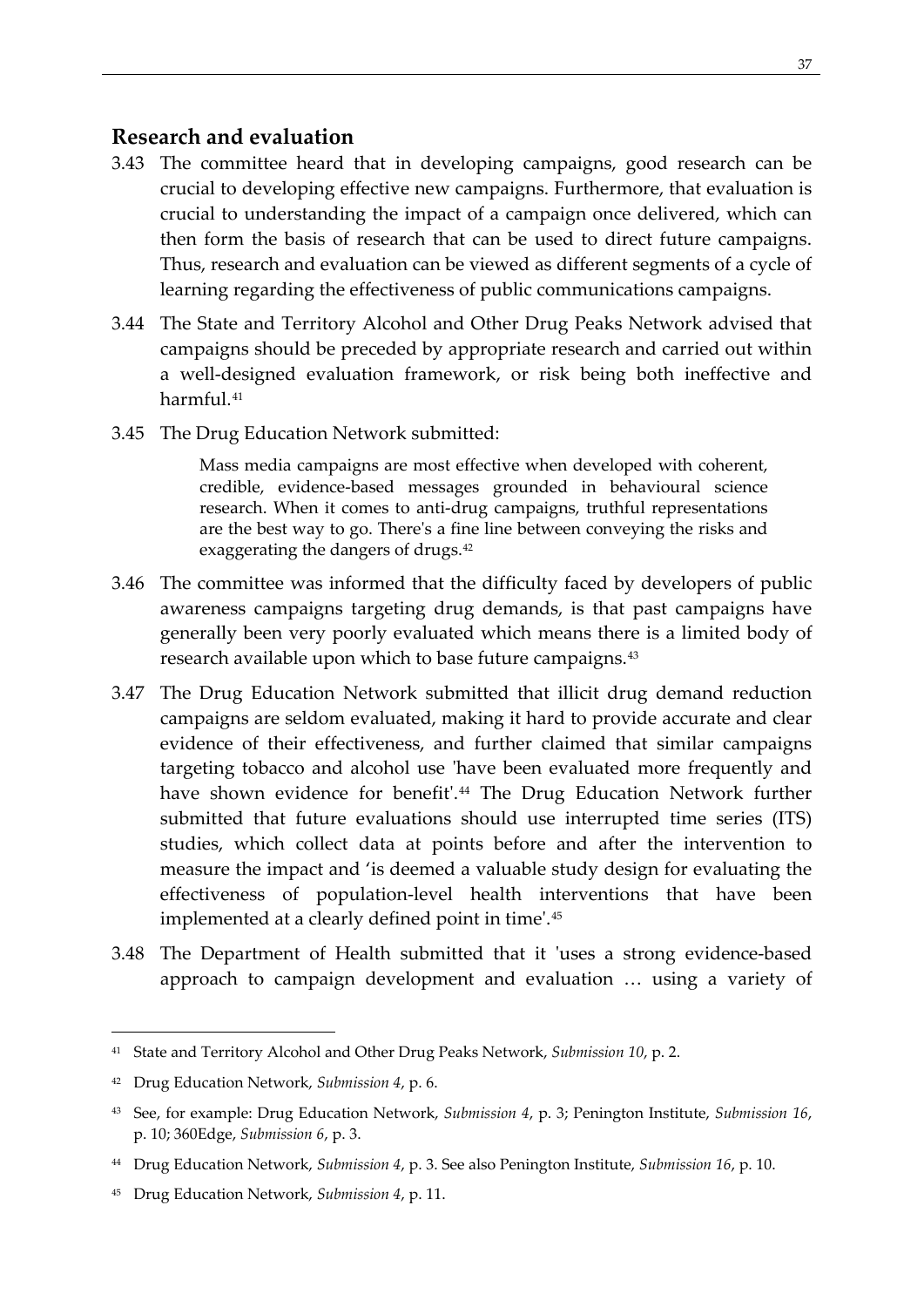### <span id="page-46-0"></span>**Research and evaluation**

- 3.43 The committee heard that in developing campaigns, good research can be crucial to developing effective new campaigns. Furthermore, that evaluation is crucial to understanding the impact of a campaign once delivered, which can then form the basis of research that can be used to direct future campaigns. Thus, research and evaluation can be viewed as different segments of a cycle of learning regarding the effectiveness of public communications campaigns.
- 3.44 The State and Territory Alcohol and Other Drug Peaks Network advised that campaigns should be preceded by appropriate research and carried out within a well-designed evaluation framework, or risk being both ineffective and harmful.<sup>[41](#page-46-1)</sup>
- 3.45 The Drug Education Network submitted:

Mass media campaigns are most effective when developed with coherent, credible, evidence-based messages grounded in behavioural science research. When it comes to anti-drug campaigns, truthful representations are the best way to go. There's a fine line between conveying the risks and exaggerating the dangers of drugs[.42](#page-46-2)

- 3.46 The committee was informed that the difficulty faced by developers of public awareness campaigns targeting drug demands, is that past campaigns have generally been very poorly evaluated which means there is a limited body of research available upon which to base future campaigns.<sup>[43](#page-46-3)</sup>
- 3.47 The Drug Education Network submitted that illicit drug demand reduction campaigns are seldom evaluated, making it hard to provide accurate and clear evidence of their effectiveness, and further claimed that similar campaigns targeting tobacco and alcohol use 'have been evaluated more frequently and have shown evidence for benefit'.<sup>[44](#page-46-4)</sup> The Drug Education Network further submitted that future evaluations should use interrupted time series (ITS) studies, which collect data at points before and after the intervention to measure the impact and 'is deemed a valuable study design for evaluating the effectiveness of population-level health interventions that have been implemented at a clearly defined point in time'.[45](#page-46-5)
- 3.48 The Department of Health submitted that it 'uses a strong evidence-based approach to campaign development and evaluation … using a variety of

<span id="page-46-1"></span><sup>41</sup> State and Territory Alcohol and Other Drug Peaks Network, *Submission 10*, p. 2.

<span id="page-46-2"></span><sup>42</sup> Drug Education Network, *Submission 4*, p. 6.

<span id="page-46-3"></span><sup>43</sup> See, for example: Drug Education Network, *Submission 4*, p. 3; Penington Institute, *Submission 16*, p. 10; 360Edge, *Submission 6*, p. 3.

<span id="page-46-4"></span><sup>44</sup> Drug Education Network, *Submission 4*, p. 3. See also Penington Institute, *Submission 16*, p. 10.

<span id="page-46-5"></span><sup>45</sup> Drug Education Network, *Submission 4*, p. 11.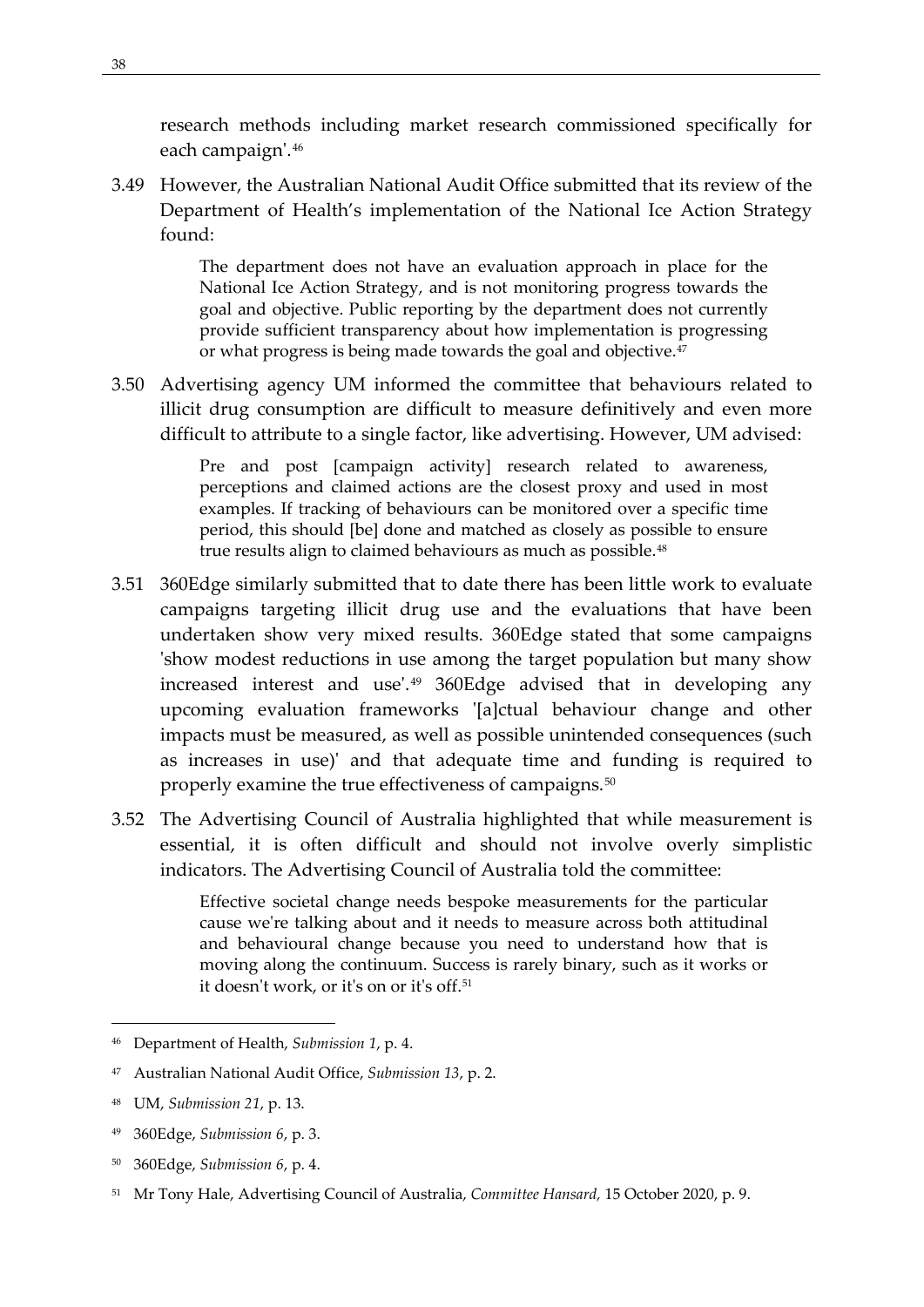research methods including market research commissioned specifically for each campaign'.[46](#page-47-0)

3.49 However, the Australian National Audit Office submitted that its review of the Department of Health's implementation of the National Ice Action Strategy found:

> The department does not have an evaluation approach in place for the National Ice Action Strategy, and is not monitoring progress towards the goal and objective. Public reporting by the department does not currently provide sufficient transparency about how implementation is progressing or what progress is being made towards the goal and objective.<sup>[47](#page-47-1)</sup>

3.50 Advertising agency UM informed the committee that behaviours related to illicit drug consumption are difficult to measure definitively and even more difficult to attribute to a single factor, like advertising. However, UM advised:

> Pre and post [campaign activity] research related to awareness, perceptions and claimed actions are the closest proxy and used in most examples. If tracking of behaviours can be monitored over a specific time period, this should [be] done and matched as closely as possible to ensure true results align to claimed behaviours as much as possible.<sup>[48](#page-47-2)</sup>

- 3.51 360Edge similarly submitted that to date there has been little work to evaluate campaigns targeting illicit drug use and the evaluations that have been undertaken show very mixed results. 360Edge stated that some campaigns 'show modest reductions in use among the target population but many show increased interest and use'.[49](#page-47-3) 360Edge advised that in developing any upcoming evaluation frameworks '[a]ctual behaviour change and other impacts must be measured, as well as possible unintended consequences (such as increases in use)' and that adequate time and funding is required to properly examine the true effectiveness of campaigns.<sup>[50](#page-47-4)</sup>
- 3.52 The Advertising Council of Australia highlighted that while measurement is essential, it is often difficult and should not involve overly simplistic indicators. The Advertising Council of Australia told the committee:

Effective societal change needs bespoke measurements for the particular cause we're talking about and it needs to measure across both attitudinal and behavioural change because you need to understand how that is moving along the continuum. Success is rarely binary, such as it works or it doesn't work, or it's on or it's off.[51](#page-47-5)

<span id="page-47-4"></span><sup>50</sup> 360Edge, *Submission 6*, p. 4.

<span id="page-47-0"></span><sup>46</sup> Department of Health, *Submission 1*, p. 4.

<span id="page-47-1"></span><sup>47</sup> Australian National Audit Office, *Submission 13*, p. 2.

<span id="page-47-2"></span><sup>48</sup> UM, *Submission 21*, p. 13.

<span id="page-47-3"></span><sup>49</sup> 360Edge, *Submission 6*, p. 3.

<span id="page-47-5"></span><sup>51</sup> Mr Tony Hale, Advertising Council of Australia, *Committee Hansard,* 15 October 2020, p. 9.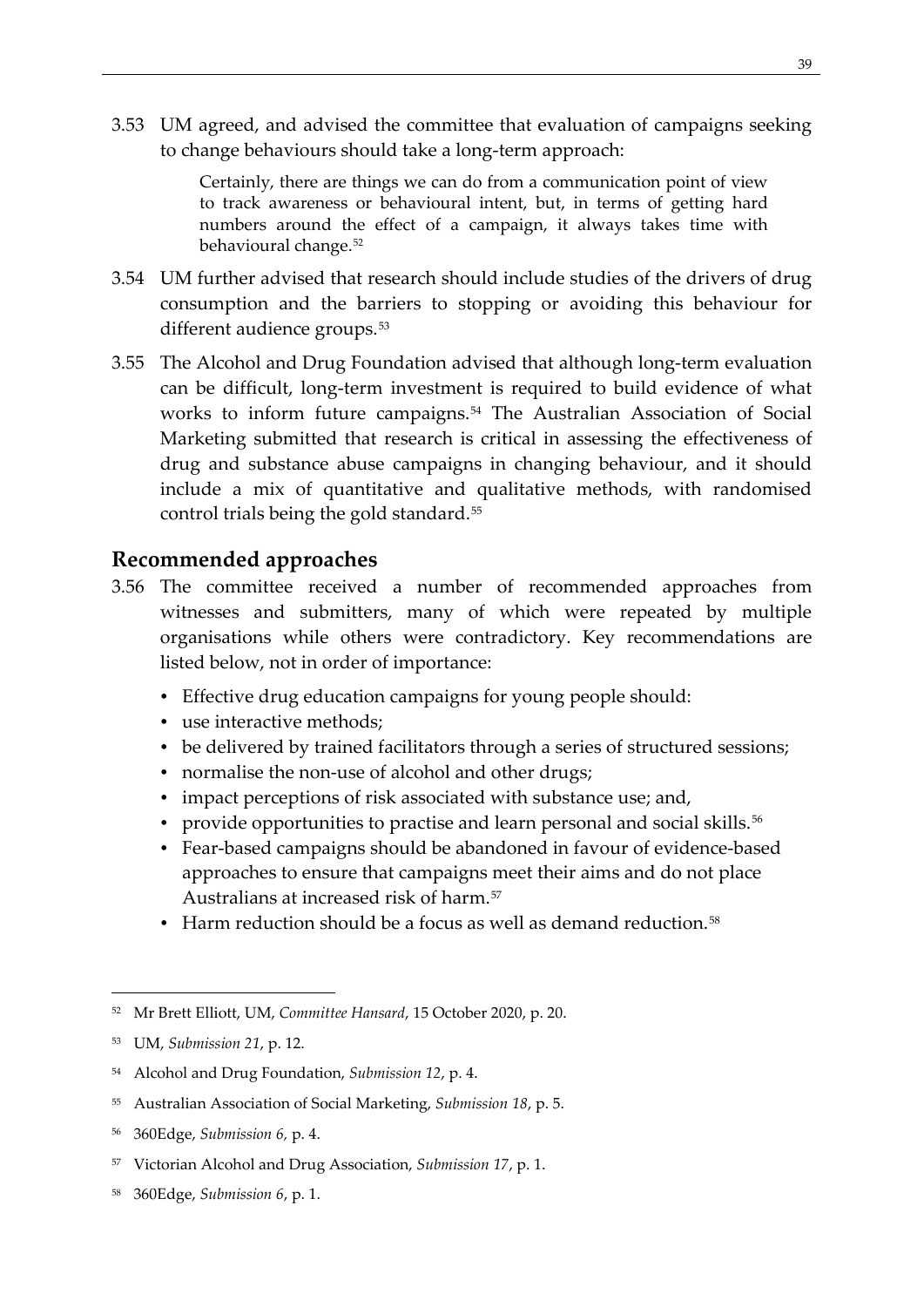3.53 UM agreed, and advised the committee that evaluation of campaigns seeking to change behaviours should take a long-term approach:

> Certainly, there are things we can do from a communication point of view to track awareness or behavioural intent, but, in terms of getting hard numbers around the effect of a campaign, it always takes time with behavioural change.<sup>[52](#page-48-1)</sup>

- 3.54 UM further advised that research should include studies of the drivers of drug consumption and the barriers to stopping or avoiding this behaviour for different audience groups.<sup>[53](#page-48-2)</sup>
- 3.55 The Alcohol and Drug Foundation advised that although long-term evaluation can be difficult, long-term investment is required to build evidence of what works to inform future campaigns.[54](#page-48-3) The Australian Association of Social Marketing submitted that research is critical in assessing the effectiveness of drug and substance abuse campaigns in changing behaviour, and it should include a mix of quantitative and qualitative methods, with randomised control trials being the gold standard.<sup>[55](#page-48-4)</sup>

## <span id="page-48-0"></span>**Recommended approaches**

- 3.56 The committee received a number of recommended approaches from witnesses and submitters, many of which were repeated by multiple organisations while others were contradictory. Key recommendations are listed below, not in order of importance:
	- Effective drug education campaigns for young people should:
	- use interactive methods;
	- be delivered by trained facilitators through a series of structured sessions;
	- normalise the non-use of alcohol and other drugs;
	- impact perceptions of risk associated with substance use; and,
	- provide opportunities to practise and learn personal and social skills.<sup>[56](#page-48-5)</sup>
	- Fear-based campaigns should be abandoned in favour of evidence-based approaches to ensure that campaigns meet their aims and do not place Australians at increased risk of harm.[57](#page-48-6)
	- Harm reduction should be a focus as well as demand reduction.<sup>[58](#page-48-7)</sup>

<span id="page-48-1"></span><sup>52</sup> Mr Brett Elliott, UM, *Committee Hansard*, 15 October 2020, p. 20.

<span id="page-48-2"></span><sup>53</sup> UM, *Submission 21*, p. 12.

<span id="page-48-3"></span><sup>54</sup> Alcohol and Drug Foundation, *Submission 12*, p. 4.

<span id="page-48-4"></span><sup>55</sup> Australian Association of Social Marketing, *Submission 18*, p. 5.

<span id="page-48-5"></span><sup>56</sup> 360Edge, *Submission 6,* p. 4.

<span id="page-48-6"></span><sup>57</sup> Victorian Alcohol and Drug Association, *Submission 17*, p. 1.

<span id="page-48-7"></span><sup>58</sup> 360Edge, *Submission 6*, p. 1.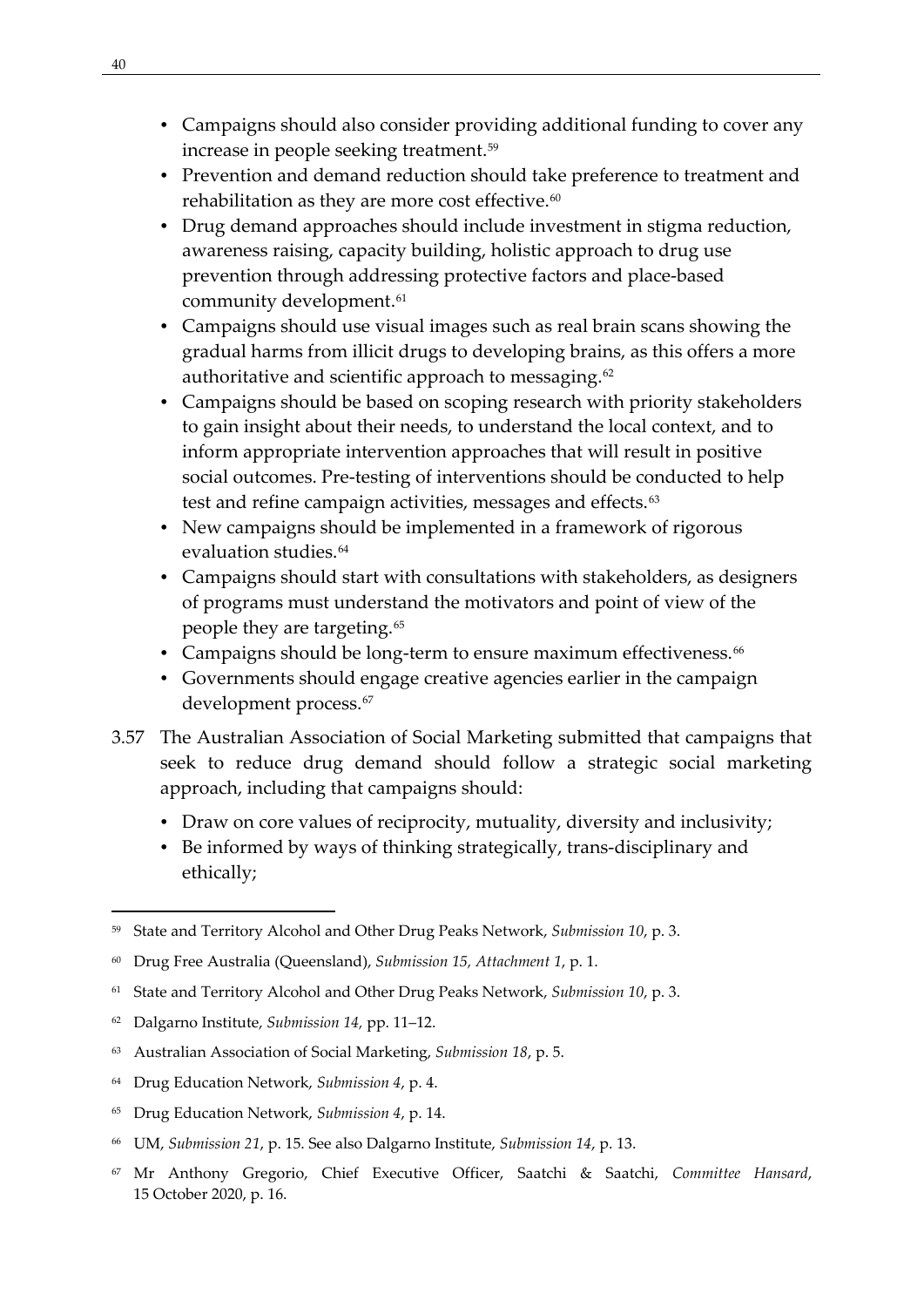- Campaigns should also consider providing additional funding to cover any increase in people seeking treatment[.59](#page-49-0)
- Prevention and demand reduction should take preference to treatment and rehabilitation as they are more cost effective.<sup>60</sup>
- Drug demand approaches should include investment in stigma reduction, awareness raising, capacity building, holistic approach to drug use prevention through addressing protective factors and place-based community development.<sup>[61](#page-49-2)</sup>
- Campaigns should use visual images such as real brain scans showing the gradual harms from illicit drugs to developing brains, as this offers a more authoritative and scientific approach to messaging.<sup>[62](#page-49-3)</sup>
- Campaigns should be based on scoping research with priority stakeholders to gain insight about their needs, to understand the local context, and to inform appropriate intervention approaches that will result in positive social outcomes. Pre-testing of interventions should be conducted to help test and refine campaign activities, messages and effects.<sup>[63](#page-49-4)</sup>
- New campaigns should be implemented in a framework of rigorous evaluation studies.<sup>[64](#page-49-5)</sup>
- Campaigns should start with consultations with stakeholders, as designers of programs must understand the motivators and point of view of the people they are targeting.<sup>[65](#page-49-6)</sup>
- Campaigns should be long-term to ensure maximum effectiveness.<sup>[66](#page-49-7)</sup>
- Governments should engage creative agencies earlier in the campaign development process.<sup>[67](#page-49-8)</sup>
- 3.57 The Australian Association of Social Marketing submitted that campaigns that seek to reduce drug demand should follow a strategic social marketing approach, including that campaigns should:
	- Draw on core values of reciprocity, mutuality, diversity and inclusivity;
	- Be informed by ways of thinking strategically, trans-disciplinary and ethically;

- <span id="page-49-3"></span><sup>62</sup> Dalgarno Institute, *Submission 14,* pp. 11–12.
- <span id="page-49-4"></span><sup>63</sup> Australian Association of Social Marketing, *Submission 18*, p. 5.
- <span id="page-49-5"></span><sup>64</sup> Drug Education Network, *Submission 4*, p. 4.
- <span id="page-49-6"></span><sup>65</sup> Drug Education Network, *Submission 4*, p. 14.
- <span id="page-49-7"></span><sup>66</sup> UM, *Submission 21*, p. 15. See also Dalgarno Institute, *Submission 14*, p. 13.
- <span id="page-49-8"></span><sup>67</sup> Mr Anthony Gregorio, Chief Executive Officer, Saatchi & Saatchi, *Committee Hansard*, 15 October 2020, p. 16.

<span id="page-49-0"></span><sup>59</sup> State and Territory Alcohol and Other Drug Peaks Network, *Submission 10*, p. 3.

<span id="page-49-1"></span><sup>60</sup> Drug Free Australia (Queensland), *Submission 15, Attachment 1*, p. 1.

<span id="page-49-2"></span><sup>61</sup> State and Territory Alcohol and Other Drug Peaks Network, *Submission 10*, p. 3.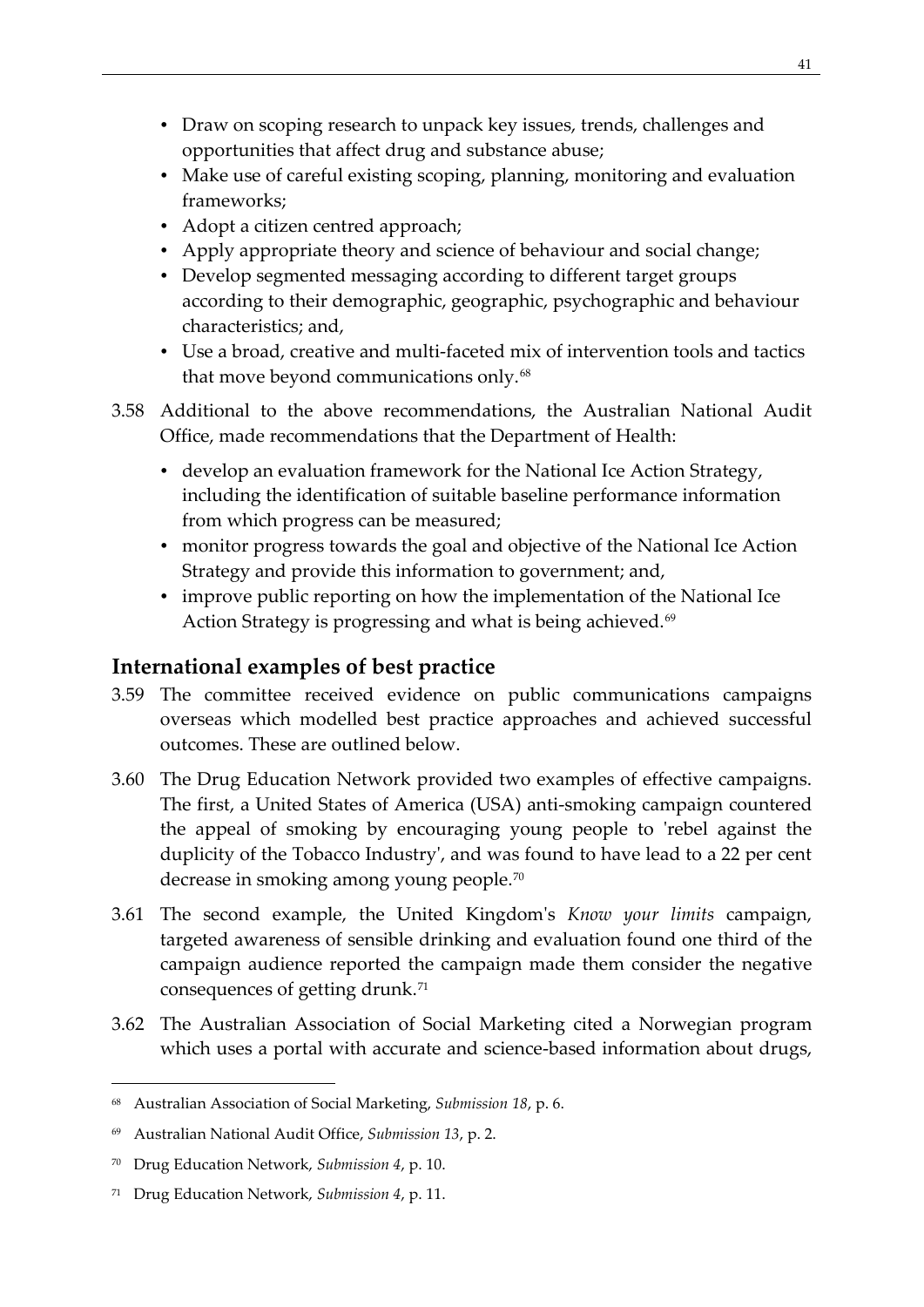- Draw on scoping research to unpack key issues, trends, challenges and opportunities that affect drug and substance abuse;
- Make use of careful existing scoping, planning, monitoring and evaluation frameworks;
- Adopt a citizen centred approach;
- Apply appropriate theory and science of behaviour and social change;
- Develop segmented messaging according to different target groups according to their demographic, geographic, psychographic and behaviour characteristics; and,
- Use a broad, creative and multi-faceted mix of intervention tools and tactics that move beyond communications only.<sup>[68](#page-50-1)</sup>
- 3.58 Additional to the above recommendations, the Australian National Audit Office, made recommendations that the Department of Health:
	- develop an evaluation framework for the National Ice Action Strategy, including the identification of suitable baseline performance information from which progress can be measured;
	- monitor progress towards the goal and objective of the National Ice Action Strategy and provide this information to government; and,
	- improve public reporting on how the implementation of the National Ice Action Strategy is progressing and what is being achieved.<sup>[69](#page-50-2)</sup>

# <span id="page-50-0"></span>**International examples of best practice**

- 3.59 The committee received evidence on public communications campaigns overseas which modelled best practice approaches and achieved successful outcomes. These are outlined below.
- 3.60 The Drug Education Network provided two examples of effective campaigns. The first, a United States of America (USA) anti-smoking campaign countered the appeal of smoking by encouraging young people to 'rebel against the duplicity of the Tobacco Industry', and was found to have lead to a 22 per cent decrease in smoking among young people.[70](#page-50-3)
- 3.61 The second example, the United Kingdom's *Know your limits* campaign, targeted awareness of sensible drinking and evaluation found one third of the campaign audience reported the campaign made them consider the negative consequences of getting drunk.<sup>[71](#page-50-4)</sup>
- 3.62 The Australian Association of Social Marketing cited a Norwegian program which uses a portal with accurate and science-based information about drugs,

<span id="page-50-1"></span><sup>68</sup> Australian Association of Social Marketing, *Submission 18*, p. 6.

<span id="page-50-2"></span><sup>69</sup> Australian National Audit Office, *Submission 13*, p. 2.

<span id="page-50-3"></span><sup>70</sup> Drug Education Network, *Submission 4*, p. 10.

<span id="page-50-4"></span><sup>71</sup> Drug Education Network, *Submission 4*, p. 11.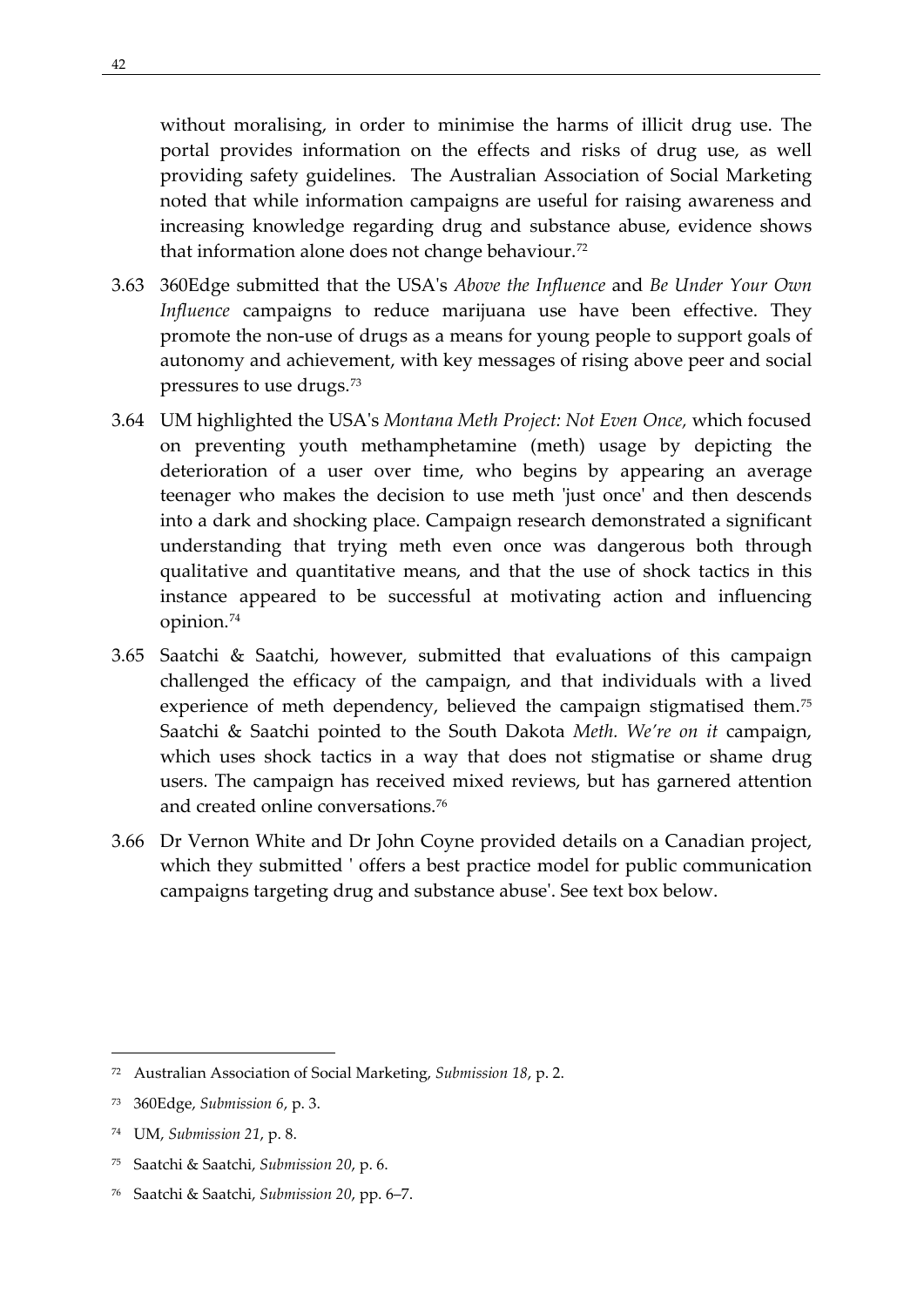without moralising, in order to minimise the harms of illicit drug use. The portal provides information on the effects and risks of drug use, as well providing safety guidelines. The Australian Association of Social Marketing noted that while information campaigns are useful for raising awareness and increasing knowledge regarding drug and substance abuse, evidence shows that information alone does not change behaviour.[72](#page-51-0)

- 3.63 360Edge submitted that the USA's *Above the Influence* and *Be Under Your Own Influence* campaigns to reduce marijuana use have been effective. They promote the non-use of drugs as a means for young people to support goals of autonomy and achievement, with key messages of rising above peer and social pressures to use drugs.[73](#page-51-1)
- 3.64 UM highlighted the USA's *Montana Meth Project: Not Even Once,* which focused on preventing youth methamphetamine (meth) usage by depicting the deterioration of a user over time, who begins by appearing an average teenager who makes the decision to use meth 'just once' and then descends into a dark and shocking place. Campaign research demonstrated a significant understanding that trying meth even once was dangerous both through qualitative and quantitative means, and that the use of shock tactics in this instance appeared to be successful at motivating action and influencing opinion.[74](#page-51-2)
- 3.65 Saatchi & Saatchi, however, submitted that evaluations of this campaign challenged the efficacy of the campaign, and that individuals with a lived experience of meth dependency, believed the campaign stigmatised them.<sup>[75](#page-51-3)</sup> Saatchi & Saatchi pointed to the South Dakota *Meth. We're on it* campaign, which uses shock tactics in a way that does not stigmatise or shame drug users. The campaign has received mixed reviews, but has garnered attention and created online conversations.[76](#page-51-4)
- 3.66 Dr Vernon White and Dr John Coyne provided details on a Canadian project, which they submitted ' offers a best practice model for public communication campaigns targeting drug and substance abuse'. See text box below.

- <span id="page-51-3"></span><sup>75</sup> Saatchi & Saatchi, *Submission 20*, p. 6.
- <span id="page-51-4"></span><sup>76</sup> Saatchi & Saatchi, *Submission 20*, pp. 6–7.

<span id="page-51-0"></span><sup>72</sup> Australian Association of Social Marketing, *Submission 18*, p. 2.

<span id="page-51-1"></span><sup>73</sup> 360Edge, *Submission 6*, p. 3.

<span id="page-51-2"></span><sup>74</sup> UM, *Submission 21*, p. 8.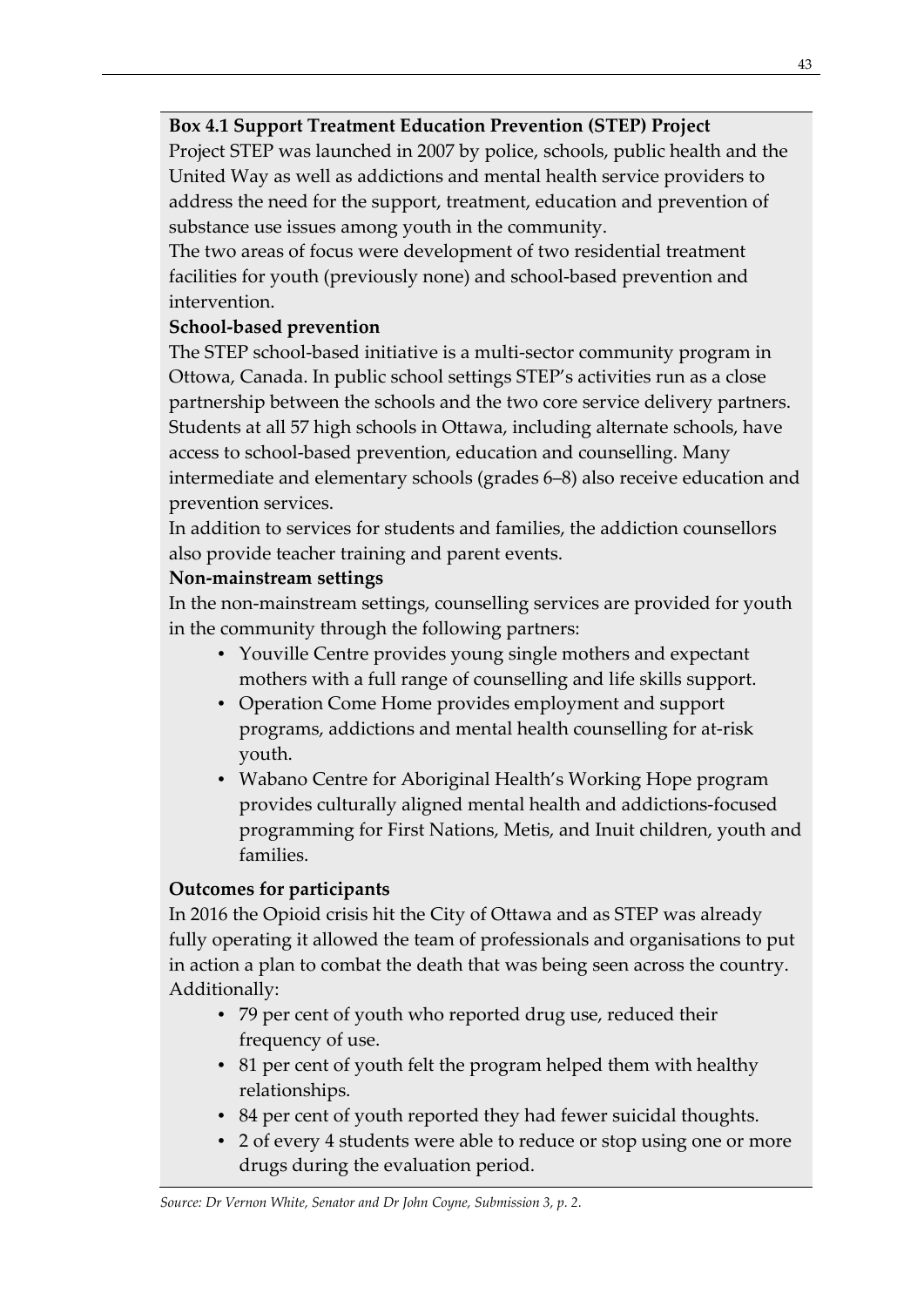## **Box 4.1 Support Treatment Education Prevention (STEP) Project**

Project STEP was launched in 2007 by police, schools, public health and the United Way as well as addictions and mental health service providers to address the need for the support, treatment, education and prevention of substance use issues among youth in the community.

The two areas of focus were development of two residential treatment facilities for youth (previously none) and school-based prevention and intervention.

# **School-based prevention**

The STEP school-based initiative is a multi-sector community program in Ottowa, Canada. In public school settings STEP's activities run as a close partnership between the schools and the two core service delivery partners. Students at all 57 high schools in Ottawa, including alternate schools, have access to school-based prevention, education and counselling. Many intermediate and elementary schools (grades 6–8) also receive education and prevention services.

In addition to services for students and families, the addiction counsellors also provide teacher training and parent events.

## **Non-mainstream settings**

In the non-mainstream settings, counselling services are provided for youth in the community through the following partners:

- Youville Centre provides young single mothers and expectant mothers with a full range of counselling and life skills support.
- Operation Come Home provides employment and support programs, addictions and mental health counselling for at-risk youth.
- Wabano Centre for Aboriginal Health's Working Hope program provides culturally aligned mental health and addictions-focused programming for First Nations, Metis, and Inuit children, youth and families.

# **Outcomes for participants**

In 2016 the Opioid crisis hit the City of Ottawa and as STEP was already fully operating it allowed the team of professionals and organisations to put in action a plan to combat the death that was being seen across the country. Additionally:

- 79 per cent of youth who reported drug use, reduced their frequency of use.
- 81 per cent of youth felt the program helped them with healthy relationships.
- 84 per cent of youth reported they had fewer suicidal thoughts.
- 2 of every 4 students were able to reduce or stop using one or more drugs during the evaluation period.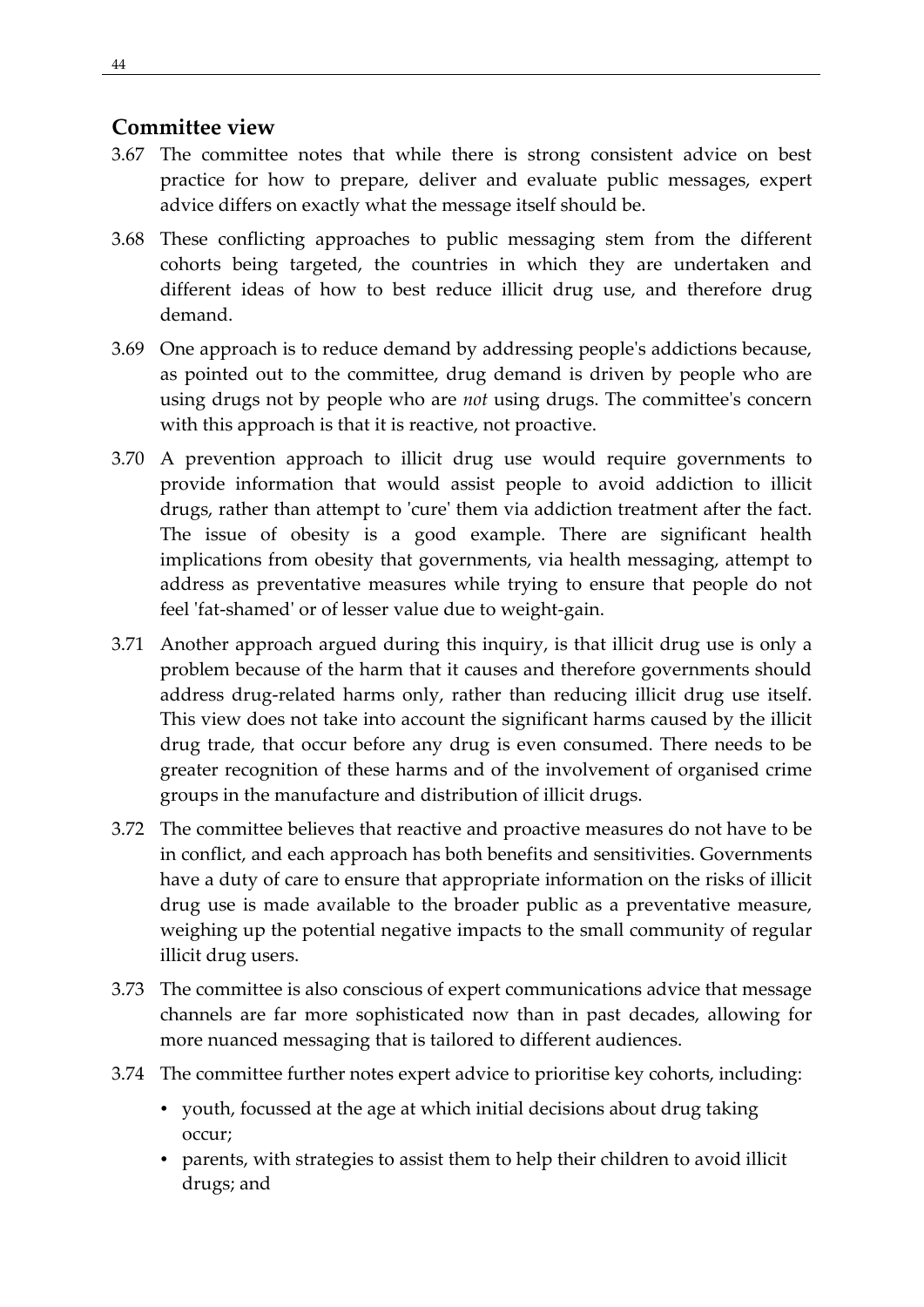## <span id="page-53-0"></span>**Committee view**

- 3.67 The committee notes that while there is strong consistent advice on best practice for how to prepare, deliver and evaluate public messages, expert advice differs on exactly what the message itself should be.
- 3.68 These conflicting approaches to public messaging stem from the different cohorts being targeted, the countries in which they are undertaken and different ideas of how to best reduce illicit drug use, and therefore drug demand.
- 3.69 One approach is to reduce demand by addressing people's addictions because, as pointed out to the committee, drug demand is driven by people who are using drugs not by people who are *not* using drugs. The committee's concern with this approach is that it is reactive, not proactive.
- 3.70 A prevention approach to illicit drug use would require governments to provide information that would assist people to avoid addiction to illicit drugs, rather than attempt to 'cure' them via addiction treatment after the fact. The issue of obesity is a good example. There are significant health implications from obesity that governments, via health messaging, attempt to address as preventative measures while trying to ensure that people do not feel 'fat-shamed' or of lesser value due to weight-gain.
- 3.71 Another approach argued during this inquiry, is that illicit drug use is only a problem because of the harm that it causes and therefore governments should address drug-related harms only, rather than reducing illicit drug use itself. This view does not take into account the significant harms caused by the illicit drug trade, that occur before any drug is even consumed. There needs to be greater recognition of these harms and of the involvement of organised crime groups in the manufacture and distribution of illicit drugs.
- 3.72 The committee believes that reactive and proactive measures do not have to be in conflict, and each approach has both benefits and sensitivities. Governments have a duty of care to ensure that appropriate information on the risks of illicit drug use is made available to the broader public as a preventative measure, weighing up the potential negative impacts to the small community of regular illicit drug users.
- 3.73 The committee is also conscious of expert communications advice that message channels are far more sophisticated now than in past decades, allowing for more nuanced messaging that is tailored to different audiences.
- 3.74 The committee further notes expert advice to prioritise key cohorts, including:
	- youth, focussed at the age at which initial decisions about drug taking occur;
	- parents, with strategies to assist them to help their children to avoid illicit drugs; and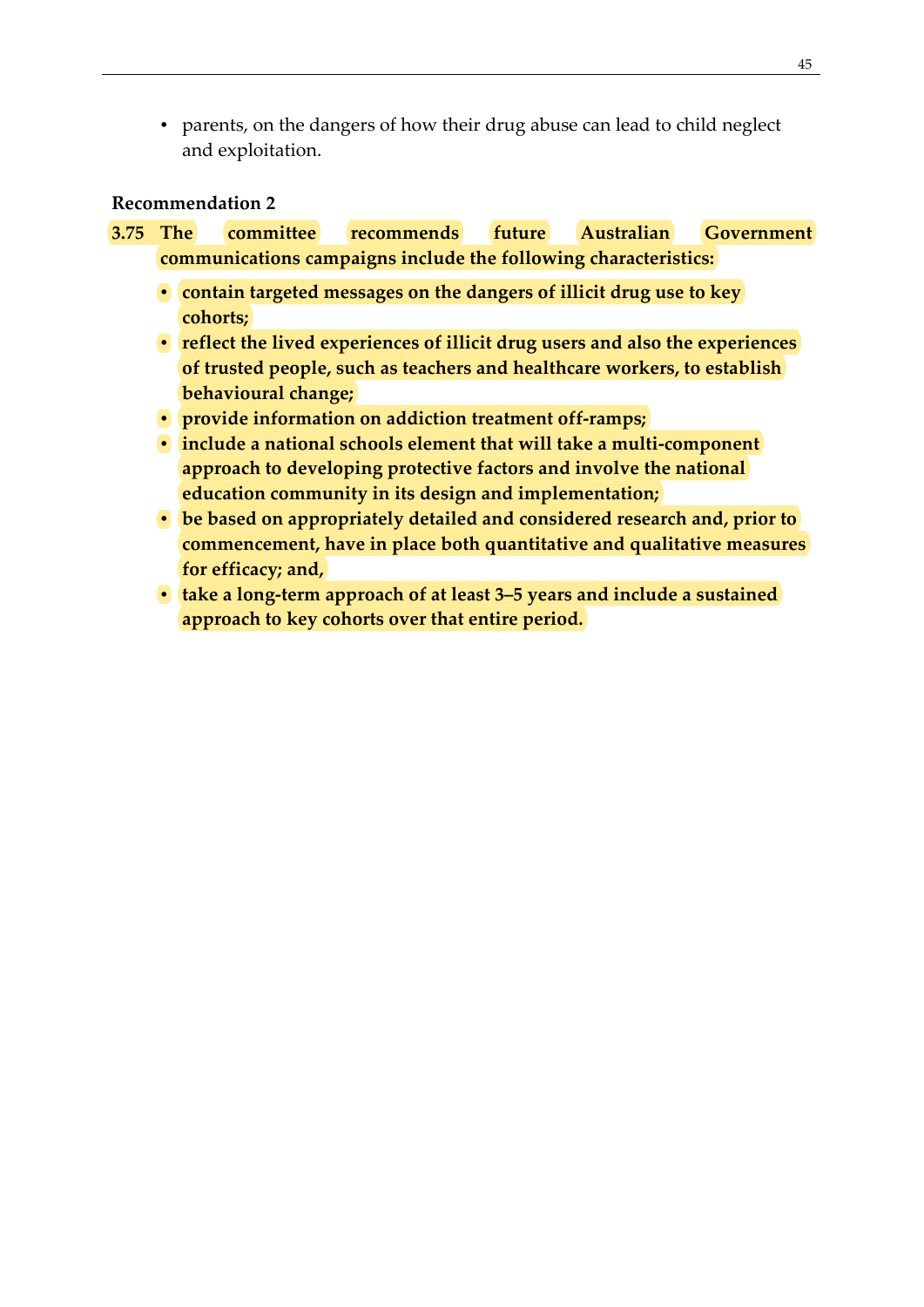• parents, on the dangers of how their drug abuse can lead to child neglect and exploitation.

#### <span id="page-54-0"></span>**Recommendation 2**

- **3.75 The committee recommends future Australian Government communications campaigns include the following characteristics:**
	- **contain targeted messages on the dangers of illicit drug use to key cohorts;**
	- **reflect the lived experiences of illicit drug users and also the experiences of trusted people, such as teachers and healthcare workers, to establish behavioural change;**
	- **provide information on addiction treatment off-ramps;**
	- **include a national schools element that will take a multi-component approach to developing protective factors and involve the national education community in its design and implementation;**
	- **be based on appropriately detailed and considered research and, prior to commencement, have in place both quantitative and qualitative measures for efficacy; and,**
	- **take a long-term approach of at least 3–5 years and include a sustained approach to key cohorts over that entire period.**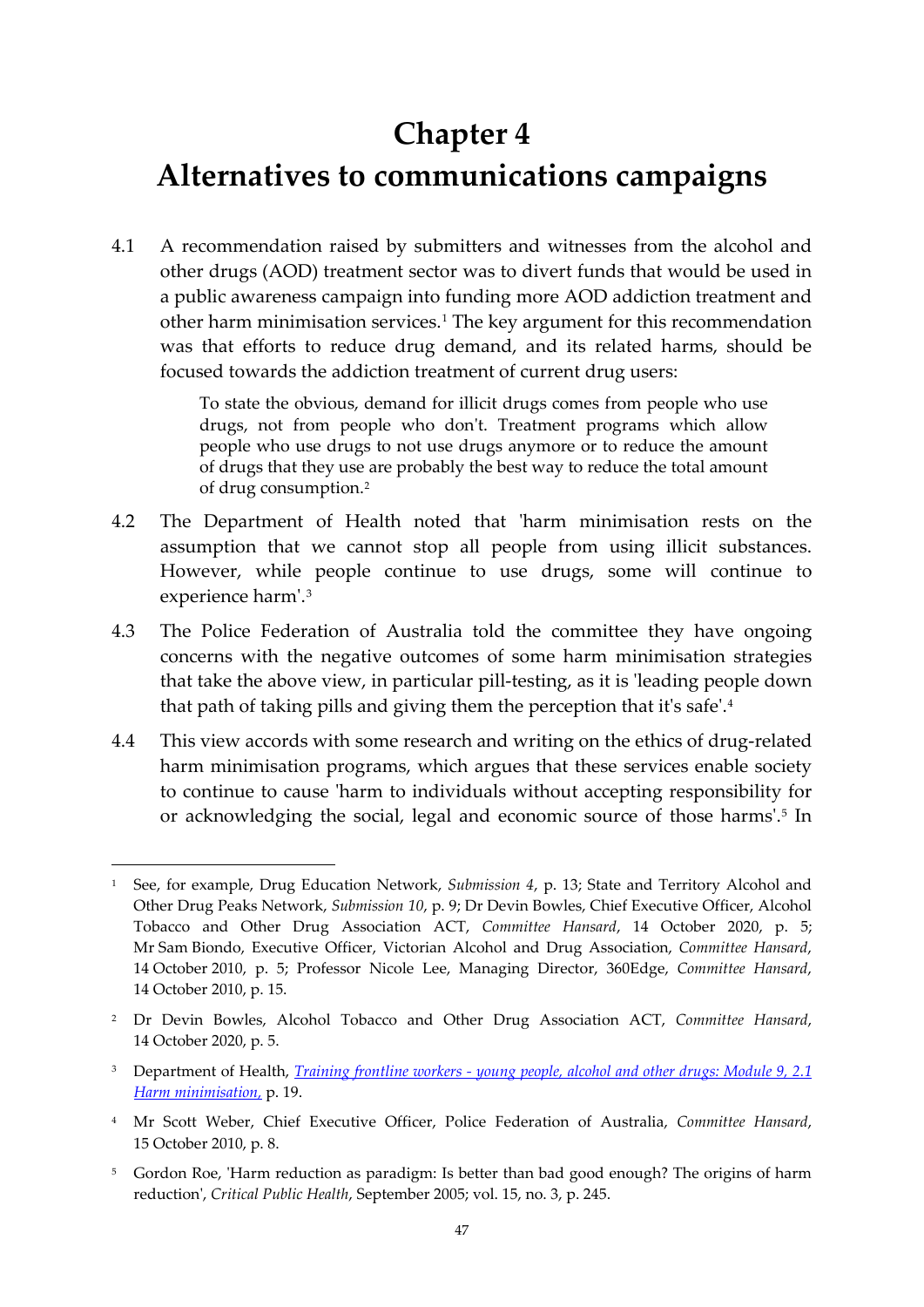# **Chapter 4**

# <span id="page-56-0"></span>**Alternatives to communications campaigns**

4.1 A recommendation raised by submitters and witnesses from the alcohol and other drugs (AOD) treatment sector was to divert funds that would be used in a public awareness campaign into funding more AOD addiction treatment and other harm minimisation services.[1](#page-56-1) The key argument for this recommendation was that efforts to reduce drug demand, and its related harms, should be focused towards the addiction treatment of current drug users:

> To state the obvious, demand for illicit drugs comes from people who use drugs, not from people who don't. Treatment programs which allow people who use drugs to not use drugs anymore or to reduce the amount of drugs that they use are probably the best way to reduce the total amount of drug consumption.[2](#page-56-2)

- 4.2 The Department of Health noted that 'harm minimisation rests on the assumption that we cannot stop all people from using illicit substances. However, while people continue to use drugs, some will continue to experience harm'.[3](#page-56-3)
- 4.3 The Police Federation of Australia told the committee they have ongoing concerns with the negative outcomes of some harm minimisation strategies that take the above view, in particular pill-testing, as it is 'leading people down that path of taking pills and giving them the perception that it's safe'.[4](#page-56-4)
- 4.4 This view accords with some research and writing on the ethics of drug-related harm minimisation programs, which argues that these services enable society to continue to cause 'harm to individuals without accepting responsibility for or acknowledging the social, legal and economic source of those harms'.[5](#page-56-5) In

<span id="page-56-1"></span><sup>1</sup> See, for example, Drug Education Network, *Submission 4*, p. 13; State and Territory Alcohol and Other Drug Peaks Network, *Submission 10*, p. 9; Dr Devin Bowles, Chief Executive Officer, Alcohol Tobacco and Other Drug Association ACT, *Committee Hansard*, 14 October 2020, p. 5; Mr Sam Biondo, Executive Officer, Victorian Alcohol and Drug Association, *Committee Hansard*, 14 October 2010, p. 5; Professor Nicole Lee, Managing Director, 360Edge, *Committee Hansard*, 14 October 2010, p. 15.

<span id="page-56-2"></span><sup>2</sup> Dr Devin Bowles, Alcohol Tobacco and Other Drug Association ACT, *Committee Hansard*, 14 October 2020, p. 5.

<span id="page-56-3"></span><sup>3</sup> Department of Health, *Training frontline workers - [young people, alcohol and other drugs: Module 9, 2.1](https://www1.health.gov.au/internet/main/publishing.nsf/Content/0FCEB164C6A77792CA257BF0001CBE44/$File/module7lw.pdf)  [Harm minimisation,](https://www1.health.gov.au/internet/main/publishing.nsf/Content/0FCEB164C6A77792CA257BF0001CBE44/$File/module7lw.pdf)* p. 19.

<span id="page-56-4"></span><sup>4</sup> Mr Scott Weber, Chief Executive Officer, Police Federation of Australia, *Committee Hansard*, 15 October 2010, p. 8.

<span id="page-56-5"></span><sup>&</sup>lt;sup>5</sup> Gordon Roe, 'Harm reduction as paradigm: Is better than bad good enough? The origins of harm reduction', *Critical Public Health*, September 2005; vol. 15, no. 3, p. 245.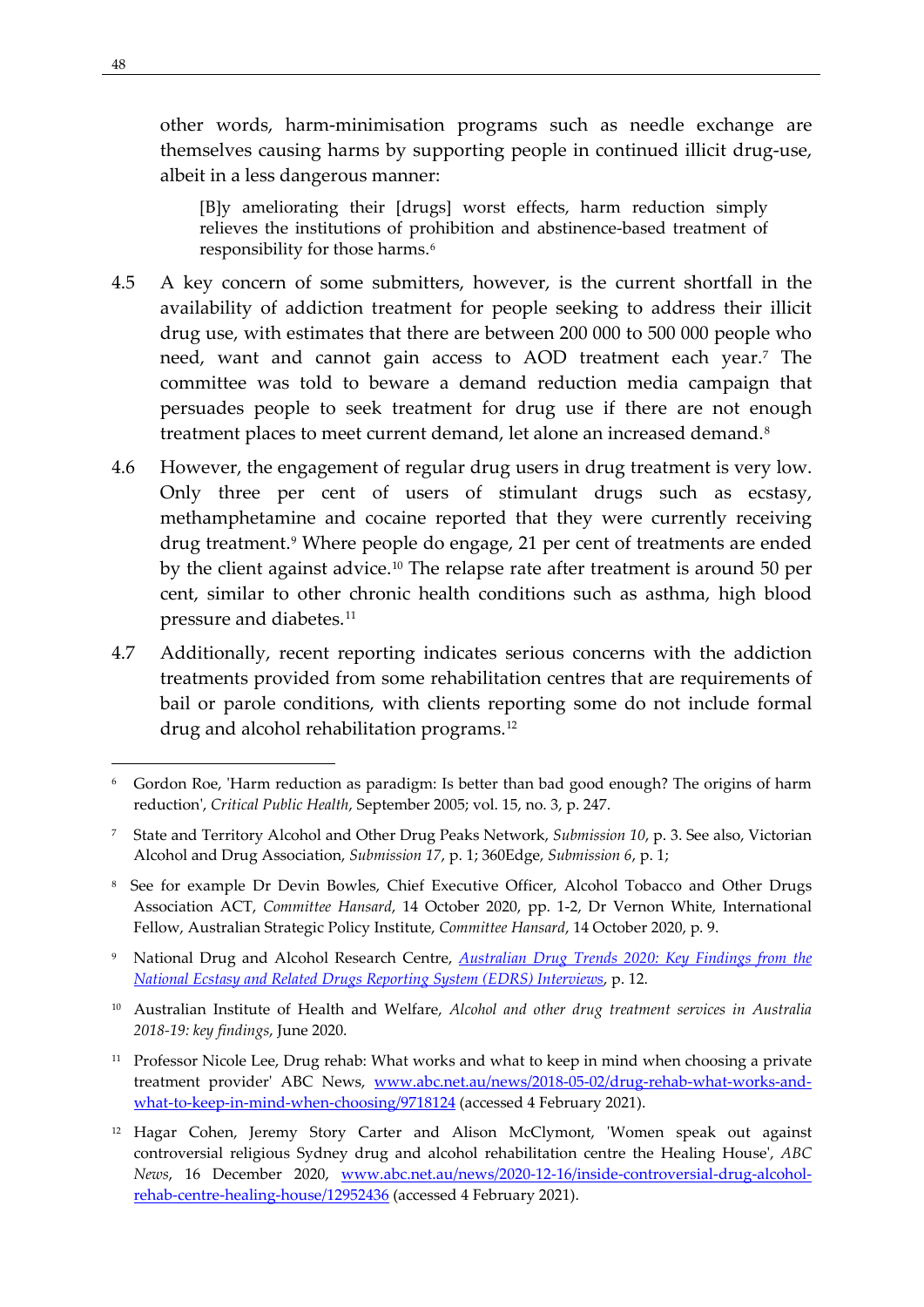other words, harm-minimisation programs such as needle exchange are themselves causing harms by supporting people in continued illicit drug-use, albeit in a less dangerous manner:

[B]y ameliorating their [drugs] worst effects, harm reduction simply relieves the institutions of prohibition and abstinence-based treatment of responsibility for those harms.<sup>[6](#page-57-0)</sup>

- 4.5 A key concern of some submitters, however, is the current shortfall in the availability of addiction treatment for people seeking to address their illicit drug use, with estimates that there are between 200 000 to 500 000 people who need, want and cannot gain access to AOD treatment each year.[7](#page-57-1) The committee was told to beware a demand reduction media campaign that persuades people to seek treatment for drug use if there are not enough treatment places to meet current demand, let alone an increased demand.<sup>[8](#page-57-2)</sup>
- 4.6 However, the engagement of regular drug users in drug treatment is very low. Only three per cent of users of stimulant drugs such as ecstasy, methamphetamine and cocaine reported that they were currently receiving drug treatment.[9](#page-57-3) Where people do engage, 21 per cent of treatments are ended by the client against advice.[10](#page-57-4) The relapse rate after treatment is around 50 per cent, similar to other chronic health conditions such as asthma, high blood pressure and diabetes.[11](#page-57-5)
- 4.7 Additionally, recent reporting indicates serious concerns with the addiction treatments provided from some rehabilitation centres that are requirements of bail or parole conditions, with clients reporting some do not include formal drug and alcohol rehabilitation programs.[12](#page-57-6)

- <span id="page-57-3"></span><sup>9</sup> National Drug and Alcohol Research Centre, *[Australian Drug Trends 2020: Key Findings from the](https://ndarc.med.unsw.edu.au/resource/australian-drug-trends-2020-key-findings-national-ecstasy-and-related-drugs-reporting)  [National Ecstasy and Related Drugs Reporting System \(EDRS\) Interviews](https://ndarc.med.unsw.edu.au/resource/australian-drug-trends-2020-key-findings-national-ecstasy-and-related-drugs-reporting)*, p. 12.
- <span id="page-57-4"></span><sup>10</sup> Australian Institute of Health and Welfare, *Alcohol and other drug treatment services in Australia 2018-19: key findings*, June 2020.
- <span id="page-57-5"></span><sup>11</sup> Professor Nicole Lee, Drug rehab: What works and what to keep in mind when choosing a private treatment provider' ABC News, [www.abc.net.au/news/2018-05-02/drug-rehab-what-works-and](http://www.abc.net.au/news/2018-05-02/drug-rehab-what-works-and-what-to-keep-in-mind-when-choosing/9718124)[what-to-keep-in-mind-when-choosing/9718124](http://www.abc.net.au/news/2018-05-02/drug-rehab-what-works-and-what-to-keep-in-mind-when-choosing/9718124) (accessed 4 February 2021).
- <span id="page-57-6"></span><sup>12</sup> Hagar Cohen, Jeremy Story Carter and Alison McClymont, 'Women speak out against controversial religious Sydney drug and alcohol rehabilitation centre the Healing House', *ABC News*, 16 December 2020, [www.abc.net.au/news/2020-12-16/inside-controversial-drug-alcohol](http://www.abc.net.au/news/2020-12-16/inside-controversial-drug-alcohol-rehab-centre-healing-house/12952436)[rehab-centre-healing-house/12952436](http://www.abc.net.au/news/2020-12-16/inside-controversial-drug-alcohol-rehab-centre-healing-house/12952436) (accessed 4 February 2021).

<span id="page-57-0"></span><sup>6</sup> Gordon Roe, 'Harm reduction as paradigm: Is better than bad good enough? The origins of harm reduction', *Critical Public Health*, September 2005; vol. 15, no. 3, p. 247.

<span id="page-57-1"></span><sup>7</sup> State and Territory Alcohol and Other Drug Peaks Network, *Submission 10*, p. 3. See also, Victorian Alcohol and Drug Association, *Submission 17*, p. 1; 360Edge, *Submission 6*, p. 1;

<span id="page-57-2"></span><sup>8</sup> See for example Dr Devin Bowles, Chief Executive Officer, Alcohol Tobacco and Other Drugs Association ACT, *Committee Hansard*, 14 October 2020, pp. 1-2, Dr Vernon White, International Fellow, Australian Strategic Policy Institute, *Committee Hansard*, 14 October 2020, p. 9.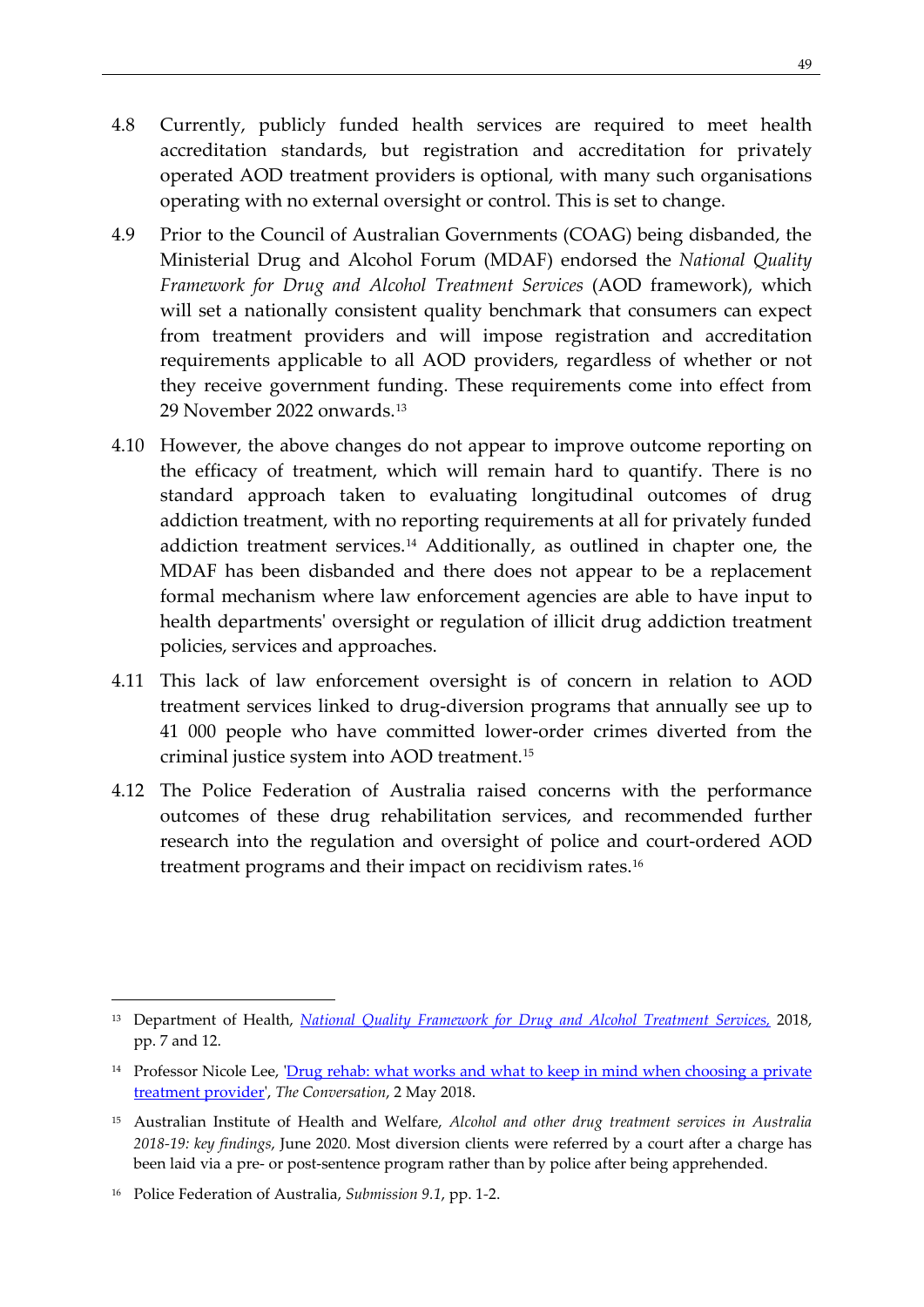- 4.8 Currently, publicly funded health services are required to meet health accreditation standards, but registration and accreditation for privately operated AOD treatment providers is optional, with many such organisations operating with no external oversight or control. This is set to change.
- 4.9 Prior to the Council of Australian Governments (COAG) being disbanded, the Ministerial Drug and Alcohol Forum (MDAF) endorsed the *National Quality Framework for Drug and Alcohol Treatment Services* (AOD framework), which will set a nationally consistent quality benchmark that consumers can expect from treatment providers and will impose registration and accreditation requirements applicable to all AOD providers, regardless of whether or not they receive government funding. These requirements come into effect from 29 November 2022 onwards.[13](#page-58-0)
- 4.10 However, the above changes do not appear to improve outcome reporting on the efficacy of treatment, which will remain hard to quantify. There is no standard approach taken to evaluating longitudinal outcomes of drug addiction treatment, with no reporting requirements at all for privately funded addiction treatment services.[14](#page-58-1) Additionally, as outlined in chapter one, the MDAF has been disbanded and there does not appear to be a replacement formal mechanism where law enforcement agencies are able to have input to health departments' oversight or regulation of illicit drug addiction treatment policies, services and approaches.
- 4.11 This lack of law enforcement oversight is of concern in relation to AOD treatment services linked to drug-diversion programs that annually see up to 41 000 people who have committed lower-order crimes diverted from the criminal justice system into AOD treatment.[15](#page-58-2)
- 4.12 The Police Federation of Australia raised concerns with the performance outcomes of these drug rehabilitation services, and recommended further research into the regulation and oversight of police and court-ordered AOD treatment programs and their impact on recidivism rates.[16](#page-58-3)

<span id="page-58-0"></span><sup>13</sup> Department of Health, *[National Quality Framework for Drug and Alcohol Treatment Services,](https://www.health.gov.au/sites/default/files/documents/2019/12/national-quality-framework-for-drug-and-alcohol-treatment-services_0.pdf)* 2018, pp. 7 and 12.

<span id="page-58-1"></span><sup>&</sup>lt;sup>14</sup> Professor Nicole Lee, 'Drug rehab: what works and what to keep in mind when choosing a private treatment provider', *The Conversation*, 2 May 2018.

<span id="page-58-2"></span><sup>15</sup> Australian Institute of Health and Welfare, *Alcohol and other drug treatment services in Australia 2018-19: key findings*, June 2020. Most diversion clients were referred by a court after a charge has been laid via a pre- or post-sentence program rather than by police after being apprehended.

<span id="page-58-3"></span><sup>16</sup> Police Federation of Australia, *Submission 9.1*, pp. 1*-*2.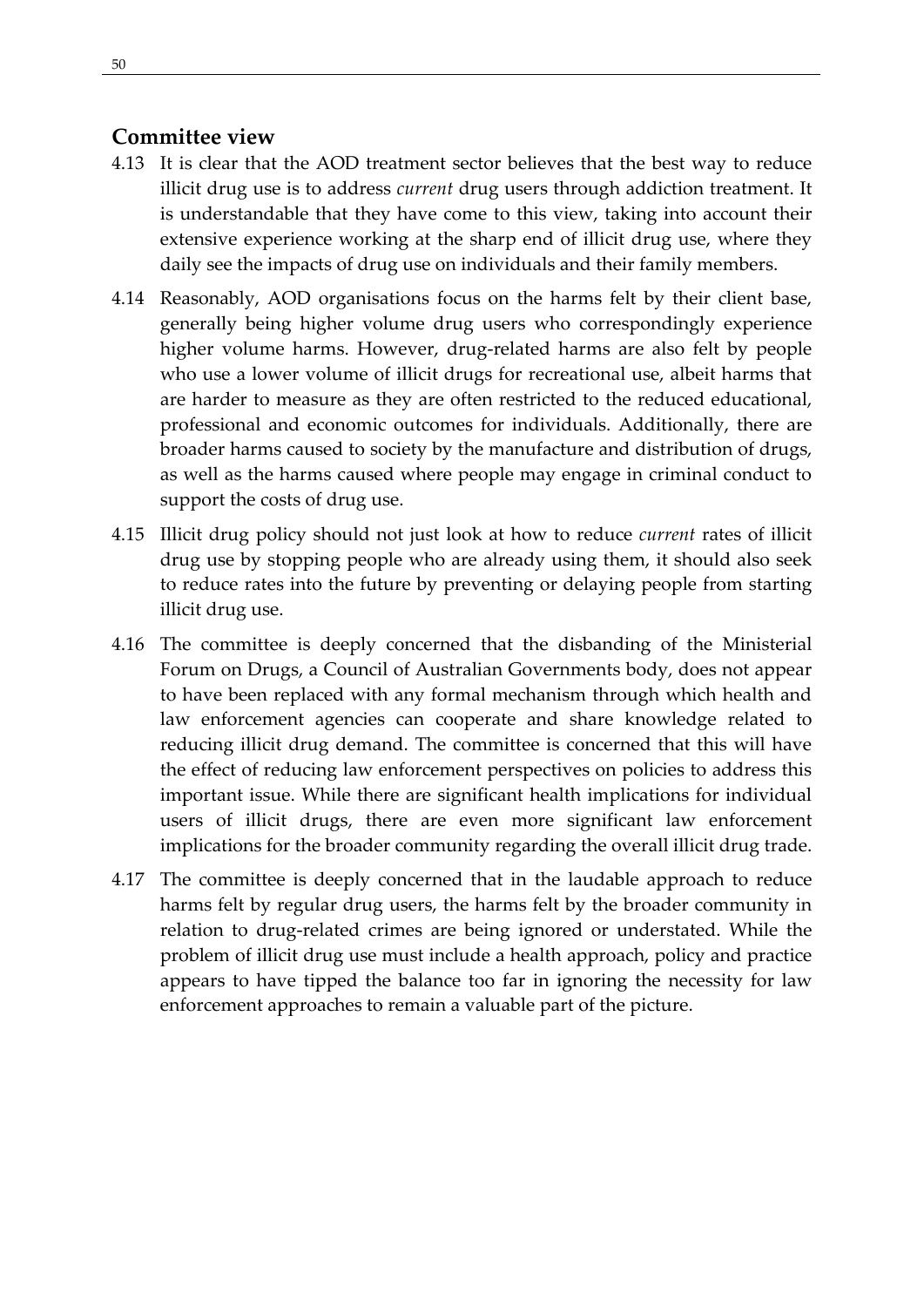# <span id="page-59-0"></span>**Committee view**

- 4.13 It is clear that the AOD treatment sector believes that the best way to reduce illicit drug use is to address *current* drug users through addiction treatment. It is understandable that they have come to this view, taking into account their extensive experience working at the sharp end of illicit drug use, where they daily see the impacts of drug use on individuals and their family members.
- 4.14 Reasonably, AOD organisations focus on the harms felt by their client base, generally being higher volume drug users who correspondingly experience higher volume harms. However, drug-related harms are also felt by people who use a lower volume of illicit drugs for recreational use, albeit harms that are harder to measure as they are often restricted to the reduced educational, professional and economic outcomes for individuals. Additionally, there are broader harms caused to society by the manufacture and distribution of drugs, as well as the harms caused where people may engage in criminal conduct to support the costs of drug use.
- 4.15 Illicit drug policy should not just look at how to reduce *current* rates of illicit drug use by stopping people who are already using them, it should also seek to reduce rates into the future by preventing or delaying people from starting illicit drug use.
- 4.16 The committee is deeply concerned that the disbanding of the Ministerial Forum on Drugs, a Council of Australian Governments body, does not appear to have been replaced with any formal mechanism through which health and law enforcement agencies can cooperate and share knowledge related to reducing illicit drug demand. The committee is concerned that this will have the effect of reducing law enforcement perspectives on policies to address this important issue. While there are significant health implications for individual users of illicit drugs, there are even more significant law enforcement implications for the broader community regarding the overall illicit drug trade.
- 4.17 The committee is deeply concerned that in the laudable approach to reduce harms felt by regular drug users, the harms felt by the broader community in relation to drug-related crimes are being ignored or understated. While the problem of illicit drug use must include a health approach, policy and practice appears to have tipped the balance too far in ignoring the necessity for law enforcement approaches to remain a valuable part of the picture.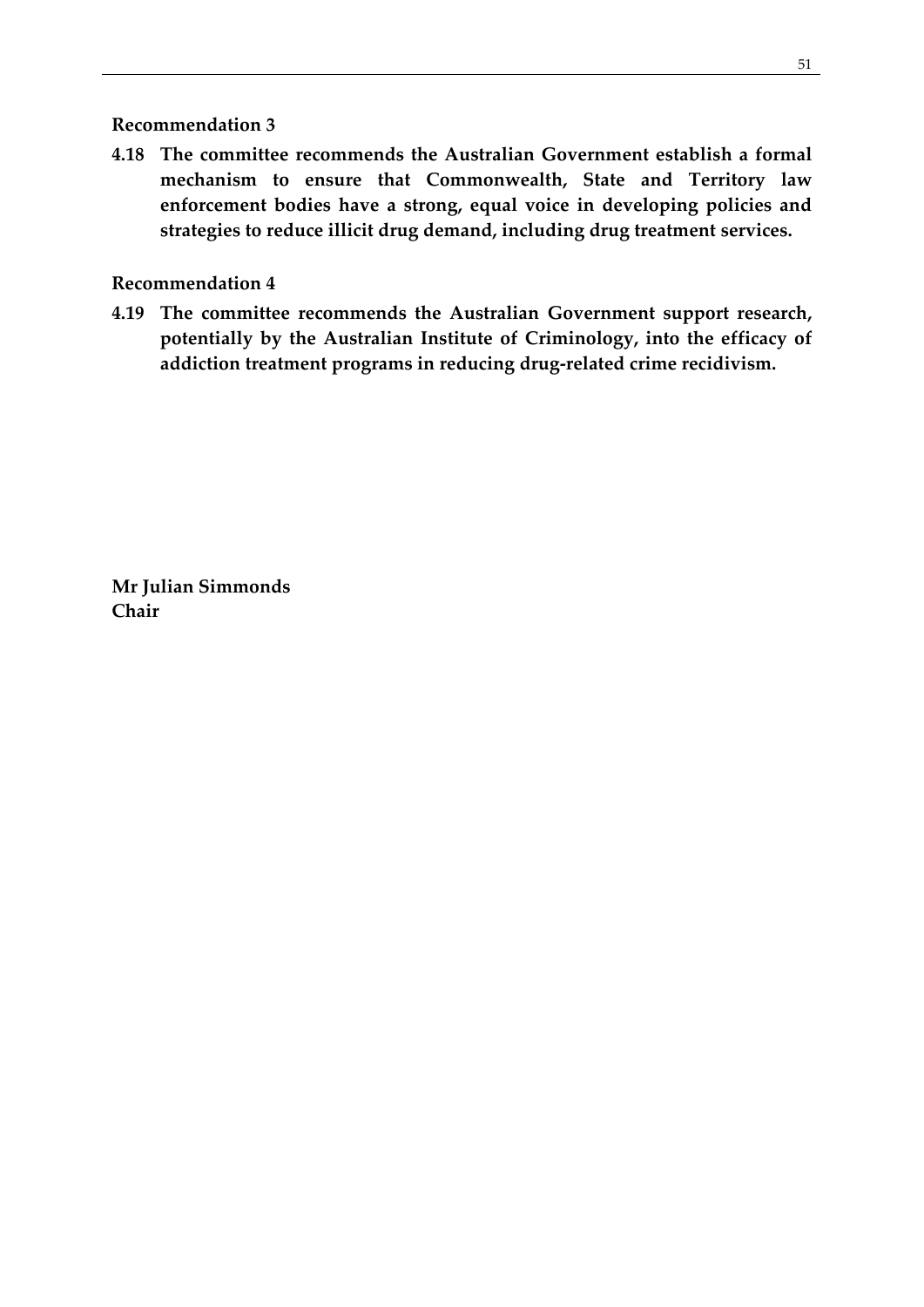#### <span id="page-60-0"></span>**Recommendation 3**

**4.18 The committee recommends the Australian Government establish a formal mechanism to ensure that Commonwealth, State and Territory law enforcement bodies have a strong, equal voice in developing policies and strategies to reduce illicit drug demand, including drug treatment services.**

#### <span id="page-60-1"></span>**Recommendation 4**

**4.19 The committee recommends the Australian Government support research, potentially by the Australian Institute of Criminology, into the efficacy of addiction treatment programs in reducing drug-related crime recidivism.**

**Mr Julian Simmonds Chair**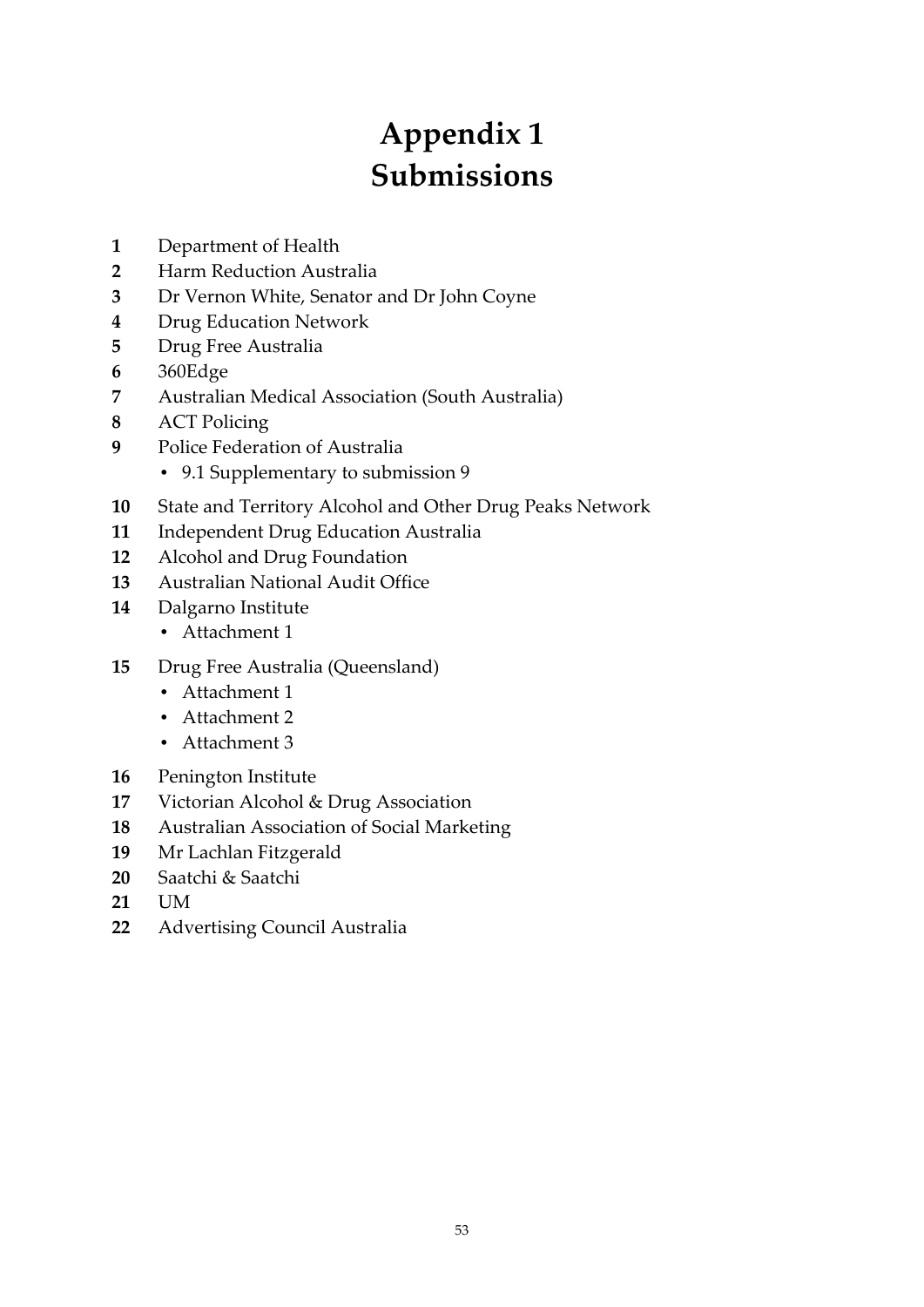# **Appendix 1 Submissions**

- <span id="page-62-0"></span>Department of Health
- Harm Reduction Australia
- Dr Vernon White, Senator and Dr John Coyne
- Drug Education Network
- Drug Free Australia
- 360Edge
- Australian Medical Association (South Australia)
- ACT Policing
- Police Federation of Australia
	- 9.1 Supplementary to submission 9
- State and Territory Alcohol and Other Drug Peaks Network
- Independent Drug Education Australia
- Alcohol and Drug Foundation
- Australian National Audit Office
- Dalgarno Institute
	- Attachment 1
- Drug Free Australia (Queensland)
	- Attachment 1
	- Attachment 2
	- Attachment 3
- Penington Institute
- Victorian Alcohol & Drug Association
- Australian Association of Social Marketing
- Mr Lachlan Fitzgerald
- Saatchi & Saatchi
- UM
- Advertising Council Australia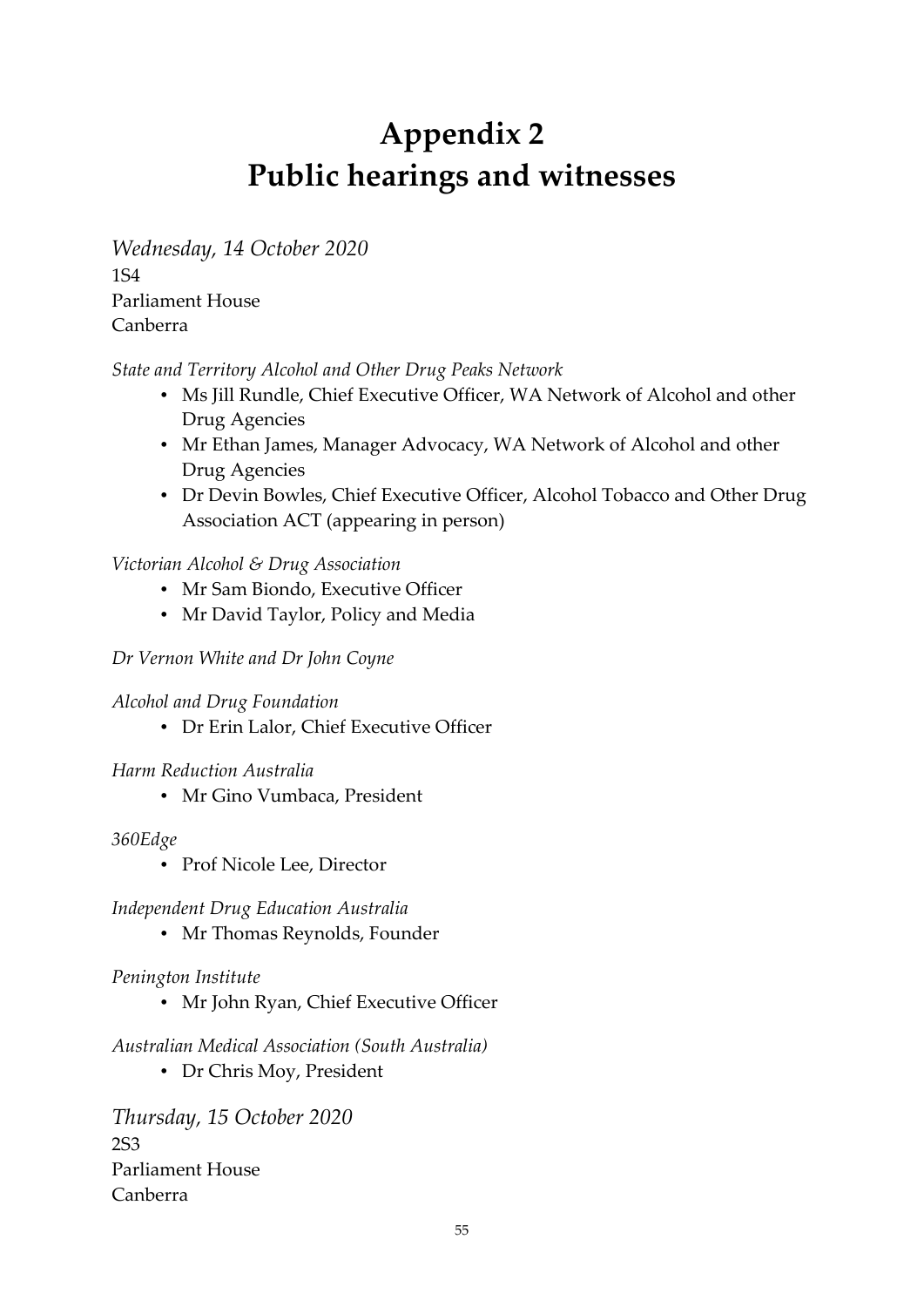# **Appendix 2 Public hearings and witnesses**

<span id="page-64-0"></span>*Wednesday, 14 October 2020* 1S4 Parliament House Canberra

#### *State and Territory Alcohol and Other Drug Peaks Network*

- Ms Jill Rundle, Chief Executive Officer, WA Network of Alcohol and other Drug Agencies
- Mr Ethan James, Manager Advocacy, WA Network of Alcohol and other Drug Agencies
- Dr Devin Bowles, Chief Executive Officer, Alcohol Tobacco and Other Drug Association ACT (appearing in person)

#### *Victorian Alcohol & Drug Association*

- Mr Sam Biondo, Executive Officer
- Mr David Taylor, Policy and Media

#### *Dr Vernon White and Dr John Coyne*

- *Alcohol and Drug Foundation*
	- Dr Erin Lalor, Chief Executive Officer

#### *Harm Reduction Australia*

Mr Gino Vumbaca, President

#### *360Edge*

• Prof Nicole Lee, Director

#### *Independent Drug Education Australia*

• Mr Thomas Reynolds, Founder

#### *Penington Institute*

• Mr John Ryan, Chief Executive Officer

#### *Australian Medical Association (South Australia)*

Dr Chris Moy, President

*Thursday, 15 October 2020* 2S3 Parliament House Canberra